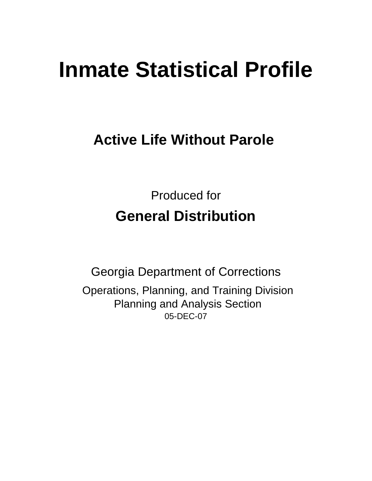# **Inmate Statistical Profile**

# **Active Life Without Parole**

Produced for **General Distribution**

05-DEC-07 Georgia Department of Corrections Operations, Planning, and Training Division Planning and Analysis Section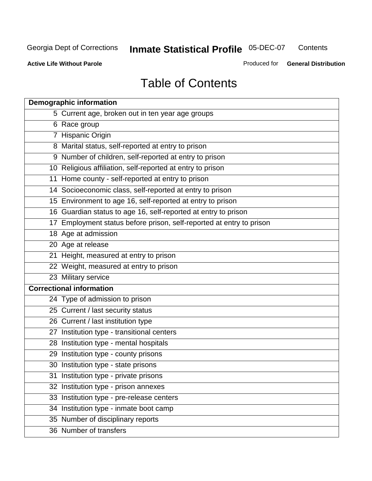**Contents** 

**Active Life Without Parole** 

Produced for **General Distribution**

# Table of Contents

| <b>Demographic information</b>                                       |
|----------------------------------------------------------------------|
| 5 Current age, broken out in ten year age groups                     |
| 6 Race group                                                         |
| 7 Hispanic Origin                                                    |
| 8 Marital status, self-reported at entry to prison                   |
| 9 Number of children, self-reported at entry to prison               |
| 10 Religious affiliation, self-reported at entry to prison           |
| 11 Home county - self-reported at entry to prison                    |
| 14 Socioeconomic class, self-reported at entry to prison             |
| 15 Environment to age 16, self-reported at entry to prison           |
| 16 Guardian status to age 16, self-reported at entry to prison       |
| 17 Employment status before prison, self-reported at entry to prison |
| 18 Age at admission                                                  |
| 20 Age at release                                                    |
| 21 Height, measured at entry to prison                               |
| 22 Weight, measured at entry to prison                               |
| 23 Military service                                                  |
| <b>Correctional information</b>                                      |
| 24 Type of admission to prison                                       |
| 25 Current / last security status                                    |
| 26 Current / last institution type                                   |
| 27 Institution type - transitional centers                           |
| 28 Institution type - mental hospitals                               |
| 29 Institution type - county prisons                                 |
| 30 Institution type - state prisons                                  |
| 31 Institution type - private prisons                                |
| 32 Institution type - prison annexes                                 |
| 33 Institution type - pre-release centers                            |
| 34 Institution type - inmate boot camp                               |
| 35 Number of disciplinary reports                                    |
| 36 Number of transfers                                               |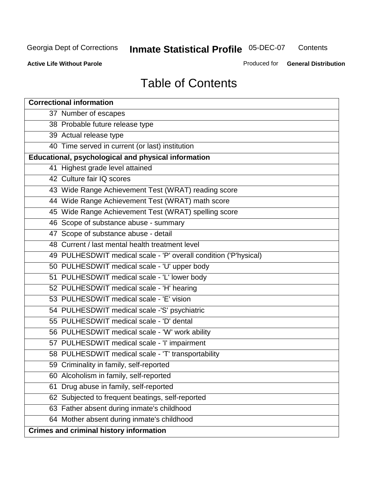**Contents** 

**Active Life Without Parole** 

Produced for **General Distribution**

# Table of Contents

| <b>Correctional information</b>                                  |
|------------------------------------------------------------------|
| 37 Number of escapes                                             |
| 38 Probable future release type                                  |
| 39 Actual release type                                           |
| 40 Time served in current (or last) institution                  |
| Educational, psychological and physical information              |
| 41 Highest grade level attained                                  |
| 42 Culture fair IQ scores                                        |
| 43 Wide Range Achievement Test (WRAT) reading score              |
| 44 Wide Range Achievement Test (WRAT) math score                 |
| 45 Wide Range Achievement Test (WRAT) spelling score             |
| 46 Scope of substance abuse - summary                            |
| 47 Scope of substance abuse - detail                             |
| 48 Current / last mental health treatment level                  |
| 49 PULHESDWIT medical scale - 'P' overall condition ('P'hysical) |
| 50 PULHESDWIT medical scale - 'U' upper body                     |
| 51 PULHESDWIT medical scale - 'L' lower body                     |
| 52 PULHESDWIT medical scale - 'H' hearing                        |
| 53 PULHESDWIT medical scale - 'E' vision                         |
| 54 PULHESDWIT medical scale -'S' psychiatric                     |
| 55 PULHESDWIT medical scale - 'D' dental                         |
| 56 PULHESDWIT medical scale - 'W' work ability                   |
| 57 PULHESDWIT medical scale - 'I' impairment                     |
| 58 PULHESDWIT medical scale - 'T' transportability               |
| 59 Criminality in family, self-reported                          |
| 60 Alcoholism in family, self-reported                           |
| 61 Drug abuse in family, self-reported                           |
| 62 Subjected to frequent beatings, self-reported                 |
| 63 Father absent during inmate's childhood                       |
| 64 Mother absent during inmate's childhood                       |
| <b>Crimes and criminal history information</b>                   |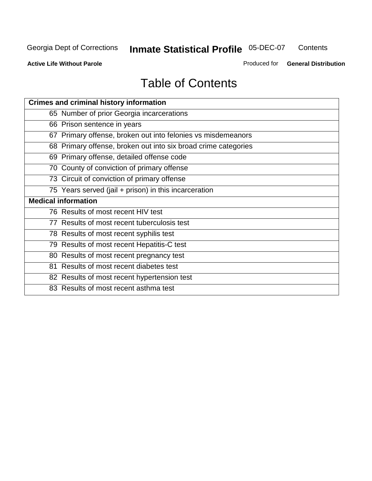**Contents** 

**Active Life Without Parole** 

Produced for **General Distribution**

# Table of Contents

| <b>Crimes and criminal history information</b>                 |
|----------------------------------------------------------------|
| 65 Number of prior Georgia incarcerations                      |
| 66 Prison sentence in years                                    |
| 67 Primary offense, broken out into felonies vs misdemeanors   |
| 68 Primary offense, broken out into six broad crime categories |
| 69 Primary offense, detailed offense code                      |
| 70 County of conviction of primary offense                     |
| 73 Circuit of conviction of primary offense                    |
| 75 Years served (jail + prison) in this incarceration          |
| <b>Medical information</b>                                     |
|                                                                |
| 76 Results of most recent HIV test                             |
| 77 Results of most recent tuberculosis test                    |
| 78 Results of most recent syphilis test                        |
| 79 Results of most recent Hepatitis-C test                     |
| 80 Results of most recent pregnancy test                       |
| 81 Results of most recent diabetes test                        |
| 82 Results of most recent hypertension test                    |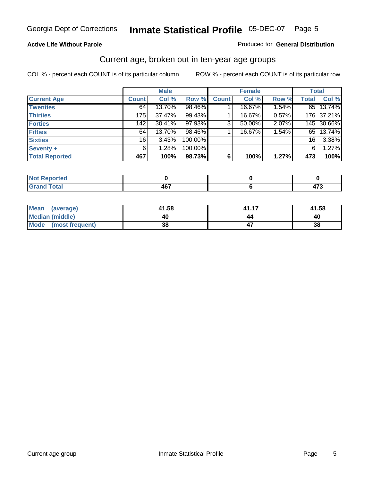#### **Active Life Without Parole**

#### Produced for **General Distribution**

### Current age, broken out in ten-year age groups

|                       |              | <b>Male</b> |         |              | <b>Female</b> |       |                 | <b>Total</b> |
|-----------------------|--------------|-------------|---------|--------------|---------------|-------|-----------------|--------------|
| <b>Current Age</b>    | <b>Count</b> | Col %       | Row %   | <b>Count</b> | Col %         | Row % | <b>Total</b>    | Col %        |
| <b>Twenties</b>       | 64           | 13.70%      | 98.46%  |              | 16.67%        | 1.54% |                 | 65 13.74%    |
| <b>Thirties</b>       | 175          | 37.47%      | 99.43%  |              | 16.67%        | 0.57% |                 | 176 37.21%   |
| <b>Forties</b>        | 142          | 30.41%      | 97.93%  | $\mathbf{3}$ | 50.00%        | 2.07% |                 | 145 30.66%   |
| <b>Fifties</b>        | 64           | 13.70%      | 98.46%  |              | 16.67%        | 1.54% | 65              | 13.74%       |
| <b>Sixties</b>        | 16           | 3.43%       | 100.00% |              |               |       | 16 <sup>1</sup> | 3.38%        |
| Seventy +             | 6            | 1.28%       | 100.00% |              |               |       | 6'              | 1.27%        |
| <b>Total Reported</b> | 467          | 100%        | 98.73%  | 6            | 100%          | 1.27% | 473             | 100%         |

| <b>College Avenue</b><br>rtea<br>$\sim$                             |                 |                     |
|---------------------------------------------------------------------|-----------------|---------------------|
| $F \circ f \circ f$<br>$\overline{\phantom{a}}$ . Jldi<br>----<br>- | <b>AG7</b><br>™ | $\rightarrow$<br>-- |

| Mean (average)       | 41.58 | 41.17 | 41.58 |
|----------------------|-------|-------|-------|
| Median (middle)      | 40    | 44    | 40    |
| Mode (most frequent) | 38    |       | 38    |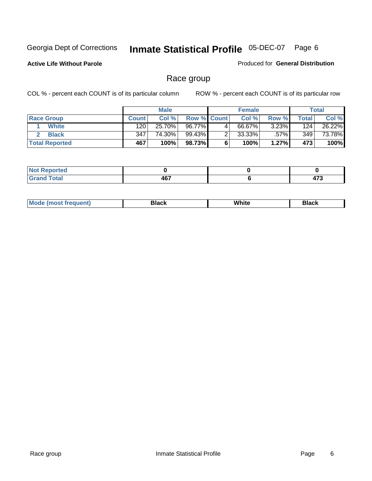**Active Life Without Parole** 

Produced for **General Distribution**

### Race group

|                       |              | <b>Male</b> |                    |   | <b>Female</b> |         |       | <b>Total</b> |
|-----------------------|--------------|-------------|--------------------|---|---------------|---------|-------|--------------|
| <b>Race Group</b>     | <b>Count</b> | Col %       | <b>Row % Count</b> |   | Col %         | Row %   | Total | Col %        |
| <b>White</b>          | 120          | 25.70%      | 96.77%             | 4 | 66.67%        | 3.23%   | 124   | 26.22%       |
| <b>Black</b>          | 347          | 74.30%      | 99.43%             |   | $33.33\%$     | $.57\%$ | 349   | 73.78%       |
| <b>Total Reported</b> | 467          | 100%        | 98.73%             |   | 100%          | 1.27%   | 473   | 100%         |

| eported                         |       |        |
|---------------------------------|-------|--------|
| $\mathcal{L}$ and $\mathcal{L}$ | 467   | $\sim$ |
| i vuu                           | $  -$ | __     |

| $^1$ Mo. | Rlack | White | 3lack |
|----------|-------|-------|-------|
| .        |       |       |       |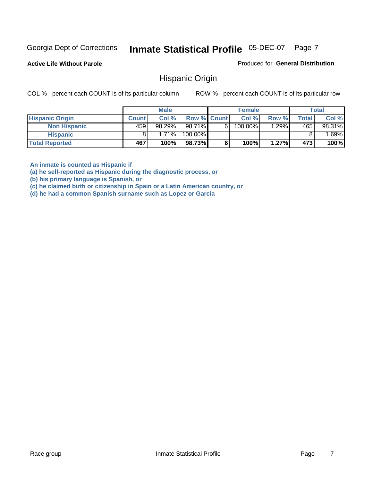**Active Life Without Parole** 

Produced for **General Distribution**

### Hispanic Origin

COL % - percent each COUNT is of its particular column ROW % - percent each COUNT is of its particular row

|                        |              | <b>Male</b> |                    |   | <b>Female</b> |          |       | <b>Total</b> |
|------------------------|--------------|-------------|--------------------|---|---------------|----------|-------|--------------|
| <b>Hispanic Origin</b> | <b>Count</b> | Col %       | <b>Row % Count</b> |   | Col %         | Row %    | Total | Col %        |
| <b>Non Hispanic</b>    | 459          | 98.29%      | 98.71%             | 6 | 100.00%       | $1.29\%$ | 465   | 98.31%       |
| <b>Hispanic</b>        |              | 1.71%       | 100.00%            |   |               |          |       | .69%         |
| <b>Total Reported</b>  | 467          | 100%        | 98.73%             |   | 100%          | 1.27%    | 473   | 100%         |

**An inmate is counted as Hispanic if** 

**(a) he self-reported as Hispanic during the diagnostic process, or** 

**(b) his primary language is Spanish, or** 

**(c) he claimed birth or citizenship in Spain or a Latin American country, or** 

**(d) he had a common Spanish surname such as Lopez or Garcia**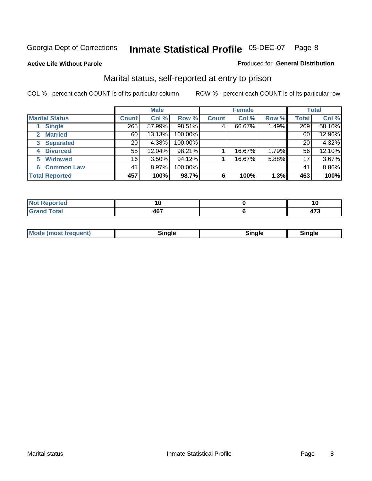#### **Active Life Without Parole**

#### Produced for **General Distribution**

### Marital status, self-reported at entry to prison

|                        | <b>Male</b>  |        |         |              | <b>Female</b> |       |              | <b>Total</b> |  |
|------------------------|--------------|--------|---------|--------------|---------------|-------|--------------|--------------|--|
| <b>Marital Status</b>  | <b>Count</b> | Col %  | Row %   | <b>Count</b> | Col %         | Row % | <b>Total</b> | Col %        |  |
| <b>Single</b>          | 265          | 57.99% | 98.51%  | 4            | 66.67%        | 1.49% | 269          | 58.10%       |  |
| <b>Married</b><br>2.   | 60           | 13.13% | 100.00% |              |               |       | 60           | 12.96%       |  |
| <b>Separated</b><br>3  | 20           | 4.38%  | 100.00% |              |               |       | 20           | 4.32%        |  |
| <b>Divorced</b><br>4   | 55           | 12.04% | 98.21%  |              | 16.67%        | 1.79% | 56           | 12.10%       |  |
| <b>Widowed</b><br>5    | 16           | 3.50%  | 94.12%  |              | 16.67%        | 5.88% | 17           | 3.67%        |  |
| <b>Common Law</b><br>6 | 41           | 8.97%  | 100.00% |              |               |       | 41           | 8.86%        |  |
| <b>Total Reported</b>  | 457          | 100%   | 98.7%   | 6            | 100%          | 1.3%  | 463          | 100%         |  |

|    |                           | . .<br>1 V |
|----|---------------------------|------------|
| -- | <b>AG7</b><br>т.<br>$  -$ | .<br>      |

| <b>Mode (most frequent)</b><br>sınale | Sinale | Single |
|---------------------------------------|--------|--------|
|---------------------------------------|--------|--------|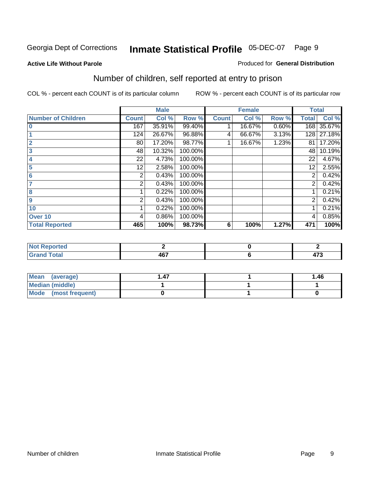#### **Active Life Without Parole**

#### Produced for **General Distribution**

### Number of children, self reported at entry to prison

|                           |              | <b>Male</b> |         |              | <b>Female</b> |       | <b>Total</b>   |        |
|---------------------------|--------------|-------------|---------|--------------|---------------|-------|----------------|--------|
| <b>Number of Children</b> | <b>Count</b> | Col %       | Row %   | <b>Count</b> | Col %         | Row % | <b>Total</b>   | Col %  |
| $\bf{0}$                  | 167          | 35.91%      | 99.40%  |              | 16.67%        | 0.60% | 168            | 35.67% |
|                           | 124          | 26.67%      | 96.88%  | 4            | 66.67%        | 3.13% | 128            | 27.18% |
| $\overline{2}$            | 80           | 17.20%      | 98.77%  |              | 16.67%        | 1.23% | 81             | 17.20% |
| 3                         | 48           | 10.32%      | 100.00% |              |               |       | 48             | 10.19% |
| 4                         | 22           | 4.73%       | 100.00% |              |               |       | 22             | 4.67%  |
| 5                         | 12           | 2.58%       | 100.00% |              |               |       | 12             | 2.55%  |
| $6\phantom{a}$            | 2            | 0.43%       | 100.00% |              |               |       | 2              | 0.42%  |
|                           | 2            | 0.43%       | 100.00% |              |               |       | 2              | 0.42%  |
| 8                         |              | 0.22%       | 100.00% |              |               |       |                | 0.21%  |
| 9                         | 2            | 0.43%       | 100.00% |              |               |       | $\overline{2}$ | 0.42%  |
| 10                        |              | 0.22%       | 100.00% |              |               |       |                | 0.21%  |
| Over 10                   | 4            | 0.86%       | 100.00% |              |               |       | 4              | 0.85%  |
| <b>Total Reported</b>     | 465          | 100%        | 98.73%  | 6            | 100%          | 1.27% | 471            | 100%   |

| mrteu<br>$\sim$                 |   |                       |
|---------------------------------|---|-----------------------|
| <b>otal</b><br>$\mathbf{v}$ and | . | $\rightarrow$<br>41 J |

| <b>Mean</b><br>(average) | .47 | 1.46 |
|--------------------------|-----|------|
| Median (middle)          |     |      |
| Mode (most frequent)     |     |      |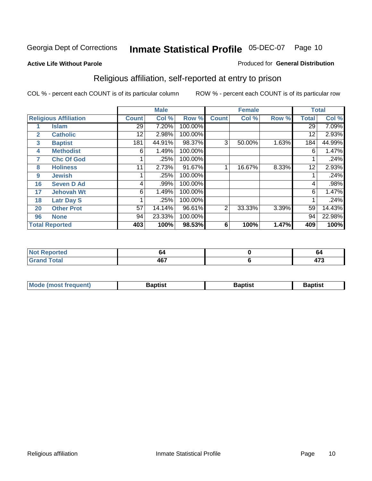#### **Active Life Without Parole**

#### Produced for **General Distribution**

### Religious affiliation, self-reported at entry to prison

|              |                              |              | <b>Male</b> |         |                | <b>Female</b> |       |              | <b>Total</b> |
|--------------|------------------------------|--------------|-------------|---------|----------------|---------------|-------|--------------|--------------|
|              | <b>Religious Affiliation</b> | <b>Count</b> | Col %       | Row %   | <b>Count</b>   | Col %         | Row % | <b>Total</b> | Col %        |
| 1            | <b>Islam</b>                 | 29           | 7.20%       | 100.00% |                |               |       | 29           | 7.09%        |
| $\mathbf{2}$ | <b>Catholic</b>              | 12           | 2.98%       | 100.00% |                |               |       | 12           | 2.93%        |
| 3            | <b>Baptist</b>               | 181          | 44.91%      | 98.37%  | 3              | 50.00%        | 1.63% | 184          | 44.99%       |
| 4            | <b>Methodist</b>             | 6            | 1.49%       | 100.00% |                |               |       | 6            | 1.47%        |
| 7            | <b>Chc Of God</b>            |              | .25%        | 100.00% |                |               |       |              | .24%         |
| 8            | <b>Holiness</b>              | 11           | 2.73%       | 91.67%  |                | 16.67%        | 8.33% | 12           | 2.93%        |
| 9            | <b>Jewish</b>                |              | .25%        | 100.00% |                |               |       |              | .24%         |
| 16           | <b>Seven D Ad</b>            | 4            | .99%        | 100.00% |                |               |       | 4            | .98%         |
| 17           | <b>Jehovah Wt</b>            | 6            | 1.49%       | 100.00% |                |               |       | 6            | 1.47%        |
| 18           | <b>Latr Day S</b>            |              | .25%        | 100.00% |                |               |       |              | .24%         |
| 20           | <b>Other Prot</b>            | 57           | 14.14%      | 96.61%  | $\overline{2}$ | 33.33%        | 3.39% | 59           | 14.43%       |
| 96           | <b>None</b>                  | 94           | 23.33%      | 100.00% |                |               |       | 94           | 22.98%       |
|              | <b>Total Reported</b>        | 403          | 100%        | 98.53%  | 6              | 100%          | 1.47% | 409          | 100%         |

| <b>rted</b> | Ю"    | v             |
|-------------|-------|---------------|
| <b>otal</b> | 1 C 7 | $\rightarrow$ |

| ' Mo<br>went | <b>}aptist</b> | Baptist<br>$ -$ | <b>Baptist</b> |
|--------------|----------------|-----------------|----------------|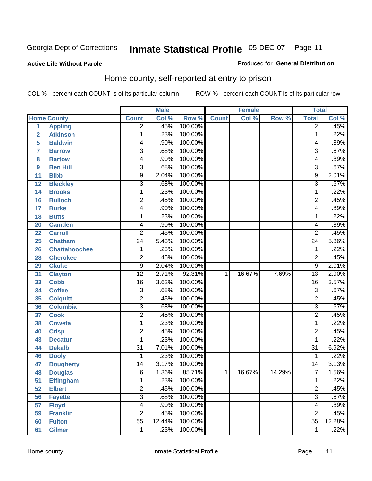Produced for **General Distribution**

#### **Active Life Without Parole**

### Home county, self-reported at entry to prison

|                |                      |                 | <b>Male</b> |         |              | <b>Female</b> |        | <b>Total</b>    |        |
|----------------|----------------------|-----------------|-------------|---------|--------------|---------------|--------|-----------------|--------|
|                | <b>Home County</b>   | <b>Count</b>    | Col %       | Row %   | <b>Count</b> | Col %         | Row %  | <b>Total</b>    | Col %  |
| $\overline{1}$ | <b>Appling</b>       | $\overline{2}$  | .45%        | 100.00% |              |               |        | $\overline{2}$  | .45%   |
| $\overline{2}$ | <b>Atkinson</b>      | 1               | .23%        | 100.00% |              |               |        | 1               | .22%   |
| 5              | <b>Baldwin</b>       | 4               | .90%        | 100.00% |              |               |        | 4               | .89%   |
| 7              | <b>Barrow</b>        | $\overline{3}$  | .68%        | 100.00% |              |               |        | 3               | .67%   |
| 8              | <b>Bartow</b>        | 4               | .90%        | 100.00% |              |               |        | 4               | .89%   |
| 9              | <b>Ben Hill</b>      | 3               | .68%        | 100.00% |              |               |        | $\overline{3}$  | .67%   |
| 11             | <b>Bibb</b>          | 9               | 2.04%       | 100.00% |              |               |        | 9               | 2.01%  |
| 12             | <b>Bleckley</b>      | 3               | .68%        | 100.00% |              |               |        | 3               | .67%   |
| 14             | <b>Brooks</b>        | 1               | .23%        | 100.00% |              |               |        | 1               | .22%   |
| 16             | <b>Bulloch</b>       | $\overline{2}$  | .45%        | 100.00% |              |               |        | $\overline{2}$  | .45%   |
| 17             | <b>Burke</b>         | 4               | .90%        | 100.00% |              |               |        | 4               | .89%   |
| 18             | <b>Butts</b>         | 1               | .23%        | 100.00% |              |               |        | 1               | .22%   |
| 20             | <b>Camden</b>        | 4               | .90%        | 100.00% |              |               |        | 4               | .89%   |
| 22             | <b>Carroll</b>       | $\overline{2}$  | .45%        | 100.00% |              |               |        | $\overline{2}$  | .45%   |
| 25             | <b>Chatham</b>       | $\overline{24}$ | 5.43%       | 100.00% |              |               |        | $\overline{24}$ | 5.36%  |
| 26             | <b>Chattahoochee</b> | 1               | .23%        | 100.00% |              |               |        | 1               | .22%   |
| 28             | <b>Cherokee</b>      | $\overline{2}$  | .45%        | 100.00% |              |               |        | 2               | .45%   |
| 29             | <b>Clarke</b>        | 9               | 2.04%       | 100.00% |              |               |        | 9               | 2.01%  |
| 31             | <b>Clayton</b>       | $\overline{12}$ | 2.71%       | 92.31%  | 1            | 16.67%        | 7.69%  | $\overline{13}$ | 2.90%  |
| 33             | <b>Cobb</b>          | $\overline{16}$ | 3.62%       | 100.00% |              |               |        | 16              | 3.57%  |
| 34             | <b>Coffee</b>        | $\overline{3}$  | .68%        | 100.00% |              |               |        | $\overline{3}$  | .67%   |
| 35             | <b>Colquitt</b>      | $\overline{2}$  | .45%        | 100.00% |              |               |        | $\overline{2}$  | .45%   |
| 36             | <b>Columbia</b>      | $\overline{3}$  | .68%        | 100.00% |              |               |        | $\overline{3}$  | .67%   |
| 37             | <b>Cook</b>          | $\overline{2}$  | .45%        | 100.00% |              |               |        | $\overline{2}$  | .45%   |
| 38             | <b>Coweta</b>        | 1               | .23%        | 100.00% |              |               |        | 1               | .22%   |
| 40             | <b>Crisp</b>         | $\overline{2}$  | .45%        | 100.00% |              |               |        | $\overline{2}$  | .45%   |
| 43             | <b>Decatur</b>       | 1               | .23%        | 100.00% |              |               |        | 1               | .22%   |
| 44             | <b>Dekalb</b>        | $\overline{31}$ | 7.01%       | 100.00% |              |               |        | $\overline{31}$ | 6.92%  |
| 46             | <b>Dooly</b>         | 1               | .23%        | 100.00% |              |               |        | 1               | .22%   |
| 47             | <b>Dougherty</b>     | 14              | 3.17%       | 100.00% |              |               |        | $\overline{14}$ | 3.13%  |
| 48             | <b>Douglas</b>       | 6               | 1.36%       | 85.71%  | 1            | 16.67%        | 14.29% | $\overline{7}$  | 1.56%  |
| 51             | <b>Effingham</b>     | 1               | .23%        | 100.00% |              |               |        | 1               | .22%   |
| 52             | <b>Elbert</b>        | $\overline{2}$  | .45%        | 100.00% |              |               |        | $\overline{2}$  | .45%   |
| 56             | <b>Fayette</b>       | $\overline{3}$  | .68%        | 100.00% |              |               |        | $\overline{3}$  | .67%   |
| 57             | <b>Floyd</b>         | $\overline{4}$  | .90%        | 100.00% |              |               |        | 4               | .89%   |
| 59             | <b>Franklin</b>      | $\overline{2}$  | .45%        | 100.00% |              |               |        | $\overline{2}$  | .45%   |
| 60             | <b>Fulton</b>        | $\overline{55}$ | 12.44%      | 100.00% |              |               |        | $\overline{55}$ | 12.28% |
| 61             | <b>Gilmer</b>        | 1               | .23%        | 100.00% |              |               |        | 1               | .22%   |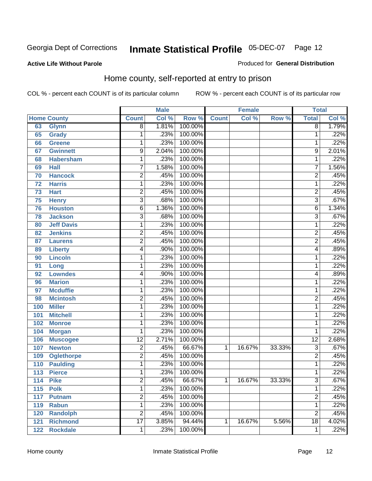#### **Active Life Without Parole**

#### Produced for **General Distribution**

### Home county, self-reported at entry to prison

|     |                    |                 | <b>Male</b> |         |              | <b>Female</b> |        | <b>Total</b>    |       |
|-----|--------------------|-----------------|-------------|---------|--------------|---------------|--------|-----------------|-------|
|     | <b>Home County</b> | <b>Count</b>    | Col %       | Row %   | <b>Count</b> | Col %         | Row %  | <b>Total</b>    | Col % |
| 63  | <b>Glynn</b>       | $\overline{8}$  | 1.81%       | 100.00% |              |               |        | $\overline{8}$  | 1.79% |
| 65  | <b>Grady</b>       | 1               | .23%        | 100.00% |              |               |        | 1               | .22%  |
| 66  | <b>Greene</b>      | 1               | .23%        | 100.00% |              |               |        | 1               | .22%  |
| 67  | <b>Gwinnett</b>    | 9               | 2.04%       | 100.00% |              |               |        | 9               | 2.01% |
| 68  | <b>Habersham</b>   | 1               | .23%        | 100.00% |              |               |        | 1               | .22%  |
| 69  | <b>Hall</b>        | 7               | 1.58%       | 100.00% |              |               |        | $\overline{7}$  | 1.56% |
| 70  | <b>Hancock</b>     | 2               | .45%        | 100.00% |              |               |        | $\overline{c}$  | .45%  |
| 72  | <b>Harris</b>      | 1               | .23%        | 100.00% |              |               |        | 1               | .22%  |
| 73  | <b>Hart</b>        | 2               | .45%        | 100.00% |              |               |        | 2               | .45%  |
| 75  | <b>Henry</b>       | $\overline{3}$  | .68%        | 100.00% |              |               |        | $\overline{3}$  | .67%  |
| 76  | <b>Houston</b>     | 6               | 1.36%       | 100.00% |              |               |        | 6               | 1.34% |
| 78  | <b>Jackson</b>     | $\overline{3}$  | .68%        | 100.00% |              |               |        | $\overline{3}$  | .67%  |
| 80  | <b>Jeff Davis</b>  | $\mathbf{1}$    | .23%        | 100.00% |              |               |        | 1               | .22%  |
| 82  | <b>Jenkins</b>     | $\overline{2}$  | .45%        | 100.00% |              |               |        | $\overline{2}$  | .45%  |
| 87  | <b>Laurens</b>     | $\overline{2}$  | .45%        | 100.00% |              |               |        | $\overline{2}$  | .45%  |
| 89  | <b>Liberty</b>     | 4               | .90%        | 100.00% |              |               |        | 4               | .89%  |
| 90  | <b>Lincoln</b>     | 1               | .23%        | 100.00% |              |               |        | 1               | .22%  |
| 91  | Long               | 1               | .23%        | 100.00% |              |               |        | 1               | .22%  |
| 92  | <b>Lowndes</b>     | 4               | .90%        | 100.00% |              |               |        | 4               | .89%  |
| 96  | <b>Marion</b>      | 1               | .23%        | 100.00% |              |               |        | 1               | .22%  |
| 97  | <b>Mcduffie</b>    | 1               | .23%        | 100.00% |              |               |        | 1               | .22%  |
| 98  | <b>Mcintosh</b>    | $\overline{2}$  | .45%        | 100.00% |              |               |        | $\overline{2}$  | .45%  |
| 100 | <b>Miller</b>      | $\mathbf{1}$    | .23%        | 100.00% |              |               |        | 1               | .22%  |
| 101 | <b>Mitchell</b>    | 1               | .23%        | 100.00% |              |               |        | 1               | .22%  |
| 102 | <b>Monroe</b>      | 1               | .23%        | 100.00% |              |               |        | 1               | .22%  |
| 104 | <b>Morgan</b>      | 1               | .23%        | 100.00% |              |               |        | 1               | .22%  |
| 106 | <b>Muscogee</b>    | $\overline{12}$ | 2.71%       | 100.00% |              |               |        | $\overline{12}$ | 2.68% |
| 107 | <b>Newton</b>      | $\overline{2}$  | .45%        | 66.67%  | 1            | 16.67%        | 33.33% | 3               | .67%  |
| 109 | <b>Oglethorpe</b>  | $\overline{2}$  | .45%        | 100.00% |              |               |        | $\overline{2}$  | .45%  |
| 110 | <b>Paulding</b>    | 1               | .23%        | 100.00% |              |               |        | 1               | .22%  |
| 113 | <b>Pierce</b>      | 1               | .23%        | 100.00% |              |               |        | 1               | .22%  |
| 114 | <b>Pike</b>        | 2               | .45%        | 66.67%  | 1            | 16.67%        | 33.33% | 3               | .67%  |
| 115 | <b>Polk</b>        | $\mathbf{1}$    | .23%        | 100.00% |              |               |        | 1               | .22%  |
| 117 | <b>Putnam</b>      | $\overline{2}$  | .45%        | 100.00% |              |               |        | $\overline{2}$  | .45%  |
| 119 | <b>Rabun</b>       | $\mathbf{1}$    | .23%        | 100.00% |              |               |        | 1               | .22%  |
| 120 | <b>Randolph</b>    | $\overline{2}$  | .45%        | 100.00% |              |               |        | $\overline{c}$  | .45%  |
| 121 | <b>Richmond</b>    | $\overline{17}$ | 3.85%       | 94.44%  | 1            | 16.67%        | 5.56%  | $\overline{18}$ | 4.02% |
| 122 | <b>Rockdale</b>    | 1               | .23%        | 100.00% |              |               |        | 1               | .22%  |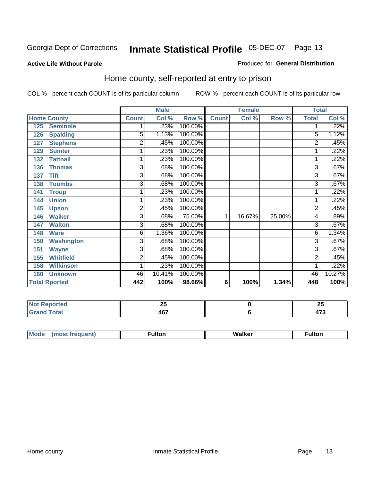#### **Active Life Without Parole**

#### Produced for **General Distribution**

### Home county, self-reported at entry to prison

|     |                      |                | <b>Male</b> |         |              | <b>Female</b> |        | <b>Total</b>   |        |
|-----|----------------------|----------------|-------------|---------|--------------|---------------|--------|----------------|--------|
|     | <b>Home County</b>   | <b>Count</b>   | Col %       | Row %   | <b>Count</b> | Col %         | Row %  | <b>Total</b>   | Col %  |
| 125 | <b>Seminole</b>      |                | .23%        | 100.00% |              |               |        |                | .22%   |
| 126 | <b>Spalding</b>      | $\overline{5}$ | 1.13%       | 100.00% |              |               |        | 5              | 1.12%  |
| 127 | <b>Stephens</b>      | $\overline{2}$ | .45%        | 100.00% |              |               |        | 2              | .45%   |
| 129 | <b>Sumter</b>        | 1              | .23%        | 100.00% |              |               |        |                | .22%   |
| 132 | <b>Tattnall</b>      | 1              | .23%        | 100.00% |              |               |        | 1              | .22%   |
| 136 | <b>Thomas</b>        | $\overline{3}$ | .68%        | 100.00% |              |               |        | 3              | .67%   |
| 137 | <b>Tift</b>          | 3              | .68%        | 100.00% |              |               |        | 3              | .67%   |
| 138 | <b>Toombs</b>        | 3              | .68%        | 100.00% |              |               |        | $\overline{3}$ | .67%   |
| 141 | <b>Troup</b>         | 1              | .23%        | 100.00% |              |               |        |                | .22%   |
| 144 | <b>Union</b>         | 1              | .23%        | 100.00% |              |               |        |                | .22%   |
| 145 | <b>Upson</b>         | 2              | .45%        | 100.00% |              |               |        | $\overline{2}$ | .45%   |
| 146 | <b>Walker</b>        | 3              | .68%        | 75.00%  | 1            | 16.67%        | 25.00% | 4              | .89%   |
| 147 | <b>Walton</b>        | 3              | .68%        | 100.00% |              |               |        | 3              | .67%   |
| 148 | <b>Ware</b>          | 6              | 1.36%       | 100.00% |              |               |        | 6              | 1.34%  |
| 150 | <b>Washington</b>    | 3              | .68%        | 100.00% |              |               |        | 3              | .67%   |
| 151 | <b>Wayne</b>         | $\overline{3}$ | .68%        | 100.00% |              |               |        | 3              | .67%   |
| 155 | <b>Whitfield</b>     | $\overline{2}$ | .45%        | 100.00% |              |               |        | 2              | .45%   |
| 158 | <b>Wilkinson</b>     | 1              | .23%        | 100.00% |              |               |        |                | .22%   |
| 160 | <b>Unknown</b>       | 46             | 10.41%      | 100.00% |              |               |        | 46             | 10.27% |
|     | <b>Total Rported</b> | 442            | 100%        | 98.66%  | 6            | 100%          | 1.34%  | 448            | 100%   |

| rtea                               | - -  | OF.    |
|------------------------------------|------|--------|
| .                                  | --   | ∼      |
| otal                               | 167  | .      |
| $\sim$ $\sim$ $\sim$ $\sim$ $\sim$ | 40 L | $\sim$ |

| $^{\circ}$ M <sub>c</sub><br>w | __________ |
|--------------------------------|------------|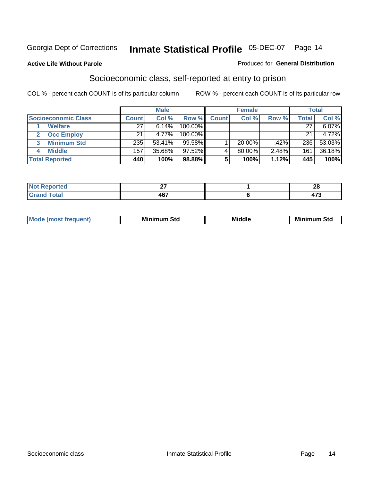#### **Active Life Without Parole**

#### Produced for **General Distribution**

### Socioeconomic class, self-reported at entry to prison

|                            |              | <b>Male</b> |            |              | <b>Female</b> |       |              | <b>Total</b> |
|----------------------------|--------------|-------------|------------|--------------|---------------|-------|--------------|--------------|
| <b>Socioeconomic Class</b> | <b>Count</b> | Col %       | Row %      | <b>Count</b> | Col %         | Row % | <b>Total</b> | Col %        |
| <b>Welfare</b>             | 27           | 6.14%       | 100.00%    |              |               |       | 27           | 6.07%        |
| <b>Occ Employ</b>          | 21           | 4.77%       | $100.00\%$ |              |               |       | 21           | 4.72%        |
| <b>Minimum Std</b>         | 235          | 53.41%      | $99.58\%$  |              | $20.00\%$     | .42%  | 236          | 53.03%       |
| <b>Middle</b>              | 157          | 35.68%      | $97.52\%$  |              | 80.00%        | 2.48% | 161          | 36.18%       |
| <b>Total Reported</b>      | 440          | 100%        | 98.88%     |              | 100%          | 1.12% | 445          | 100%         |

| i Alban<br><b>Continued In the Continued In the Continued Inc.</b><br>m.<br>тео | $\sim$<br>- | - -<br>~ |
|---------------------------------------------------------------------------------|-------------|----------|
| $f \wedge f \wedge f$<br>$\sim$ $\sim$ $\sim$ $\sim$                            | 467         | ---      |

| M<br>Mir<br>Mi<br><b>Middle</b><br><b>C</b> ta<br>Sta<br>oτu<br>.<br>the contract of the contract of the contract of the contract of the contract of the contract of the contract of<br>___ |
|---------------------------------------------------------------------------------------------------------------------------------------------------------------------------------------------|
|---------------------------------------------------------------------------------------------------------------------------------------------------------------------------------------------|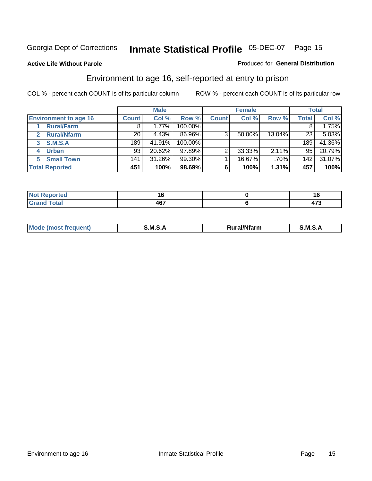Produced for **General Distribution**

#### **Active Life Without Parole**

### Environment to age 16, self-reported at entry to prison

|                              |              | <b>Male</b> |           |              | <b>Female</b> |        |              | <b>Total</b> |
|------------------------------|--------------|-------------|-----------|--------------|---------------|--------|--------------|--------------|
| <b>Environment to age 16</b> | <b>Count</b> | Col %       | Row %     | <b>Count</b> | Col %         | Row %  | <b>Total</b> | Col %        |
| <b>Rural/Farm</b>            | 8            | 1.77%       | 100.00%   |              |               |        |              | 1.75%        |
| <b>Rural/Nfarm</b><br>2      | 20           | 4.43%       | 86.96%    | 3            | 50.00%        | 13.04% | 23           | 5.03%        |
| S.M.S.A<br>3                 | 189          | 41.91%      | 100.00%   |              |               |        | 189          | 41.36%       |
| <b>Urban</b>                 | 93           | 20.62%      | $97.89\%$ |              | 33.33%        | 2.11%  | 95           | 20.79%       |
| <b>Small Town</b><br>5.      | 141          | 31.26%      | 99.30%    |              | 16.67%        | .70%   | 142          | 31.07%       |
| <b>Total Reported</b>        | 451          | 100%        | 98.69%    | 6            | 100%          | 1.31%  | 457          | 100%         |

| <b>orted</b><br>.            |             |                |
|------------------------------|-------------|----------------|
| <b>Total</b><br><b>Grand</b> | A67<br>י טד | -<br>"<br>41 J |

| Mo<br>м s<br>M<br>---<br>.<br>□……<br>rarr |  |  |
|-------------------------------------------|--|--|
|                                           |  |  |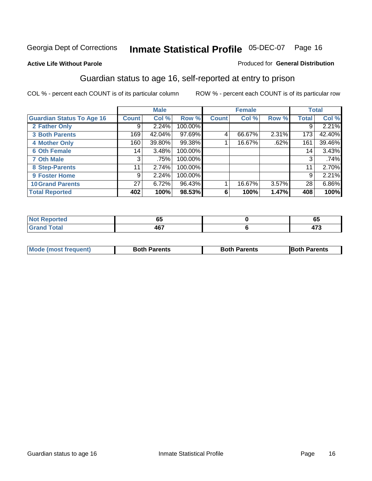#### **Active Life Without Parole**

#### Produced for **General Distribution**

### Guardian status to age 16, self-reported at entry to prison

|                                  |              | <b>Male</b> |         |              | <b>Female</b> |       |              | <b>Total</b> |
|----------------------------------|--------------|-------------|---------|--------------|---------------|-------|--------------|--------------|
| <b>Guardian Status To Age 16</b> | <b>Count</b> | Col %       | Row %   | <b>Count</b> | Col %         | Row % | <b>Total</b> | Col %        |
| 2 Father Only                    | 9            | 2.24%       | 100.00% |              |               |       | 9            | 2.21%        |
| <b>3 Both Parents</b>            | 169          | 42.04%      | 97.69%  | 4            | 66.67%        | 2.31% | 173          | 42.40%       |
| <b>4 Mother Only</b>             | 160          | 39.80%      | 99.38%  |              | 16.67%        | .62%  | 161          | 39.46%       |
| <b>6 Oth Female</b>              | 14           | 3.48%       | 100.00% |              |               |       | 14           | 3.43%        |
| <b>7 Oth Male</b>                | 3            | .75%        | 100.00% |              |               |       | 3            | .74%         |
| 8 Step-Parents                   | 11           | 2.74%       | 100.00% |              |               |       | 11           | 2.70%        |
| 9 Foster Home                    | 9            | 2.24%       | 100.00% |              |               |       | 9            | 2.21%        |
| <b>10 Grand Parents</b>          | 27           | 6.72%       | 96.43%  |              | 16.67%        | 3.57% | 28           | 6.86%        |
| <b>Total Reported</b>            | 402          | 100%        | 98.53%  | 6            | 100%          | 1.47% | 408          | 100%         |

| .             | $-$<br>vu       | ັບວ           |
|---------------|-----------------|---------------|
| <u>i</u> Utal | יי<br>лı<br>ישד | .<br><br>41 J |

| Mode (most frequent) | <b>Both Parents</b> | <b>Both Parents</b> | <b>IBoth Parents</b> |
|----------------------|---------------------|---------------------|----------------------|
|                      |                     |                     |                      |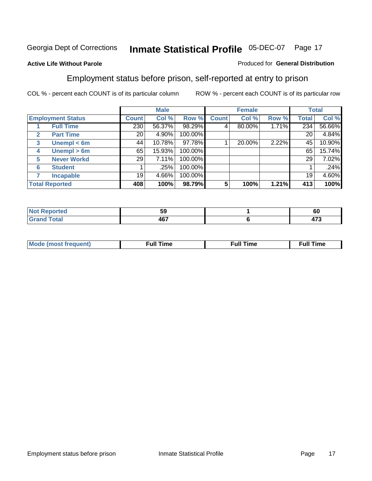#### **Active Life Without Parole**

#### Produced for **General Distribution**

### Employment status before prison, self-reported at entry to prison

|              |                          |              | <b>Male</b> |         |              | <b>Female</b> |       |              | <b>Total</b> |
|--------------|--------------------------|--------------|-------------|---------|--------------|---------------|-------|--------------|--------------|
|              | <b>Employment Status</b> | <b>Count</b> | Col %       | Row %   | <b>Count</b> | Col %         | Row % | <b>Total</b> | Col %        |
|              | <b>Full Time</b>         | 230          | 56.37%      | 98.29%  |              | 80.00%        | 1.71% | 234          | 56.66%       |
| $\mathbf{2}$ | <b>Part Time</b>         | 20           | 4.90%       | 100.00% |              |               |       | 20           | 4.84%        |
| 3            | Unempl $<$ 6m            | 44           | 10.78%      | 97.78%  |              | 20.00%        | 2.22% | 45           | 10.90%       |
| 4            | Unempl $> 6m$            | 65           | 15.93%      | 100.00% |              |               |       | 65           | 15.74%       |
| 5            | <b>Never Workd</b>       | 29           | 7.11%       | 100.00% |              |               |       | 29           | 7.02%        |
| 6            | <b>Student</b>           |              | .25%        | 100.00% |              |               |       |              | .24%         |
|              | <b>Incapable</b>         | 19           | 4.66%       | 100.00% |              |               |       | 19           | 4.60%        |
|              | <b>Total Reported</b>    | 408          | 100%        | 98.79%  | 5            | 100%          | 1.21% | 413          | 100%         |

| тес.                     | 50<br>JJ | - -<br><b>OU</b>    |
|--------------------------|----------|---------------------|
| <b>Coto</b> "<br>_______ | 467      | $1 - \alpha$<br>- ט |

| <b>M</b> ດ | the contract of the contract of the contract of the contract of the contract of the contract of the contract of | , ull i<br>ıme | ïme<br>uı<br>$\sim$ $\sim$ $\sim$ $\sim$ $\sim$ |
|------------|-----------------------------------------------------------------------------------------------------------------|----------------|-------------------------------------------------|
|            |                                                                                                                 |                |                                                 |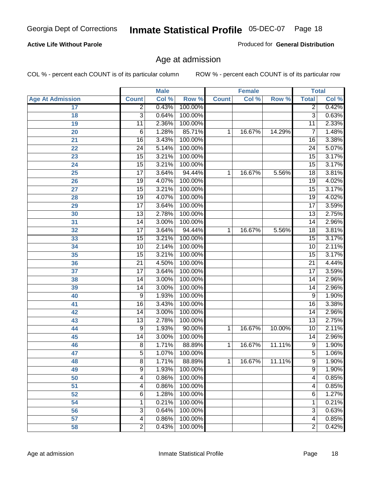#### **Active Life Without Parole**

Produced for **General Distribution**

### Age at admission

|                         |                 | <b>Male</b> |         |              | <b>Female</b> |        | <b>Total</b>    |       |
|-------------------------|-----------------|-------------|---------|--------------|---------------|--------|-----------------|-------|
| <b>Age At Admission</b> | <b>Count</b>    | Col %       | Row %   | <b>Count</b> | Col %         | Row %  | <b>Total</b>    | Col % |
| 17                      | $\overline{2}$  | 0.43%       | 100.00% |              |               |        | 2               | 0.42% |
| 18                      | $\overline{3}$  | 0.64%       | 100.00% |              |               |        | $\overline{3}$  | 0.63% |
| 19                      | $\overline{11}$ | 2.36%       | 100.00% |              |               |        | $\overline{11}$ | 2.33% |
| 20                      | 6               | 1.28%       | 85.71%  | 1            | 16.67%        | 14.29% | 7               | 1.48% |
| 21                      | $\overline{16}$ | 3.43%       | 100.00% |              |               |        | 16              | 3.38% |
| 22                      | $\overline{24}$ | 5.14%       | 100.00% |              |               |        | $\overline{24}$ | 5.07% |
| 23                      | $\overline{15}$ | 3.21%       | 100.00% |              |               |        | $\overline{15}$ | 3.17% |
| 24                      | $\overline{15}$ | 3.21%       | 100.00% |              |               |        | 15              | 3.17% |
| 25                      | $\overline{17}$ | 3.64%       | 94.44%  | 1            | 16.67%        | 5.56%  | $\overline{18}$ | 3.81% |
| 26                      | 19              | 4.07%       | 100.00% |              |               |        | 19              | 4.02% |
| 27                      | $\overline{15}$ | 3.21%       | 100.00% |              |               |        | $\overline{15}$ | 3.17% |
| 28                      | 19              | 4.07%       | 100.00% |              |               |        | 19              | 4.02% |
| 29                      | $\overline{17}$ | 3.64%       | 100.00% |              |               |        | $\overline{17}$ | 3.59% |
| 30                      | $\overline{13}$ | 2.78%       | 100.00% |              |               |        | $\overline{13}$ | 2.75% |
| 31                      | $\overline{14}$ | 3.00%       | 100.00% |              |               |        | $\overline{14}$ | 2.96% |
| 32                      | $\overline{17}$ | 3.64%       | 94.44%  | 1            | 16.67%        | 5.56%  | 18              | 3.81% |
| 33                      | $\overline{15}$ | 3.21%       | 100.00% |              |               |        | 15              | 3.17% |
| 34                      | 10              | 2.14%       | 100.00% |              |               |        | 10              | 2.11% |
| 35                      | $\overline{15}$ | 3.21%       | 100.00% |              |               |        | $\overline{15}$ | 3.17% |
| 36                      | $\overline{21}$ | 4.50%       | 100.00% |              |               |        | $\overline{21}$ | 4.44% |
| 37                      | $\overline{17}$ | 3.64%       | 100.00% |              |               |        | 17              | 3.59% |
| 38                      | $\overline{14}$ | 3.00%       | 100.00% |              |               |        | 14              | 2.96% |
| 39                      | 14              | 3.00%       | 100.00% |              |               |        | 14              | 2.96% |
| 40                      | 9               | 1.93%       | 100.00% |              |               |        | 9               | 1.90% |
| 41                      | 16              | 3.43%       | 100.00% |              |               |        | 16              | 3.38% |
| 42                      | 14              | 3.00%       | 100.00% |              |               |        | 14              | 2.96% |
| 43                      | $\overline{13}$ | 2.78%       | 100.00% |              |               |        | $\overline{13}$ | 2.75% |
| 44                      | 9               | 1.93%       | 90.00%  | 1            | 16.67%        | 10.00% | 10              | 2.11% |
| 45                      | 14              | 3.00%       | 100.00% |              |               |        | 14              | 2.96% |
| 46                      | $\overline{8}$  | 1.71%       | 88.89%  | 1            | 16.67%        | 11.11% | $\overline{9}$  | 1.90% |
| 47                      | 5               | 1.07%       | 100.00% |              |               |        | $\overline{5}$  | 1.06% |
| 48                      | 8               | 1.71%       | 88.89%  | 1            | 16.67%        | 11.11% | 9               | 1.90% |
| 49                      | 9               | 1.93%       | 100.00% |              |               |        | 9               | 1.90% |
| 50                      | 4               | 0.86%       | 100.00% |              |               |        | 4               | 0.85% |
| 51                      | 4               | 0.86%       | 100.00% |              |               |        | 4               | 0.85% |
| 52                      | 6               | 1.28%       | 100.00% |              |               |        | 6               | 1.27% |
| 54                      | 1               | 0.21%       | 100.00% |              |               |        | 1               | 0.21% |
| 56                      | 3               | 0.64%       | 100.00% |              |               |        | $\overline{3}$  | 0.63% |
| 57                      | 4               | 0.86%       | 100.00% |              |               |        | $\overline{4}$  | 0.85% |
| 58                      | $\overline{2}$  | 0.43%       | 100.00% |              |               |        | $\overline{2}$  | 0.42% |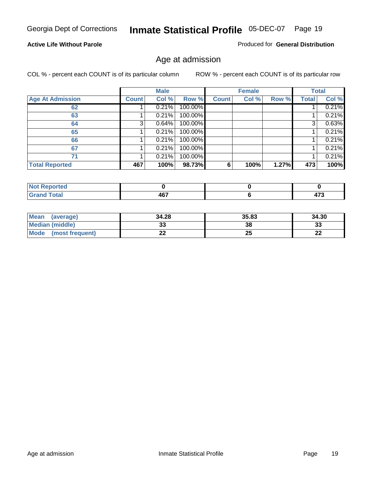#### **Active Life Without Parole**

Produced for **General Distribution**

### Age at admission

|                         |              | <b>Male</b> |         |              | <b>Female</b> |       |              | <b>Total</b> |
|-------------------------|--------------|-------------|---------|--------------|---------------|-------|--------------|--------------|
| <b>Age At Admission</b> | <b>Count</b> | Col %       | Row %   | <b>Count</b> | Col %         | Row % | <b>Total</b> | Col %        |
| 62                      |              | 0.21%       | 100.00% |              |               |       |              | 0.21%        |
| 63                      |              | 0.21%       | 100.00% |              |               |       |              | 0.21%        |
| 64                      | 3            | 0.64%       | 100.00% |              |               |       | 3            | 0.63%        |
| 65                      |              | 0.21%       | 100.00% |              |               |       |              | 0.21%        |
| 66                      |              | 0.21%       | 100.00% |              |               |       |              | 0.21%        |
| 67                      |              | 0.21%       | 100.00% |              |               |       |              | 0.21%        |
| 71                      |              | 0.21%       | 100.00% |              |               |       |              | 0.21%        |
| <b>Total Reported</b>   | 467          | 100%        | 98.73%  | 6            | 100%          | 1.27% | 473          | 100%         |

| <b>AG7</b><br>$\sim$ $\sim$ | $1 - \alpha$<br>__ |
|-----------------------------|--------------------|

| <b>Mean</b><br>(average) | 34.28 | 35.83 | 34.30     |
|--------------------------|-------|-------|-----------|
| <b>Median (middle)</b>   | აა    | 38    | 33        |
| Mode<br>(most frequent)  | LL    | 25    | nn.<br>LL |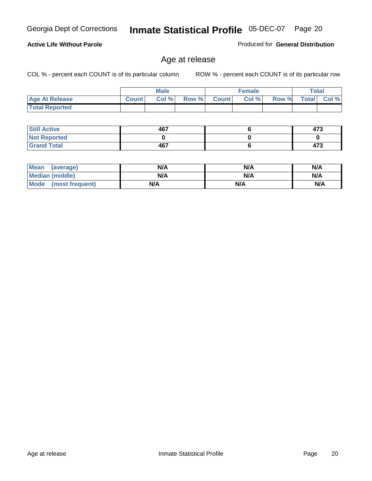#### **Active Life Without Parole**

Produced for **General Distribution**

### Age at release

|                       |              | <b>Male</b> |       |              | <b>Female</b> |       | Total        |          |
|-----------------------|--------------|-------------|-------|--------------|---------------|-------|--------------|----------|
| <b>Age At Release</b> | <b>Count</b> | Col%        | Row % | <b>Count</b> | Col %         | Row % | <b>Total</b> | Col $\%$ |
| <b>Total Reported</b> |              |             |       |              |               |       |              |          |

| <b>Still Active</b> | 467 | 473 |
|---------------------|-----|-----|
| <b>Not Reported</b> |     |     |
| <b>Grand Total</b>  | 467 | 473 |

| <b>Mean</b><br>(average) | N/A | N/A | N/A |
|--------------------------|-----|-----|-----|
| Median (middle)          | N/A | N/A | N/A |
| Mode<br>(most frequent)  | N/A | N/A | N/A |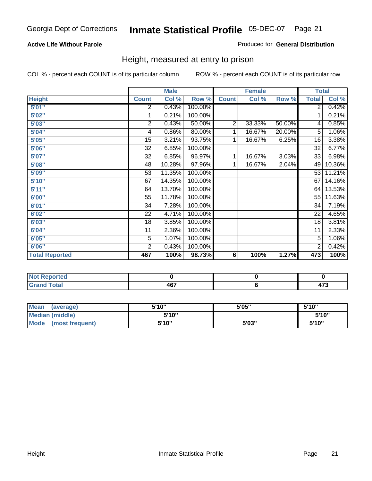#### **Active Life Without Parole**

#### Produced for **General Distribution**

### Height, measured at entry to prison

|                       |                | <b>Male</b> |         |                | <b>Female</b> |        | <b>Total</b>    |        |
|-----------------------|----------------|-------------|---------|----------------|---------------|--------|-----------------|--------|
| <b>Height</b>         | <b>Count</b>   | Col %       | Row %   | <b>Count</b>   | Col %         | Row %  | <b>Total</b>    | Col %  |
| 5'01''                | 2              | 0.43%       | 100.00% |                |               |        | $\overline{2}$  | 0.42%  |
| 5'02"                 | 1              | 0.21%       | 100.00% |                |               |        | 1               | 0.21%  |
| 5'03"                 | $\overline{c}$ | 0.43%       | 50.00%  | $\overline{2}$ | 33.33%        | 50.00% | 4               | 0.85%  |
| 5'04"                 | 4              | 0.86%       | 80.00%  | 1              | 16.67%        | 20.00% | 5               | 1.06%  |
| 5'05"                 | 15             | 3.21%       | 93.75%  | 1              | 16.67%        | 6.25%  | 16              | 3.38%  |
| 5'06''                | 32             | 6.85%       | 100.00% |                |               |        | $\overline{32}$ | 6.77%  |
| 5'07''                | 32             | 6.85%       | 96.97%  | 1              | 16.67%        | 3.03%  | 33              | 6.98%  |
| 5'08''                | 48             | 10.28%      | 97.96%  | 1              | 16.67%        | 2.04%  | 49              | 10.36% |
| <b>5'09"</b>          | 53             | 11.35%      | 100.00% |                |               |        | 53              | 11.21% |
| 5'10''                | 67             | 14.35%      | 100.00% |                |               |        | 67              | 14.16% |
| 5'11''                | 64             | 13.70%      | 100.00% |                |               |        | 64              | 13.53% |
| 6'00"                 | 55             | 11.78%      | 100.00% |                |               |        | 55              | 11.63% |
| 6'01''                | 34             | 7.28%       | 100.00% |                |               |        | 34              | 7.19%  |
| 6'02"                 | 22             | 4.71%       | 100.00% |                |               |        | 22              | 4.65%  |
| 6'03"                 | 18             | 3.85%       | 100.00% |                |               |        | 18              | 3.81%  |
| 6'04''                | 11             | 2.36%       | 100.00% |                |               |        | $\overline{11}$ | 2.33%  |
| 6'05"                 | 5              | 1.07%       | 100.00% |                |               |        | 5               | 1.06%  |
| 6'06"                 | $\overline{2}$ | 0.43%       | 100.00% |                |               |        | $\overline{c}$  | 0.42%  |
| <b>Total Reported</b> | 467            | 100%        | 98.73%  | 6              | 100%          | 1.27%  | 473             | 100%   |

| τeα<br>.           |                     |    |
|--------------------|---------------------|----|
| $-1$<br>-<br>_____ | 167<br>1υ<br>$\sim$ | __ |

| Mean<br>(average)              | 5'10" | 5'05" | 5'10" |
|--------------------------------|-------|-------|-------|
| Median (middle)                | 5'10" |       | 5'10" |
| <b>Mode</b><br>(most frequent) | 5'10" | 5'03" | 5'10" |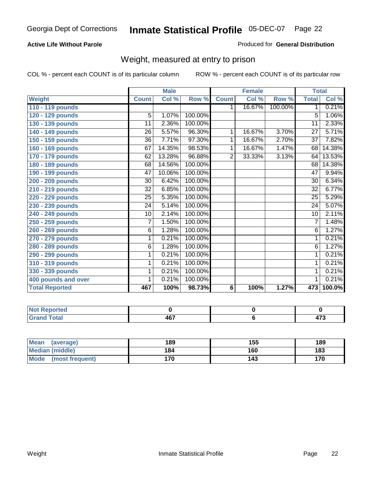#### **Active Life Without Parole**

#### Produced for **General Distribution**

### Weight, measured at entry to prison

|                       |                | <b>Male</b> |         |                | <b>Female</b> |         | <b>Total</b>    |        |
|-----------------------|----------------|-------------|---------|----------------|---------------|---------|-----------------|--------|
| <b>Weight</b>         | <b>Count</b>   | Col %       | Row %   | <b>Count</b>   | Col %         | Row %   | <b>Total</b>    | Col %  |
| 110 - 119 pounds      |                |             |         | 1.             | 16.67%        | 100.00% | 1               | 0.21%  |
| 120 - 129 pounds      | $\overline{5}$ | 1.07%       | 100.00% |                |               |         | 5               | 1.06%  |
| 130 - 139 pounds      | 11             | 2.36%       | 100.00% |                |               |         | 11              | 2.33%  |
| 140 - 149 pounds      | 26             | 5.57%       | 96.30%  | $\mathbf 1$    | 16.67%        | 3.70%   | $\overline{27}$ | 5.71%  |
| 150 - 159 pounds      | 36             | 7.71%       | 97.30%  | 1              | 16.67%        | 2.70%   | $\overline{37}$ | 7.82%  |
| 160 - 169 pounds      | 67             | 14.35%      | 98.53%  | 1              | 16.67%        | 1.47%   | 68              | 14.38% |
| 170 - 179 pounds      | 62             | 13.28%      | 96.88%  | $\overline{2}$ | 33.33%        | 3.13%   | 64              | 13.53% |
| 180 - 189 pounds      | 68             | 14.56%      | 100.00% |                |               |         | 68              | 14.38% |
| 190 - 199 pounds      | 47             | 10.06%      | 100.00% |                |               |         | 47              | 9.94%  |
| 200 - 209 pounds      | 30             | 6.42%       | 100.00% |                |               |         | 30              | 6.34%  |
| 210 - 219 pounds      | 32             | 6.85%       | 100.00% |                |               |         | 32              | 6.77%  |
| 220 - 229 pounds      | 25             | 5.35%       | 100.00% |                |               |         | $\overline{25}$ | 5.29%  |
| 230 - 239 pounds      | 24             | 5.14%       | 100.00% |                |               |         | 24              | 5.07%  |
| 240 - 249 pounds      | 10             | 2.14%       | 100.00% |                |               |         | 10              | 2.11%  |
| 250 - 259 pounds      | $\overline{7}$ | 1.50%       | 100.00% |                |               |         | 7               | 1.48%  |
| 260 - 269 pounds      | $\overline{6}$ | 1.28%       | 100.00% |                |               |         | $\overline{6}$  | 1.27%  |
| 270 - 279 pounds      | 1              | 0.21%       | 100.00% |                |               |         | 1               | 0.21%  |
| 280 - 289 pounds      | 6              | 1.28%       | 100.00% |                |               |         | 6               | 1.27%  |
| 290 - 299 pounds      | 1              | 0.21%       | 100.00% |                |               |         | 1               | 0.21%  |
| 310 - 319 pounds      | 1              | 0.21%       | 100.00% |                |               |         | 1               | 0.21%  |
| 330 - 339 pounds      | 1              | 0.21%       | 100.00% |                |               |         | 1               | 0.21%  |
| 400 pounds and over   | 1              | 0.21%       | 100.00% |                |               |         | 1               | 0.21%  |
| <b>Total Reported</b> | 467            | 100%        | 98.73%  | 6              | 100%          | 1.27%   | 473             | 100.0% |

| ported<br><b>NGL</b> |     |      |
|----------------------|-----|------|
| <b>otal</b>          | 167 | ^‴   |
| $- \cdot$            | ישר | 41 J |

| <b>Mean</b><br>(average) | 189 | 155 | 189 |
|--------------------------|-----|-----|-----|
| <b>Median (middle)</b>   | 184 | 160 | 183 |
| Mode<br>(most frequent)  | 170 | 143 | 170 |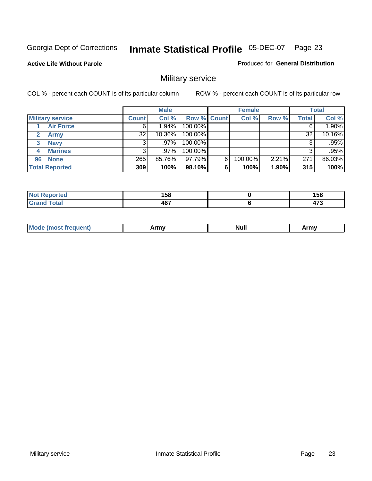**Active Life Without Parole** 

Produced for **General Distribution**

### Military service

|                         |              | <b>Male</b> |             |   | <b>Female</b> |       |              | <b>Total</b> |
|-------------------------|--------------|-------------|-------------|---|---------------|-------|--------------|--------------|
| <b>Military service</b> | <b>Count</b> | Col %       | Row % Count |   | Col %         | Row % | <b>Total</b> | Col %        |
| <b>Air Force</b>        | 6            | $1.94\%$    | 100.00%     |   |               |       | 6            | 1.90%        |
| <b>Army</b>             | 32           | $10.36\%$   | 100.00%     |   |               |       | 32           | 10.16%       |
| <b>Navy</b><br>3        |              | $.97\%$     | 100.00%     |   |               |       | 3            | .95%         |
| <b>Marines</b><br>4     | 3            | .97%        | 100.00%     |   |               |       | 3            | .95%         |
| 96 None                 | 265          | 85.76%      | 97.79%      | 6 | 100.00%       | 2.21% | 271          | 86.03%       |
| <b>Total Reported</b>   | 309          | 100%        | 98.10%      | 6 | 100%          | 1.90% | 315          | 100%         |

| <b>rten</b> | 4 E O<br>.JU<br>__ | 158<br>__    |
|-------------|--------------------|--------------|
| Cotot       | 467                | $- -$<br>473 |

| M<br><b>IVUII</b><br>.<br>. |
|-----------------------------|
|-----------------------------|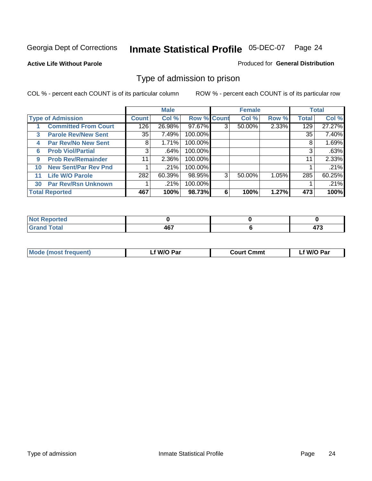#### **Active Life Without Parole**

#### Produced for **General Distribution**

### Type of admission to prison

|    |                             |                 | <b>Male</b> |                    |   | <b>Female</b> |       |              | <b>Total</b> |
|----|-----------------------------|-----------------|-------------|--------------------|---|---------------|-------|--------------|--------------|
|    | <b>Type of Admission</b>    | <b>Count</b>    | Col %       | <b>Row % Count</b> |   | Col %         | Row % | <b>Total</b> | Col %        |
|    | <b>Committed From Court</b> | 126             | 26.98%      | 97.67%             | 3 | 50.00%        | 2.33% | 129          | 27.27%       |
| 3  | <b>Parole Rev/New Sent</b>  | 35              | 7.49%       | 100.00%            |   |               |       | 35           | 7.40%        |
| 4  | <b>Par Rev/No New Sent</b>  | 8               | 1.71%       | 100.00%            |   |               |       | 8            | 1.69%        |
| 6  | <b>Prob Viol/Partial</b>    | 3               | .64%        | 100.00%            |   |               |       | 3            | .63%         |
| 9  | <b>Prob Rev/Remainder</b>   | 11 <sub>1</sub> | 2.36%       | 100.00%            |   |               |       | 11           | 2.33%        |
| 10 | <b>New Sent/Par Rev Pnd</b> |                 | .21%        | 100.00%            |   |               |       |              | .21%         |
| 11 | <b>Life W/O Parole</b>      | 282             | 60.39%      | 98.95%             | 3 | 50.00%        | 1.05% | 285          | 60.25%       |
| 30 | <b>Par Rev/Rsn Unknown</b>  |                 | .21%        | 100.00%            |   |               |       |              | .21%         |
|    | <b>Total Reported</b>       | 467             | 100%        | 98.73%             | 6 | 100%          | 1.27% | 473          | 100%         |

| <b>Reported</b><br>NOT                           |             |               |
|--------------------------------------------------|-------------|---------------|
| <b>Total</b><br>Care<br>$\sim$ . $\sim$ . $\sim$ | 167<br>tv r | $\rightarrow$ |

| <b>Mode (most frequent)</b> | <b>W/O Par</b> | <b>Court Cmmt</b> | M/O Par |
|-----------------------------|----------------|-------------------|---------|
|                             |                |                   |         |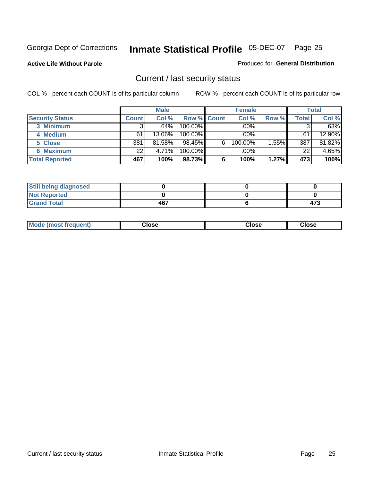**Active Life Without Parole** 

Produced for **General Distribution**

### Current / last security status

|                        |              | <b>Male</b> |                    |   | <b>Female</b> |       |       | <b>Total</b> |
|------------------------|--------------|-------------|--------------------|---|---------------|-------|-------|--------------|
| <b>Security Status</b> | <b>Count</b> | Col %       | <b>Row % Count</b> |   | Col %         | Row % | Total | Col %        |
| 3 Minimum              |              | $.64\%$     | $100.00\%$         |   | .00%          |       |       | .63%         |
| 4 Medium               | 61           | 13.06%      | $100.00\%$         |   | $.00\%$       |       | 61    | 12.90%       |
| 5 Close                | 381          | 81.58%      | 98.45%             | 6 | 100.00%       | 1.55% | 387   | 81.82%       |
| 6 Maximum              | 22           | 4.71%       | $100.00\%$         |   | .00%          |       | 22    | 4.65%        |
| <b>Total Reported</b>  | 467          | 100%        | 98.73%             | 6 | 100%          | 1.27% | 473   | 100%         |

| <b>Still being diagnosed</b> |     |     |
|------------------------------|-----|-----|
| <b>Not Reported</b>          |     |     |
| <b>Grand Total</b>           | 467 | 473 |

|  | Mo<br>frequent)<br>יצניות ו | Close<br>. | ાose<br>. | <b>OSE</b><br>. |
|--|-----------------------------|------------|-----------|-----------------|
|--|-----------------------------|------------|-----------|-----------------|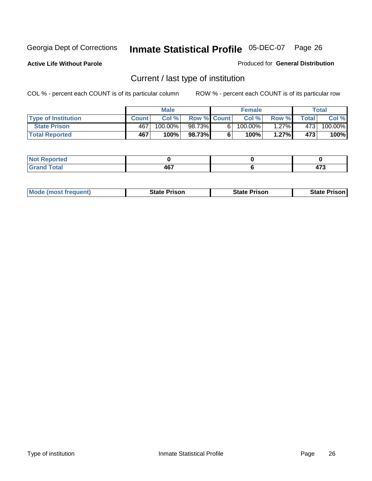**Active Life Without Parole** 

Produced for **General Distribution**

### Current / last type of institution

|                            |              | <b>Male</b> |                    | <b>Female</b> |          |        | Total   |
|----------------------------|--------------|-------------|--------------------|---------------|----------|--------|---------|
| <b>Type of Institution</b> | <b>Count</b> | Col%        | <b>Row % Count</b> | Col %         | Row %I   | Totall | Col %   |
| <b>State Prison</b>        | 467          | 100.00%     | 98.73%             | $100.00\%$    | $1.27\%$ | 4731   | 100.00% |
| <b>Total Reported</b>      | 467          | 100%        | 98.73%             | 100%          | 1.27%    | 473    | 100%    |

| <b>rted</b><br>$\sim$ |               |               |
|-----------------------|---------------|---------------|
| $\sim$                | A67           | $\rightarrow$ |
| $-1$ $-1$             | $\sim$ $\sim$ | __            |

|  | <b>Mode (most frequent)</b> | State Prison | <b>State Prison</b> | <b>State Prison</b> |
|--|-----------------------------|--------------|---------------------|---------------------|
|--|-----------------------------|--------------|---------------------|---------------------|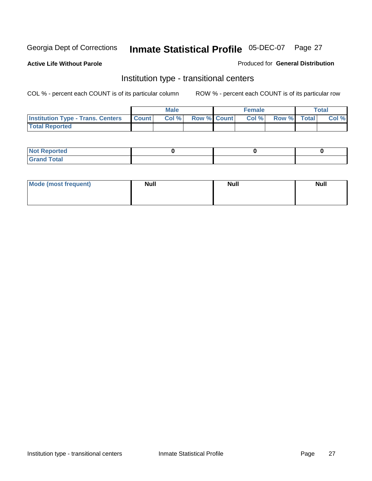**Active Life Without Parole** 

Produced for **General Distribution**

### Institution type - transitional centers

|                                          |              | <b>Male</b> |                    | <b>Female</b> |             | Total |
|------------------------------------------|--------------|-------------|--------------------|---------------|-------------|-------|
| <b>Institution Type - Trans. Centers</b> | <b>Count</b> | Col%        | <b>Row % Count</b> | Col %         | Row % Total | Col % |
| <b>Total Reported</b>                    |              |             |                    |               |             |       |

| rtea<br>20 NGL 2<br>  |  |  |
|-----------------------|--|--|
| into!<br>---<br>_____ |  |  |

| Mode (most frequent) | <b>Null</b> | <b>Null</b> | <b>Null</b> |
|----------------------|-------------|-------------|-------------|
|                      |             |             |             |
|                      |             |             |             |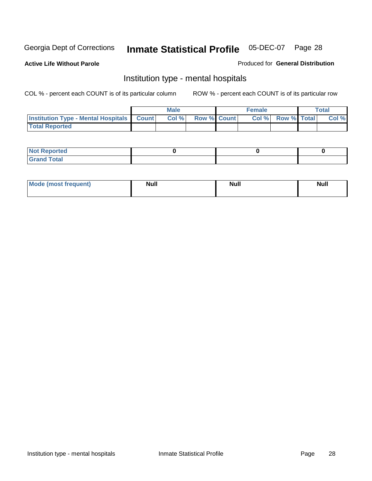**Active Life Without Parole** 

Produced for **General Distribution**

### Institution type - mental hospitals

|                                                  | <b>Male</b> |                    | <b>Female</b> |                   | Total |
|--------------------------------------------------|-------------|--------------------|---------------|-------------------|-------|
| <b>Institution Type - Mental Hospitals Count</b> | Col %       | <b>Row % Count</b> |               | Col % Row % Total | Col % |
| <b>Total Reported</b>                            |             |                    |               |                   |       |

| <b>Not Reported</b> |  |  |
|---------------------|--|--|
| <b>Fotal</b><br>Cro |  |  |

| Mode (most frequent) | <b>Null</b> | <b>Null</b> | <b>Null</b> |
|----------------------|-------------|-------------|-------------|
|                      |             |             |             |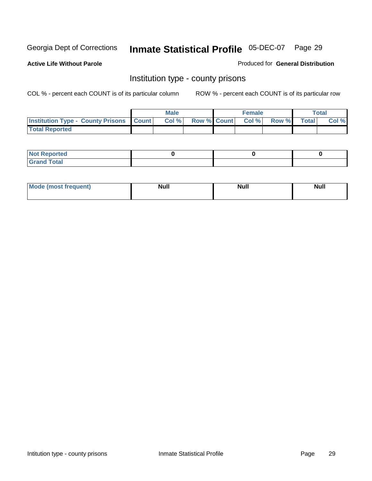**Active Life Without Parole** 

Produced for **General Distribution**

### Institution type - county prisons

|                                                    | <b>Male</b> |                          | <b>Female</b> |       |              | Total |
|----------------------------------------------------|-------------|--------------------------|---------------|-------|--------------|-------|
| <b>Institution Type - County Prisons   Count  </b> | Col %       | <b>Row % Count Col %</b> |               | Row % | <b>Total</b> | Col % |
| <b>Total Reported</b>                              |             |                          |               |       |              |       |

| <b>Not</b><br><b>Reported</b> |  |  |
|-------------------------------|--|--|
| <b>Grand Total</b>            |  |  |

| <b>Mo</b><br>frequent) | NI. . II<br>1u 11 | <b>Moll</b> | <b>Null</b> |
|------------------------|-------------------|-------------|-------------|
|                        |                   |             |             |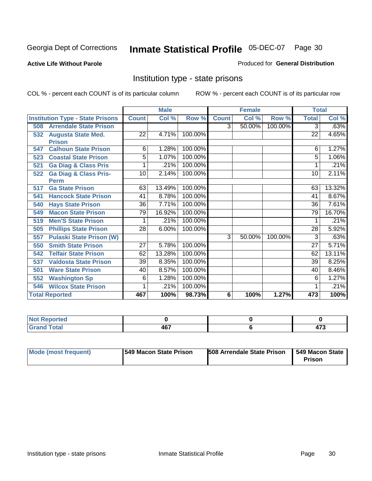**Active Life Without Parole** 

Produced for **General Distribution**

### Institution type - state prisons

|                       |                                         |                 | <b>Male</b> |         |              | <b>Female</b> |         | <b>Total</b>    |        |
|-----------------------|-----------------------------------------|-----------------|-------------|---------|--------------|---------------|---------|-----------------|--------|
|                       | <b>Institution Type - State Prisons</b> | <b>Count</b>    | Col %       | Row %   | <b>Count</b> | Col %         | Row %   | <b>Total</b>    | Col %  |
| 508                   | <b>Arrendale State Prison</b>           |                 |             |         | 3            | 50.00%        | 100.00% | 3               | .63%   |
| 532                   | <b>Augusta State Med.</b>               | 22              | 4.71%       | 100.00% |              |               |         | 22              | 4.65%  |
|                       | <b>Prison</b>                           |                 |             |         |              |               |         |                 |        |
| 547                   | <b>Calhoun State Prison</b>             | 6               | 1.28%       | 100.00% |              |               |         | 6               | 1.27%  |
| 523                   | <b>Coastal State Prison</b>             | 5               | 1.07%       | 100.00% |              |               |         | 5               | 1.06%  |
| 521                   | <b>Ga Diag &amp; Class Pris</b>         |                 | .21%        | 100.00% |              |               |         |                 | .21%   |
| 522                   | <b>Ga Diag &amp; Class Pris-</b>        | 10              | 2.14%       | 100.00% |              |               |         | 10              | 2.11%  |
|                       | <b>Perm</b>                             |                 |             |         |              |               |         |                 |        |
| 517                   | <b>Ga State Prison</b>                  | 63              | 13.49%      | 100.00% |              |               |         | 63              | 13.32% |
| 541                   | <b>Hancock State Prison</b>             | 41              | 8.78%       | 100.00% |              |               |         | 41              | 8.67%  |
| 540                   | <b>Hays State Prison</b>                | 36              | 7.71%       | 100.00% |              |               |         | $\overline{36}$ | 7.61%  |
| 549                   | <b>Macon State Prison</b>               | 79              | 16.92%      | 100.00% |              |               |         | 79              | 16.70% |
| 519                   | <b>Men'S State Prison</b>               |                 | .21%        | 100.00% |              |               |         |                 | .21%   |
| 505                   | <b>Phillips State Prison</b>            | $\overline{28}$ | 6.00%       | 100.00% |              |               |         | 28              | 5.92%  |
| 557                   | <b>Pulaski State Prison (W)</b>         |                 |             |         | 3            | 50.00%        | 100.00% | 3               | .63%   |
| 550                   | <b>Smith State Prison</b>               | $\overline{27}$ | 5.78%       | 100.00% |              |               |         | $\overline{27}$ | 5.71%  |
| 542                   | <b>Telfair State Prison</b>             | 62              | 13.28%      | 100.00% |              |               |         | 62              | 13.11% |
| 537                   | <b>Valdosta State Prison</b>            | 39              | 8.35%       | 100.00% |              |               |         | $\overline{39}$ | 8.25%  |
| 501                   | <b>Ware State Prison</b>                | 40              | 8.57%       | 100.00% |              |               |         | 40              | 8.46%  |
| 552                   | <b>Washington Sp</b>                    | 6               | 1.28%       | 100.00% |              |               |         | 6               | 1.27%  |
| 546                   | <b>Wilcox State Prison</b>              |                 | .21%        | 100.00% |              |               |         |                 | .21%   |
| <b>Total Reported</b> |                                         | 467             | 100%        | 98.73%  | 6            | 100%          | 1.27%   | 473             | 100%   |

| <b>Construction Construction</b><br>τеα |      |       |
|-----------------------------------------|------|-------|
| $f \wedge f \wedge f$                   | A67  | $- -$ |
| <u>i</u> Utal                           | TV I |       |

| Mode (most frequent) | 1549 Macon State Prison | <b>508 Arrendale State Prison</b> | 1549 Macon State<br>Prison |
|----------------------|-------------------------|-----------------------------------|----------------------------|
|----------------------|-------------------------|-----------------------------------|----------------------------|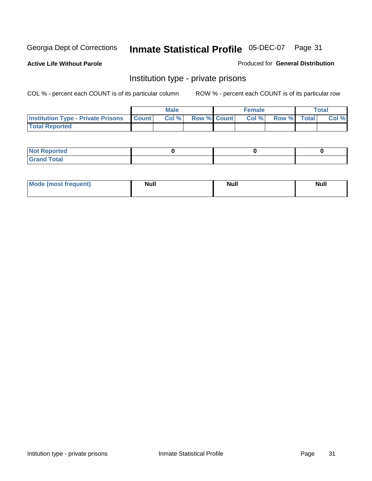**Active Life Without Parole** 

Produced for **General Distribution**

### Institution type - private prisons

|                                                     | <b>Male</b> |                    | <b>Female</b> |             | Total |
|-----------------------------------------------------|-------------|--------------------|---------------|-------------|-------|
| <b>Institution Type - Private Prisons   Count  </b> | Col %       | <b>Row % Count</b> | Col %         | Row % Total | Col % |
| <b>Total Reported</b>                               |             |                    |               |             |       |

| <b>Not Reported</b>             |  |  |
|---------------------------------|--|--|
| Cotal<br>Cror<br>. <del>.</del> |  |  |

| Mode (most frequent) | <b>Null</b> | <b>Null</b> | <b>Null</b> |
|----------------------|-------------|-------------|-------------|
|                      |             |             |             |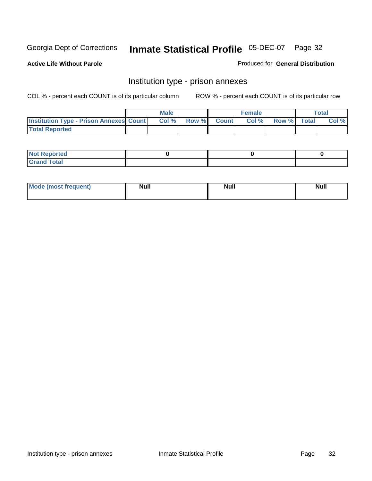**Active Life Without Parole** 

Produced for **General Distribution**

### Institution type - prison annexes

|                                                | <b>Male</b> |             | <b>Female</b> |             | <b>Total</b> |
|------------------------------------------------|-------------|-------------|---------------|-------------|--------------|
| <b>Institution Type - Prison Annexes Count</b> | Col %       | Row % Count | Col%          | Row % Total | Col %        |
| <b>Total Reported</b>                          |             |             |               |             |              |

| <b>Not Reported</b>            |  |  |
|--------------------------------|--|--|
| <b>Total</b><br>Croi<br>$\sim$ |  |  |

| Mode (most frequent) | <b>Null</b> | <b>Null</b> | <b>Null</b> |
|----------------------|-------------|-------------|-------------|
|                      |             |             |             |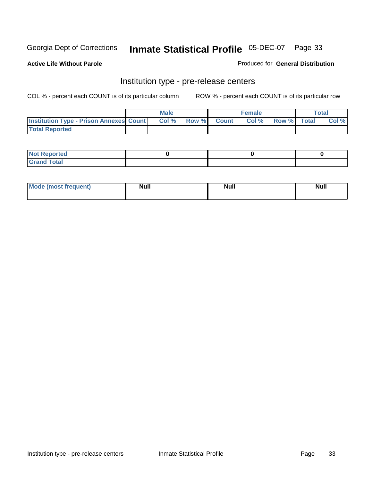**Active Life Without Parole** 

Produced for **General Distribution**

### Institution type - pre-release centers

|                                                | <b>Male</b> |                    | <b>Female</b> |             | <b>Total</b> |
|------------------------------------------------|-------------|--------------------|---------------|-------------|--------------|
| <b>Institution Type - Prison Annexes Count</b> | Col %       | <b>Row % Count</b> | Col %         | Row % Total | Col %        |
| <b>Total Reported</b>                          |             |                    |               |             |              |

| <b>Not</b><br><b>Reported</b>    |  |  |
|----------------------------------|--|--|
| <b>Total</b><br>Gran<br>$\sim$ . |  |  |

| Mode (most frequent) | <b>Null</b> | <b>Null</b><br>_____ | <b>Null</b> |
|----------------------|-------------|----------------------|-------------|
|                      |             |                      |             |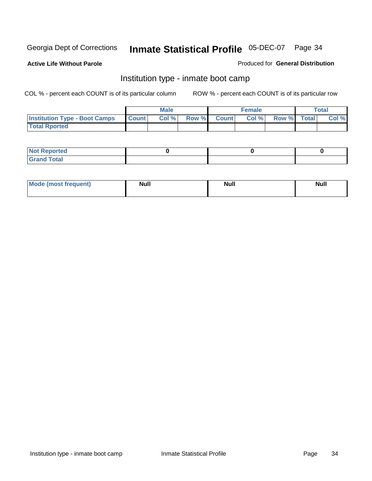**Active Life Without Parole** 

Produced for **General Distribution**

### Institution type - inmate boot camp

|                                      |              | Male  |             | <b>Female</b> |             | <b>Total</b> |
|--------------------------------------|--------------|-------|-------------|---------------|-------------|--------------|
| <b>Institution Type - Boot Camps</b> | <b>Count</b> | Col % | Row % Count | Col %         | Row % Total | Col %        |
| <b>Total Rported</b>                 |              |       |             |               |             |              |

| <b>Not Reported</b>  |  |  |
|----------------------|--|--|
| <b>Total</b><br>Croy |  |  |

| Mode (most frequent) | <b>Null</b> | <b>Null</b> | <b>Null</b> |
|----------------------|-------------|-------------|-------------|
|                      |             |             |             |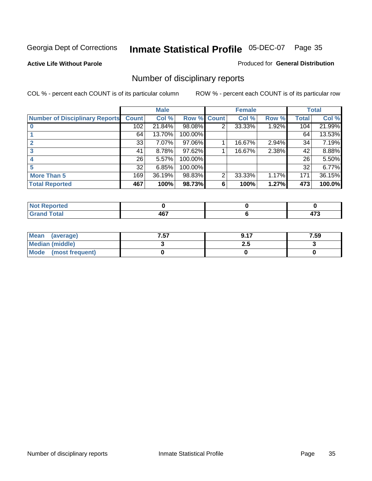**Active Life Without Parole** 

Produced for **General Distribution**

### Number of disciplinary reports

|                                       |              | <b>Male</b> |             |                | <b>Female</b> |       |              | <b>Total</b> |
|---------------------------------------|--------------|-------------|-------------|----------------|---------------|-------|--------------|--------------|
| <b>Number of Disciplinary Reports</b> | <b>Count</b> | Col %       | Row % Count |                | Col %         | Row % | <b>Total</b> | Col %        |
|                                       | 102          | 21.84%      | 98.08%      | 2              | 33.33%        | 1.92% | 104          | 21.99%       |
|                                       | 64           | 13.70%      | 100.00%     |                |               |       | 64           | 13.53%       |
|                                       | 33           | 7.07%       | 97.06%      |                | 16.67%        | 2.94% | 34           | 7.19%        |
|                                       | 41           | 8.78%       | 97.62%      |                | 16.67%        | 2.38% | 42           | 8.88%        |
|                                       | 26           | 5.57%       | 100.00%     |                |               |       | 26           | 5.50%        |
|                                       | 32           | 6.85%       | 100.00%     |                |               |       | 32           | 6.77%        |
| <b>More Than 5</b>                    | 169          | 36.19%      | 98.83%      | $\overline{2}$ | 33.33%        | 1.17% | 171          | 36.15%       |
| <b>Total Reported</b>                 | 467          | 100%        | 98.73%      | 6              | 100%          | 1.27% | 473          | 100.0%       |

| .<br>N<br>тес. |        |        |
|----------------|--------|--------|
| T <sub>1</sub> | 107    |        |
|                | $\sim$ | $\sim$ |

| Mean (average)       | 7.57 | 0.17 | 7.59 |
|----------------------|------|------|------|
| Median (middle)      |      | 2.J  |      |
| Mode (most frequent) |      |      |      |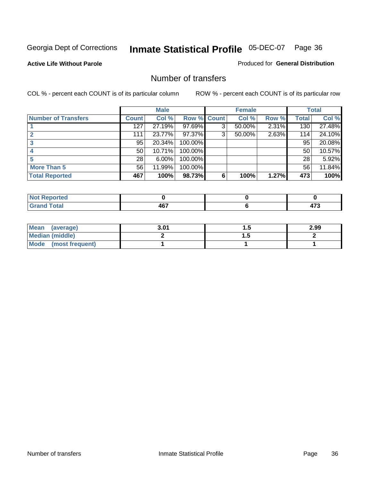**Active Life Without Parole** 

Produced for **General Distribution**

### Number of transfers

|                            |              | <b>Male</b> |             |   | <b>Female</b> |       |              | <b>Total</b> |
|----------------------------|--------------|-------------|-------------|---|---------------|-------|--------------|--------------|
| <b>Number of Transfers</b> | <b>Count</b> | Col %       | Row % Count |   | Col %         | Row % | <b>Total</b> | Col %        |
|                            | 127          | 27.19%      | 97.69%      | 3 | 50.00%        | 2.31% | 130          | 27.48%       |
|                            | 111          | 23.77%      | 97.37%      | 3 | 50.00%        | 2.63% | 114          | 24.10%       |
|                            | 95           | 20.34%      | 100.00%     |   |               |       | 95           | 20.08%       |
|                            | 50           | 10.71%      | 100.00%     |   |               |       | 50           | 10.57%       |
|                            | 28           | 6.00%       | 100.00%     |   |               |       | 28           | 5.92%        |
| <b>More Than 5</b>         | 56           | 11.99%      | 100.00%     |   |               |       | 56           | 11.84%       |
| <b>Total Reported</b>      | 467          | 100%        | 98.73%      | 6 | 100%          | 1.27% | 473          | 100%         |

| orted<br>NO                             |             |  |
|-----------------------------------------|-------------|--|
| $T0+0$<br>C-re<br><b>Utal</b><br>$\sim$ | 167<br>40 I |  |

| Mean (average)       | 3.01 |     | 2.99 |
|----------------------|------|-----|------|
| Median (middle)      |      | . . |      |
| Mode (most frequent) |      |     |      |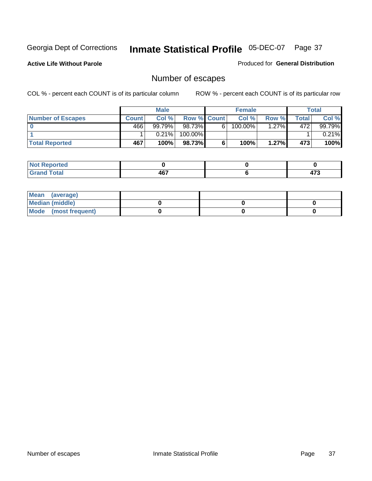**Active Life Without Parole** 

Produced for **General Distribution**

# Number of escapes

|                          |              | <b>Male</b> |                    |   | <b>Female</b> |          |       | <b>Total</b> |
|--------------------------|--------------|-------------|--------------------|---|---------------|----------|-------|--------------|
| <b>Number of Escapes</b> | <b>Count</b> | Col %       | <b>Row % Count</b> |   | Col %         | Row %    | Total | Col %        |
|                          | 466          | 99.79%      | 98.73%             | 6 | $100.00\%$    | $1.27\%$ | 472   | 99.79%       |
|                          |              | 0.21%       | 100.00%            |   |               |          |       | 0.21%        |
| <b>Total Reported</b>    | 467          | 100%        | 98.73%             |   | 100%          | 1.27%    | 473   | 100%         |

| المتحدقين<br>rreo |      |      |
|-------------------|------|------|
| <b>otal</b>       | AC7  | ים   |
| $\mathbf{v}$ and  | TV I | 71 J |

| Mean (average)       |  |  |
|----------------------|--|--|
| Median (middle)      |  |  |
| Mode (most frequent) |  |  |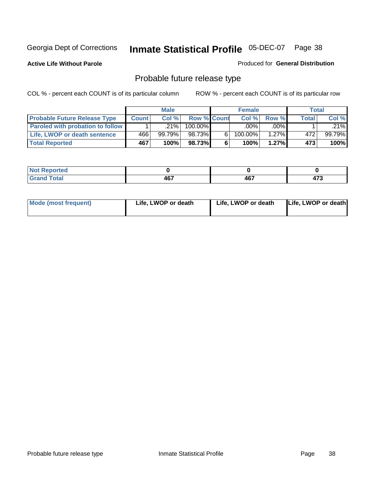**Active Life Without Parole** 

Produced for **General Distribution**

# Probable future release type

|                                         |              | <b>Male</b> |                    |    | <b>Female</b> |          |              | Total  |
|-----------------------------------------|--------------|-------------|--------------------|----|---------------|----------|--------------|--------|
| <b>Probable Future Release Type</b>     | <b>Count</b> | Col%        | <b>Row % Count</b> |    | Col%          | Row %    | <b>Total</b> | Col %  |
| <b>Paroled with probation to follow</b> |              | $.21\%$     | $100.00\%$         |    | $.00\%$       | $.00\%$  |              | .21%l  |
| Life, LWOP or death sentence            | 466          | 99.79%      | 98.73%             | ĥ. | 100.00%       | $1.27\%$ | 472          | 99.79% |
| <b>Total Reported</b>                   | 467          | 100%        | 98.73%             | 6  | 100%          | $1.27\%$ | 473          | 100%   |

| <b>rted</b><br>. |     |     |                    |
|------------------|-----|-----|--------------------|
| <b>otal</b>      | 467 | 467 | $\rightarrow$<br>. |

| Life, LWOP or death<br>Mode (most frequent)<br>Life, LWOP or death |  |  |  | Life, LWOP or death |
|--------------------------------------------------------------------|--|--|--|---------------------|
|--------------------------------------------------------------------|--|--|--|---------------------|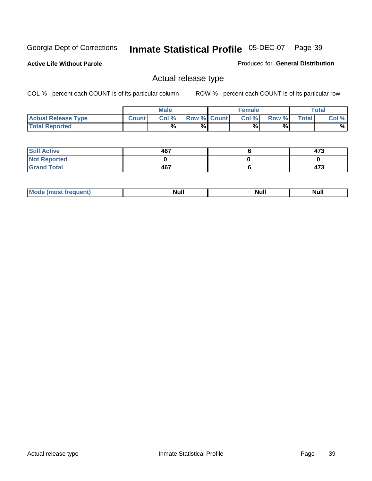**Active Life Without Parole** 

Produced for **General Distribution**

### Actual release type

|                            |              | <b>Male</b> |                    | <b>Female</b> |       |              | $\tau$ otal |
|----------------------------|--------------|-------------|--------------------|---------------|-------|--------------|-------------|
| <b>Actual Release Type</b> | <b>Count</b> | Col %       | <b>Row % Count</b> | Col %         | Row % | <b>Total</b> | Col %       |
| <b>Total Reported</b>      |              | %           | %                  | %             | %     |              | %           |

| <b>Still Active</b> | 467 | 473 |
|---------------------|-----|-----|
| <b>Not Reported</b> |     |     |
| <b>Grand Total</b>  | 467 | 473 |

| . . | . |  |
|-----|---|--|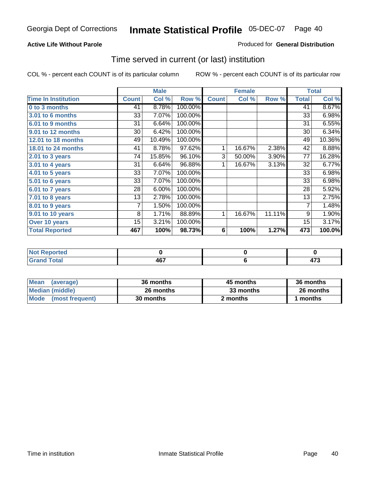#### **Active Life Without Parole**

#### Produced for **General Distribution**

### Time served in current (or last) institution

|                            |              | <b>Male</b> |         |              | <b>Female</b> |        |                | <b>Total</b> |
|----------------------------|--------------|-------------|---------|--------------|---------------|--------|----------------|--------------|
| <b>Time In Institution</b> | <b>Count</b> | Col %       | Row %   | <b>Count</b> | Col %         | Row %  | <b>Total</b>   | Col %        |
| 0 to 3 months              | 41           | 8.78%       | 100.00% |              |               |        | 41             | 8.67%        |
| 3.01 to 6 months           | 33           | 7.07%       | 100.00% |              |               |        | 33             | 6.98%        |
| 6.01 to 9 months           | 31           | 6.64%       | 100.00% |              |               |        | 31             | 6.55%        |
| 9.01 to 12 months          | 30           | 6.42%       | 100.00% |              |               |        | 30             | 6.34%        |
| 12.01 to 18 months         | 49           | 10.49%      | 100.00% |              |               |        | 49             | 10.36%       |
| 18.01 to 24 months         | 41           | 8.78%       | 97.62%  | 1            | 16.67%        | 2.38%  | 42             | 8.88%        |
| $2.01$ to 3 years          | 74           | 15.85%      | 96.10%  | 3            | 50.00%        | 3.90%  | 77             | 16.28%       |
| $3.01$ to 4 years          | 31           | 6.64%       | 96.88%  | 1            | 16.67%        | 3.13%  | 32             | 6.77%        |
| 4.01 to 5 years            | 33           | 7.07%       | 100.00% |              |               |        | 33             | 6.98%        |
| 5.01 to 6 years            | 33           | 7.07%       | 100.00% |              |               |        | 33             | 6.98%        |
| 6.01 to 7 years            | 28           | 6.00%       | 100.00% |              |               |        | 28             | 5.92%        |
| 7.01 to 8 years            | 13           | 2.78%       | 100.00% |              |               |        | 13             | 2.75%        |
| 8.01 to 9 years            | 7            | 1.50%       | 100.00% |              |               |        | $\overline{7}$ | 1.48%        |
| 9.01 to 10 years           | 8            | 1.71%       | 88.89%  | 1            | 16.67%        | 11.11% | 9              | 1.90%        |
| Over 10 years              | 15           | 3.21%       | 100.00% |              |               |        | 15             | 3.17%        |
| <b>Total Reported</b>      | 467          | 100%        | 98.73%  | 6            | 100%          | 1.27%  | 473            | 100.0%       |

| Reported<br><b>NOT</b> |            |               |
|------------------------|------------|---------------|
| <b>Total</b>           | 167<br>וטד | $\rightarrow$ |

| <b>Mean</b><br>(average)       | 36 months | 45 months | 36 months |  |
|--------------------------------|-----------|-----------|-----------|--|
| Median (middle)                | 26 months | 33 months | 26 months |  |
| <b>Mode</b><br>(most frequent) | 30 months | 2 months  | months    |  |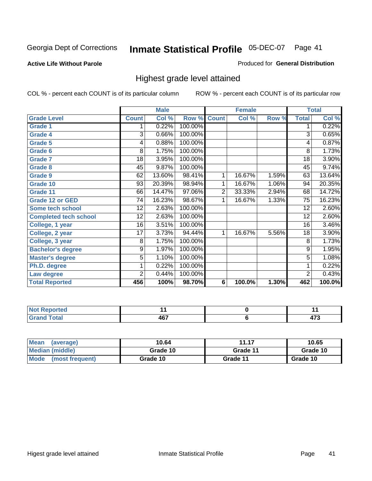#### **Active Life Without Parole**

#### Produced for **General Distribution**

### Highest grade level attained

|                              |                 | <b>Male</b> |         |                | <b>Female</b> |       |                 | <b>Total</b> |
|------------------------------|-----------------|-------------|---------|----------------|---------------|-------|-----------------|--------------|
| <b>Grade Level</b>           | <b>Count</b>    | Col %       | Row %   | <b>Count</b>   | Col %         | Row % | <b>Total</b>    | Col %        |
| <b>Grade 1</b>               | 1               | 0.22%       | 100.00% |                |               |       | 1               | 0.22%        |
| <b>Grade 4</b>               | 3               | 0.66%       | 100.00% |                |               |       | $\overline{3}$  | 0.65%        |
| Grade 5                      | 4               | 0.88%       | 100.00% |                |               |       | 4               | 0.87%        |
| Grade 6                      | 8               | 1.75%       | 100.00% |                |               |       | 8               | 1.73%        |
| <b>Grade 7</b>               | 18              | 3.95%       | 100.00% |                |               |       | $\overline{18}$ | 3.90%        |
| <b>Grade 8</b>               | 45              | 9.87%       | 100.00% |                |               |       | 45              | 9.74%        |
| <b>Grade 9</b>               | 62              | 13.60%      | 98.41%  | 1              | 16.67%        | 1.59% | 63              | 13.64%       |
| Grade 10                     | $\overline{93}$ | 20.39%      | 98.94%  | 1              | 16.67%        | 1.06% | 94              | 20.35%       |
| Grade 11                     | 66              | 14.47%      | 97.06%  | $\overline{2}$ | 33.33%        | 2.94% | 68              | 14.72%       |
| <b>Grade 12 or GED</b>       | 74              | 16.23%      | 98.67%  | 1              | 16.67%        | 1.33% | 75              | 16.23%       |
| <b>Some tech school</b>      | 12              | 2.63%       | 100.00% |                |               |       | 12              | 2.60%        |
| <b>Completed tech school</b> | 12              | 2.63%       | 100.00% |                |               |       | 12              | 2.60%        |
| College, 1 year              | 16              | 3.51%       | 100.00% |                |               |       | 16              | 3.46%        |
| College, 2 year              | 17              | 3.73%       | 94.44%  | 1              | 16.67%        | 5.56% | 18              | 3.90%        |
| College, 3 year              | 8               | 1.75%       | 100.00% |                |               |       | 8               | 1.73%        |
| <b>Bachelor's degree</b>     | 9               | 1.97%       | 100.00% |                |               |       | 9               | 1.95%        |
| <b>Master's degree</b>       | 5               | 1.10%       | 100.00% |                |               |       | $\overline{5}$  | 1.08%        |
| Ph.D. degree                 | 1               | 0.22%       | 100.00% |                |               |       | 1               | 0.22%        |
| Law degree                   | $\overline{2}$  | 0.44%       | 100.00% |                |               |       | $\overline{2}$  | 0.43%        |
| <b>Total Reported</b>        | 456             | 100%        | 98.70%  | 6              | 100.0%        | 1.30% | 462             | 100.0%       |

| i Alban<br>الدرجية.<br>τeα<br>m.<br>. |            |     |
|---------------------------------------|------------|-----|
| Total.<br><b>C.A.A</b><br>-           | 167<br>TV. | --- |

| <b>Mean</b><br>(average)       | 10.64    | 11.17    | 10.65    |  |  |
|--------------------------------|----------|----------|----------|--|--|
| Median (middle)                | Grade 10 | Grade 11 | Grade 10 |  |  |
| <b>Mode</b><br>(most frequent) | Grade 10 | Grade 11 | Grade 10 |  |  |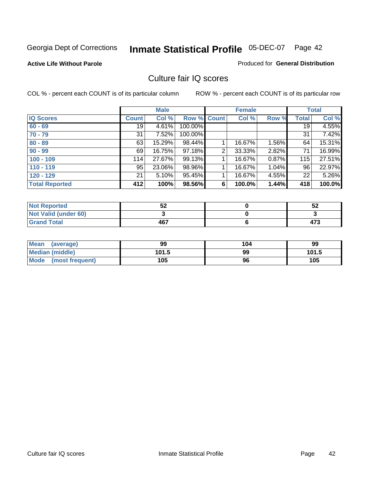**Active Life Without Parole** 

Produced for **General Distribution**

### Culture fair IQ scores

|                       |              | <b>Male</b> |             |   | <b>Female</b> |          |              | <b>Total</b> |
|-----------------------|--------------|-------------|-------------|---|---------------|----------|--------------|--------------|
| <b>IQ Scores</b>      | <b>Count</b> | Col %       | Row % Count |   | Col %         | Row %    | <b>Total</b> | Col %        |
| $60 - 69$             | 19           | 4.61%       | 100.00%     |   |               |          | 19           | 4.55%        |
| $70 - 79$             | 31           | 7.52%       | 100.00%     |   |               |          | 31           | 7.42%        |
| $80 - 89$             | 63           | 15.29%      | 98.44%      |   | 16.67%        | $1.56\%$ | 64           | 15.31%       |
| $90 - 99$             | 69           | 16.75%      | 97.18%      | 2 | 33.33%        | 2.82%    | 71           | 16.99%       |
| $100 - 109$           | 114          | 27.67%      | 99.13%      |   | 16.67%        | 0.87%    | 115          | 27.51%       |
| $110 - 119$           | 95           | 23.06%      | 98.96%      |   | 16.67%        | 1.04%    | 96           | 22.97%       |
| $120 - 129$           | 21           | 5.10%       | 95.45%      |   | 16.67%        | 4.55%    | 22           | 5.26%        |
| <b>Total Reported</b> | 412          | 100%        | 98.56%      | 6 | 100.0%        | 1.44%    | 418          | 100.0%       |

| <b>Not Reported</b>         | c o<br>ാ∠ | 52  |
|-----------------------------|-----------|-----|
| <b>Not Valid (under 60)</b> |           |     |
| <b>Grand Total</b>          | 467       | 473 |

| <b>Mean</b><br>(average)       | 99    | 104 | 99    |
|--------------------------------|-------|-----|-------|
| <b>Median (middle)</b>         | 101.5 | 99  | 101.5 |
| <b>Mode</b><br>(most frequent) | 105   | 96  | 105   |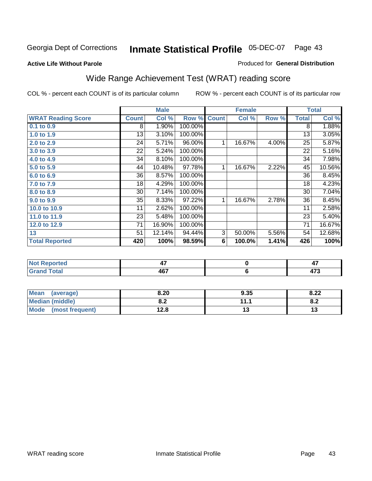#### **Active Life Without Parole**

### Produced for **General Distribution**

# Wide Range Achievement Test (WRAT) reading score

|                           |              | <b>Male</b> |         |              | <b>Female</b> |       |                 | <b>Total</b> |
|---------------------------|--------------|-------------|---------|--------------|---------------|-------|-----------------|--------------|
| <b>WRAT Reading Score</b> | <b>Count</b> | Col %       | Row %   | <b>Count</b> | Col %         | Row % | <b>Total</b>    | Col %        |
| 0.1 to 0.9                | 8            | 1.90%       | 100.00% |              |               |       | 8               | 1.88%        |
| 1.0 to 1.9                | 13           | 3.10%       | 100.00% |              |               |       | 13              | 3.05%        |
| 2.0 to 2.9                | 24           | 5.71%       | 96.00%  | 1            | 16.67%        | 4.00% | $\overline{25}$ | 5.87%        |
| 3.0 to 3.9                | 22           | 5.24%       | 100.00% |              |               |       | 22              | 5.16%        |
| 4.0 to 4.9                | 34           | 8.10%       | 100.00% |              |               |       | 34              | 7.98%        |
| 5.0 to 5.9                | 44           | 10.48%      | 97.78%  | 1            | 16.67%        | 2.22% | 45              | 10.56%       |
| 6.0 to 6.9                | 36           | 8.57%       | 100.00% |              |               |       | 36              | 8.45%        |
| 7.0 to 7.9                | 18           | 4.29%       | 100.00% |              |               |       | 18              | 4.23%        |
| 8.0 to 8.9                | 30           | 7.14%       | 100.00% |              |               |       | 30              | 7.04%        |
| 9.0 to 9.9                | 35           | 8.33%       | 97.22%  | 1            | 16.67%        | 2.78% | 36              | 8.45%        |
| 10.0 to 10.9              | 11           | 2.62%       | 100.00% |              |               |       | 11              | 2.58%        |
| 11.0 to 11.9              | 23           | 5.48%       | 100.00% |              |               |       | 23              | 5.40%        |
| 12.0 to 12.9              | 71           | 16.90%      | 100.00% |              |               |       | $\overline{71}$ | 16.67%       |
| 13                        | 51           | 12.14%      | 94.44%  | 3            | 50.00%        | 5.56% | 54              | 12.68%       |
| <b>Total Reported</b>     | 420          | 100%        | 98.59%  | 6            | 100.0%        | 1.41% | 426             | 100%         |
|                           |              |             |         |              |               |       |                 |              |
| <b>Not Reported</b>       |              | 47          |         |              | $\pmb{0}$     |       |                 | 47           |
| <b>Grand Total</b>        |              | 467         |         |              | 6             |       |                 | 473          |

| <b>Mean</b><br>(average) | 8.20       | 9.35 | 8.22 |
|--------------------------|------------|------|------|
| Median (middle)          | י ס<br>0.Z | 111  | O.A  |
| Mode (most frequent)     | 12.8       | "    | IJ   |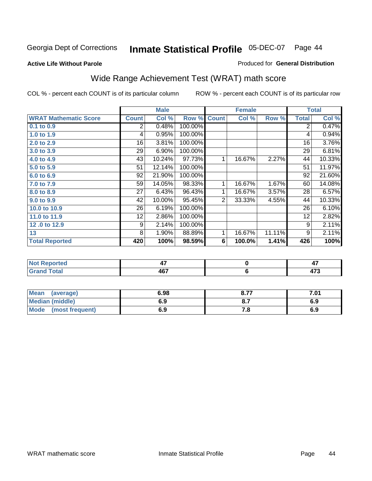**Active Life Without Parole** 

#### Produced for **General Distribution**

# Wide Range Achievement Test (WRAT) math score

COL % - percent each COUNT is of its particular column ROW % - percent each COUNT is of its particular row

 **6**

|                              |                | <b>Male</b> |         |                | <b>Female</b> |        |              | <b>Total</b> |
|------------------------------|----------------|-------------|---------|----------------|---------------|--------|--------------|--------------|
| <b>WRAT Mathematic Score</b> | <b>Count</b>   | Col %       | Row %   | <b>Count</b>   | Col %         | Row %  | <b>Total</b> | Col %        |
| 0.1 to 0.9                   | $\overline{2}$ | 0.48%       | 100.00% |                |               |        | 2            | 0.47%        |
| 1.0 to 1.9                   | 4              | 0.95%       | 100.00% |                |               |        | 4            | 0.94%        |
| 2.0 to 2.9                   | 16             | 3.81%       | 100.00% |                |               |        | 16           | 3.76%        |
| 3.0 to 3.9                   | 29             | 6.90%       | 100.00% |                |               |        | 29           | 6.81%        |
| 4.0 to 4.9                   | 43             | 10.24%      | 97.73%  | $\mathbf{1}$   | 16.67%        | 2.27%  | 44           | 10.33%       |
| 5.0 to 5.9                   | 51             | 12.14%      | 100.00% |                |               |        | 51           | 11.97%       |
| 6.0 to 6.9                   | 92             | 21.90%      | 100.00% |                |               |        | 92           | 21.60%       |
| 7.0 to 7.9                   | 59             | 14.05%      | 98.33%  | 1              | 16.67%        | 1.67%  | 60           | 14.08%       |
| 8.0 to 8.9                   | 27             | 6.43%       | 96.43%  | 1              | 16.67%        | 3.57%  | 28           | 6.57%        |
| 9.0 to 9.9                   | 42             | 10.00%      | 95.45%  | $\overline{2}$ | 33.33%        | 4.55%  | 44           | 10.33%       |
| 10.0 to 10.9                 | 26             | 6.19%       | 100.00% |                |               |        | 26           | 6.10%        |
| 11.0 to 11.9                 | 12             | 2.86%       | 100.00% |                |               |        | 12           | 2.82%        |
| 12.0 to 12.9                 | 9              | 2.14%       | 100.00% |                |               |        | 9            | 2.11%        |
| 13                           | 8              | 1.90%       | 88.89%  | 1              | 16.67%        | 11.11% | 9            | 2.11%        |
| <b>Total Reported</b>        | 420            | 100%        | 98.59%  | 6              | 100.0%        | 1.41%  | 426          | 100%         |
|                              |                |             |         |                |               |        |              |              |
| <b>Not Reported</b>          |                | 47          |         |                | $\mathbf 0$   |        |              | 47           |

| Mean<br>(average)              | 6.98 | o 77<br>0.7     | '.01 |
|--------------------------------|------|-----------------|------|
| <b>Median (middle)</b>         | 6.9  | $\mathbf{o}$ ., | ৩.৬  |
| <b>Mode</b><br>(most frequent) | 6.9  | . о             | ৩.৬  |

 **467**

 **Grand Total**

 **473**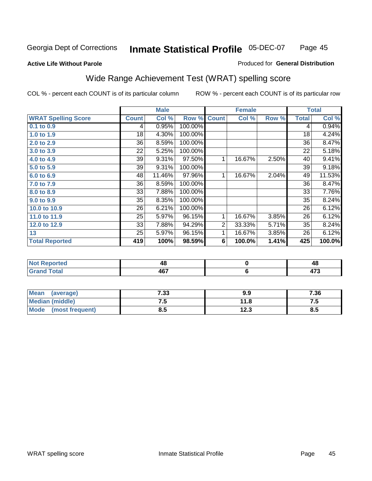#### **Active Life Without Parole**

#### Produced for **General Distribution**

# Wide Range Achievement Test (WRAT) spelling score

|                            |              | <b>Male</b> |         |                | <b>Female</b> |       |              | <b>Total</b> |
|----------------------------|--------------|-------------|---------|----------------|---------------|-------|--------------|--------------|
| <b>WRAT Spelling Score</b> | <b>Count</b> | Col %       | Row %   | <b>Count</b>   | Col %         | Row % | <b>Total</b> | Col %        |
| 0.1 to 0.9                 | 4            | 0.95%       | 100.00% |                |               |       | 4            | 0.94%        |
| 1.0 to 1.9                 | 18           | 4.30%       | 100.00% |                |               |       | 18           | 4.24%        |
| 2.0 to 2.9                 | 36           | 8.59%       | 100.00% |                |               |       | 36           | 8.47%        |
| 3.0 to 3.9                 | 22           | 5.25%       | 100.00% |                |               |       | 22           | 5.18%        |
| 4.0 to 4.9                 | 39           | 9.31%       | 97.50%  | 1              | 16.67%        | 2.50% | 40           | 9.41%        |
| 5.0 to 5.9                 | 39           | 9.31%       | 100.00% |                |               |       | 39           | 9.18%        |
| 6.0 to 6.9                 | 48           | 11.46%      | 97.96%  | 1              | 16.67%        | 2.04% | 49           | 11.53%       |
| 7.0 to 7.9                 | 36           | 8.59%       | 100.00% |                |               |       | 36           | 8.47%        |
| 8.0 to 8.9                 | 33           | 7.88%       | 100.00% |                |               |       | 33           | 7.76%        |
| 9.0 to 9.9                 | 35           | 8.35%       | 100.00% |                |               |       | 35           | 8.24%        |
| 10.0 to 10.9               | 26           | 6.21%       | 100.00% |                |               |       | 26           | 6.12%        |
| 11.0 to 11.9               | 25           | 5.97%       | 96.15%  | 1              | 16.67%        | 3.85% | 26           | 6.12%        |
| 12.0 to 12.9               | 33           | 7.88%       | 94.29%  | $\overline{2}$ | 33.33%        | 5.71% | 35           | 8.24%        |
| 13                         | 25           | 5.97%       | 96.15%  | 1              | 16.67%        | 3.85% | 26           | 6.12%        |
| <b>Total Reported</b>      | 419          | 100%        | 98.59%  | 6              | 100.0%        | 1.41% | 425          | 100.0%       |
|                            |              |             |         |                |               |       |              |              |
| <b>Not Reported</b>        |              | 48          |         |                | $\pmb{0}$     |       |              | 48           |
| <b>Grand Total</b>         |              | 467         |         |                | $\bf 6$       |       |              | 473          |
|                            |              |             |         |                |               |       |              |              |

| Mean (average)       | 7.33 | 9.9  | 7.36 |
|----------------------|------|------|------|
| Median (middle)      | ن. ا | 11.8 | ن ،  |
| Mode (most frequent) | 8.5  | 12.3 | 8.5  |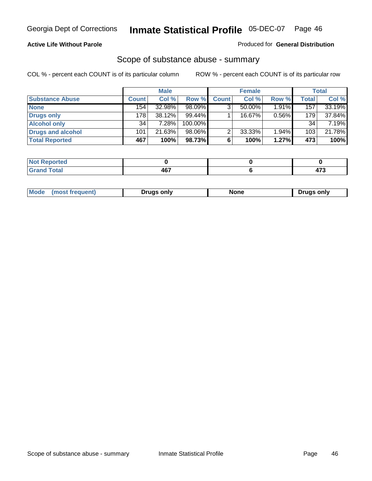#### **Active Life Without Parole**

#### Produced for **General Distribution**

### Scope of substance abuse - summary

|                        |                  | <b>Male</b> |            |              | <b>Female</b> |          |                  | Total  |
|------------------------|------------------|-------------|------------|--------------|---------------|----------|------------------|--------|
| <b>Substance Abuse</b> | Count!           | Col %       | Row %      | <b>Count</b> | Col %         | Row %    | Total            | Col %  |
| <b>None</b>            | 154 <sub>1</sub> | 32.98%      | 98.09%     |              | 50.00%        | $1.91\%$ | 157 <sub>1</sub> | 33.19% |
| Drugs only             | 178              | 38.12%      | 99.44%     |              | 16.67%        | 0.56%    | 179              | 37.84% |
| <b>Alcohol only</b>    | 34               | 7.28%       | $100.00\%$ |              |               |          | 34               | 7.19%  |
| Drugs and alcohol      | 101              | 21.63%      | 98.06%     |              | 33.33%        | 1.94%    | 103              | 21.78% |
| <b>Total Reported</b>  | 467              | 100%        | 98.73%     | 6            | 100%          | 1.27%    | 473              | 100%   |

| <b>Not</b><br><b>Reported</b> |            |   |
|-------------------------------|------------|---|
| <b>Total</b><br>' Grano       | <b>AG7</b> | . |

|  | Mode<br>trequent.<br>most | Drugs only | …u∩n | ∍oniv<br>Druas |
|--|---------------------------|------------|------|----------------|
|--|---------------------------|------------|------|----------------|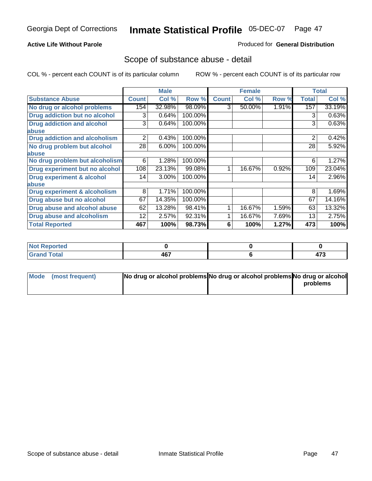### **Active Life Without Parole**

#### Produced for **General Distribution**

### Scope of substance abuse - detail

|                                         |              | <b>Male</b> |         |              | <b>Female</b> |       |              | <b>Total</b> |
|-----------------------------------------|--------------|-------------|---------|--------------|---------------|-------|--------------|--------------|
| <b>Substance Abuse</b>                  | <b>Count</b> | Col %       | Row %   | <b>Count</b> | Col %         | Row % | <b>Total</b> | Col %        |
| No drug or alcohol problems             | 154          | 32.98%      | 98.09%  | 3            | 50.00%        | 1.91% | 157          | 33.19%       |
| Drug addiction but no alcohol           | 3            | 0.64%       | 100.00% |              |               |       | 3            | 0.63%        |
| <b>Drug addiction and alcohol</b>       | 3            | 0.64%       | 100.00% |              |               |       | 3            | 0.63%        |
| abuse                                   |              |             |         |              |               |       |              |              |
| <b>Drug addiction and alcoholism</b>    | 2            | 0.43%       | 100.00% |              |               |       | 2            | 0.42%        |
| No drug problem but alcohol             | 28           | 6.00%       | 100.00% |              |               |       | 28           | 5.92%        |
| abuse                                   |              |             |         |              |               |       |              |              |
| No drug problem but alcoholism          | 6            | 1.28%       | 100.00% |              |               |       | 6            | 1.27%        |
| Drug experiment but no alcohol          | 108          | 23.13%      | 99.08%  |              | 16.67%        | 0.92% | 109          | 23.04%       |
| <b>Drug experiment &amp; alcohol</b>    | 14           | 3.00%       | 100.00% |              |               |       | 14           | 2.96%        |
| abuse                                   |              |             |         |              |               |       |              |              |
| <b>Drug experiment &amp; alcoholism</b> | 8            | 1.71%       | 100.00% |              |               |       | 8            | 1.69%        |
| Drug abuse but no alcohol               | 67           | 14.35%      | 100.00% |              |               |       | 67           | 14.16%       |
| Drug abuse and alcohol abuse            | 62           | 13.28%      | 98.41%  |              | 16.67%        | 1.59% | 63           | 13.32%       |
| Drug abuse and alcoholism               | 12           | 2.57%       | 92.31%  |              | 16.67%        | 7.69% | 13           | 2.75%        |
| <b>Total Reported</b>                   | 467          | 100%        | 98.73%  | 6            | 100%          | 1.27% | 473          | 100%         |

| Not Reported |            |               |
|--------------|------------|---------------|
| <b>Total</b> | <b>AG7</b> | $\rightarrow$ |
| <b>Gran</b>  | וטר        | 41 J          |

| Mode (most frequent) | No drug or alcohol problems No drug or alcohol problems No drug or alcohol |          |
|----------------------|----------------------------------------------------------------------------|----------|
|                      |                                                                            | problems |
|                      |                                                                            |          |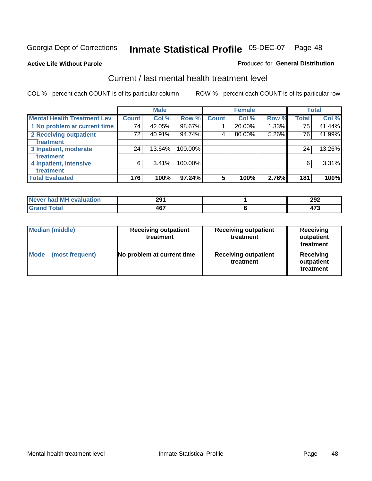**Active Life Without Parole** 

#### Produced for **General Distribution**

### Current / last mental health treatment level

|                                    |                 | <b>Male</b> |            |                 | <b>Female</b> |          |              | <b>Total</b> |
|------------------------------------|-----------------|-------------|------------|-----------------|---------------|----------|--------------|--------------|
| <b>Mental Health Treatment Lev</b> | <b>Count</b>    | Col %       | Row %      | <b>Count</b>    | Col %         | Row %    | <b>Total</b> | Col %        |
| 1 No problem at current time       | 74 <sub>1</sub> | 42.05%      | 98.67%     |                 | 20.00%        | $1.33\%$ | 75           | 41.44%       |
| 2 Receiving outpatient             | 72              | 40.91%      | 94.74%     | 4               | 80.00%        | 5.26%    | 76           | 41.99%       |
| <b>Treatment</b>                   |                 |             |            |                 |               |          |              |              |
| 3 Inpatient, moderate              | 24              | 13.64%      | 100.00%    |                 |               |          | 24           | 13.26%       |
| treatment                          |                 |             |            |                 |               |          |              |              |
| 4 Inpatient, intensive             | 6               | 3.41%       | $100.00\%$ |                 |               |          | 6            | 3.31%        |
| treatment                          |                 |             |            |                 |               |          |              |              |
| <b>Total Evaluated</b>             | 176             | 100%        | 97.24%     | $5\phantom{.0}$ | 100%          | 2.76%    | 181          | 100%         |

| Never had MH evaluation | 291       | 292 |
|-------------------------|-----------|-----|
| $F = 4$                 | 167<br>1υ | ^~^ |

| <b>Median (middle)</b>         | <b>Receiving outpatient</b><br>treatment | <b>Receiving outpatient</b><br>treatment | <b>Receiving</b><br>outpatient<br>treatment |
|--------------------------------|------------------------------------------|------------------------------------------|---------------------------------------------|
| <b>Mode</b><br>(most frequent) | No problem at current time               | <b>Receiving outpatient</b><br>treatment | Receiving<br>outpatient<br>treatment        |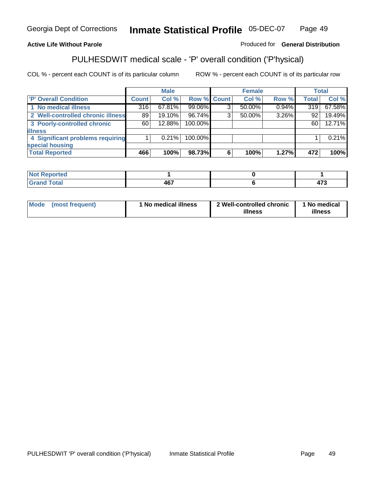### **Active Life Without Parole**

### Produced for **General Distribution**

# PULHESDWIT medical scale - 'P' overall condition ('P'hysical)

|                                   |         | <b>Male</b> |             |   | <b>Female</b> |       |              | <b>Total</b> |
|-----------------------------------|---------|-------------|-------------|---|---------------|-------|--------------|--------------|
| 'P' Overall Condition             | Count l | Col %       | Row % Count |   | Col %         | Row % | <b>Total</b> | Col %        |
| 1 No medical illness              | 316     | 67.81%      | 99.06%      | ົ | 50.00%        | 0.94% | 319          | 67.58%       |
| 2 Well-controlled chronic illness | 89      | 19.10%      | 96.74%      | 3 | 50.00%        | 3.26% | 92           | 19.49%       |
| 3 Poorly-controlled chronic       | 60      | 12.88%      | 100.00%     |   |               |       | 60           | 12.71%       |
| <b>illness</b>                    |         |             |             |   |               |       |              |              |
| 4 Significant problems requiring  |         | $0.21\%$    | 100.00%     |   |               |       |              | 0.21%        |
| special housing                   |         |             |             |   |               |       |              |              |
| <b>Total Reported</b>             | 466     | 100%        | 98.73%      |   | 100%          | 1.27% | 472          | 100%         |

| Not Reported        |            |    |
|---------------------|------------|----|
| <b>otal</b><br>re e | A67<br>___ | -- |

| Mode            | ' No medical illness | 2 Well-controlled chronic | 1 No medical |
|-----------------|----------------------|---------------------------|--------------|
| (most frequent) |                      | illness                   | illness      |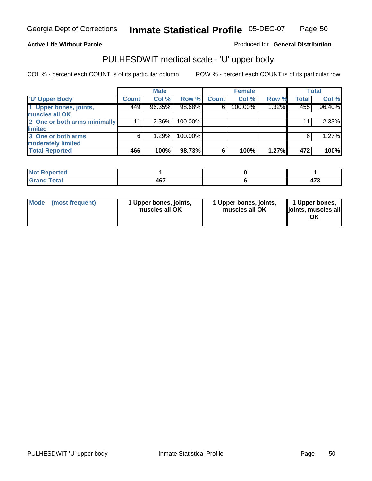### **Active Life Without Parole**

Produced for **General Distribution**

# PULHESDWIT medical scale - 'U' upper body

|                              |              | <b>Male</b> |         |              | <b>Female</b> |       |              | <b>Total</b> |
|------------------------------|--------------|-------------|---------|--------------|---------------|-------|--------------|--------------|
| <b>TU' Upper Body</b>        | <b>Count</b> | Col %       | Row %   | <b>Count</b> | Col %         | Row % | <b>Total</b> | Col %        |
| 1 Upper bones, joints,       | 449          | 96.35%      | 98.68%  | 6            | 100.00%       | 1.32% | 455          | 96.40%       |
| muscles all OK               |              |             |         |              |               |       |              |              |
| 2 One or both arms minimally | 11           | $2.36\%$    | 100.00% |              |               |       | 11           | $2.33\%$     |
| limited                      |              |             |         |              |               |       |              |              |
| 3 One or both arms           | 6            | 1.29%       | 100.00% |              |               |       | 6            | 1.27%        |
| moderately limited           |              |             |         |              |               |       |              |              |
| <b>Total Reported</b>        | 466          | 100%        | 98.73%  | 6            | 100%          | 1.27% | 472          | 100%         |

| المستخلصات<br>Reported<br><b>NU</b> |                   |                              |
|-------------------------------------|-------------------|------------------------------|
| inta'<br>_____                      | 1C7<br>TV.<br>$-$ | $\rightarrow$<br>- 1<br>71 J |

| Mode | (most frequent) | 1 Upper bones, joints,<br>muscles all OK | 1 Upper bones, joints,<br>muscles all OK | 1 Upper bones,<br>joints, muscles all |
|------|-----------------|------------------------------------------|------------------------------------------|---------------------------------------|
|------|-----------------|------------------------------------------|------------------------------------------|---------------------------------------|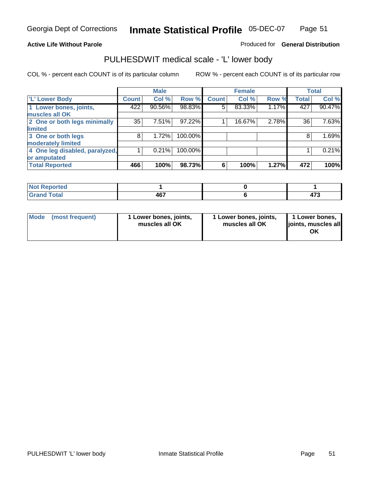#### **Active Life Without Parole**

#### Produced for **General Distribution**

### PULHESDWIT medical scale - 'L' lower body

|                                |       | <b>Male</b> |         |              | <b>Female</b> |       |              | <b>Total</b> |
|--------------------------------|-------|-------------|---------|--------------|---------------|-------|--------------|--------------|
| 'L' Lower Body                 | Count | Col %       | Row %   | <b>Count</b> | Col %         | Row % | <b>Total</b> | Col %        |
| 1 Lower bones, joints,         | 422   | 90.56%      | 98.83%  | 5            | 83.33%        | 1.17% | 427          | 90.47%       |
| muscles all OK                 |       |             |         |              |               |       |              |              |
| 2 One or both legs minimally   | 35    | 7.51%       | 97.22%  |              | 16.67%        | 2.78% | 36           | 7.63%        |
| limited                        |       |             |         |              |               |       |              |              |
| 3 One or both legs             | 8     | 1.72%       | 100.00% |              |               |       | 8            | 1.69%        |
| moderately limited             |       |             |         |              |               |       |              |              |
| 4 One leg disabled, paralyzed, |       | 0.21%       | 100.00% |              |               |       |              | 0.21%        |
| or amputated                   |       |             |         |              |               |       |              |              |
| <b>Total Reported</b>          | 466   | 100%        | 98.73%  | 6            | 100%          | 1.27% | 472          | 100%         |

| <b>NIAA P</b><br><b>norted</b><br>NG |               |                       |
|--------------------------------------|---------------|-----------------------|
| <b>Total</b><br><b>C E</b><br>------ | 1 C 7<br>ו טד | $\rightarrow$<br>41 J |

|  | Mode (most frequent) | 1 Lower bones, joints,<br>muscles all OK | 1 Lower bones, joints,<br>muscles all OK | 1 Lower bones,<br>joints, muscles all<br>OK |
|--|----------------------|------------------------------------------|------------------------------------------|---------------------------------------------|
|--|----------------------|------------------------------------------|------------------------------------------|---------------------------------------------|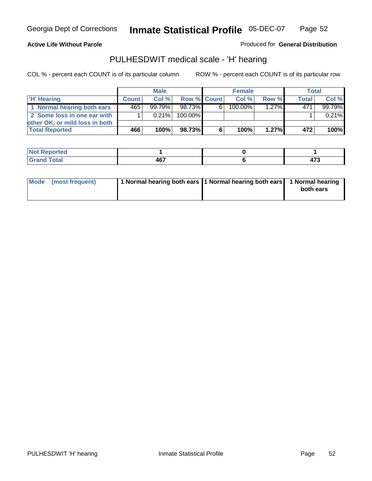#### **Active Life Without Parole**

Produced for **General Distribution**

### PULHESDWIT medical scale - 'H' hearing

|                                |              | <b>Male</b> |             |    | <b>Female</b> |          | <b>Total</b> |         |
|--------------------------------|--------------|-------------|-------------|----|---------------|----------|--------------|---------|
| 'H' Hearing                    | <b>Count</b> | Col%        | Row % Count |    | Col%          | Row %    | <b>Total</b> | Col %   |
| 1 Normal hearing both ears     | 465          | $99.79\%$   | 98.73%      | 61 | $100.00\%$    | $1.27\%$ | 471          | 99.79%  |
| 2 Some loss in one ear with    |              | $0.21\%$    | 100.00%     |    |               |          |              | 0.21%   |
| other OK, or mild loss in both |              |             |             |    |               |          |              |         |
| <b>Total Reported</b>          | 466          | 100%        | 98.73%      | 6  | 100%          | $1.27\%$ | 472          | $100\%$ |

| тео         |      |                   |
|-------------|------|-------------------|
| ---         | 167  | ィラヘ               |
| ----- ----- | י טד | $\cdot$ . $\cdot$ |

| Mode (most frequent) | 1 Normal hearing both ears 1 Normal hearing both ears 1 Normal hearing | both ears |
|----------------------|------------------------------------------------------------------------|-----------|
|                      |                                                                        |           |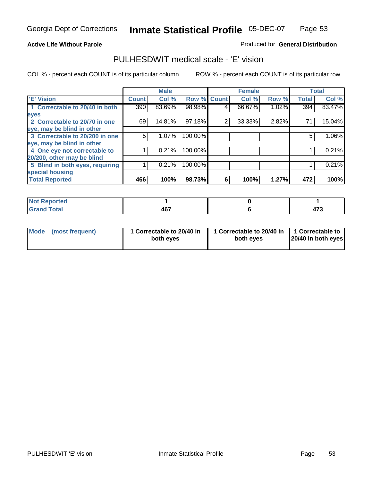**Active Life Without Parole** 

Produced for **General Distribution**

### PULHESDWIT medical scale - 'E' vision

|                                 |              | <b>Male</b> |                    |   | <b>Female</b> |       |              | <b>Total</b> |
|---------------------------------|--------------|-------------|--------------------|---|---------------|-------|--------------|--------------|
| <b>E' Vision</b>                | <b>Count</b> | Col %       | <b>Row % Count</b> |   | Col %         | Row % | <b>Total</b> | Col %        |
| 1 Correctable to 20/40 in both  | 390          | 83.69%      | 98.98%             | 4 | 66.67%        | 1.02% | 394          | 83.47%       |
| eyes                            |              |             |                    |   |               |       |              |              |
| 2 Correctable to 20/70 in one   | 69           | 14.81%      | 97.18%             | 2 | 33.33%        | 2.82% | 71           | 15.04%       |
| eye, may be blind in other      |              |             |                    |   |               |       |              |              |
| 3 Correctable to 20/200 in one  | 5            | $1.07\%$    | 100.00%            |   |               |       | 5            | 1.06%        |
| eye, may be blind in other      |              |             |                    |   |               |       |              |              |
| 4 One eye not correctable to    |              | 0.21%       | 100.00%            |   |               |       |              | 0.21%        |
| 20/200, other may be blind      |              |             |                    |   |               |       |              |              |
| 5 Blind in both eyes, requiring |              | 0.21%       | 100.00%            |   |               |       |              | 0.21%        |
| special housing                 |              |             |                    |   |               |       |              |              |
| <b>Total Reported</b>           | 466          | 100%        | 98.73%             | 6 | 100%          | 1.27% | 472          | 100%         |

| <b>Not Reported</b> |       |               |
|---------------------|-------|---------------|
| <b>Total</b>        | 467   | $\rightarrow$ |
| Cer                 | $  -$ | ט ו ד         |

| Mode | (most frequent) | 1 Correctable to 20/40 in<br>both eves | 1 Correctable to 20/40 in   1 Correctable to<br>both eves | 20/40 in both eyes |
|------|-----------------|----------------------------------------|-----------------------------------------------------------|--------------------|
|------|-----------------|----------------------------------------|-----------------------------------------------------------|--------------------|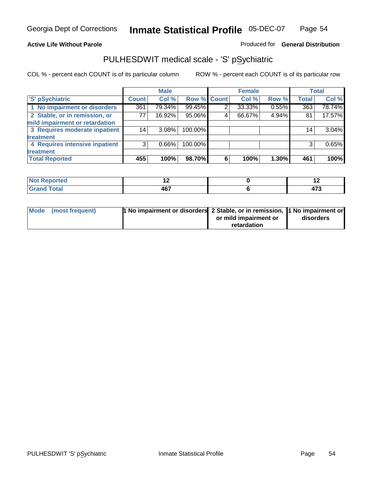#### **Active Life Without Parole**

#### Produced for **General Distribution**

### PULHESDWIT medical scale - 'S' pSychiatric

|                                |              | <b>Male</b> |             |   | <b>Female</b> |       |              | <b>Total</b> |
|--------------------------------|--------------|-------------|-------------|---|---------------|-------|--------------|--------------|
| 'S' pSychiatric                | <b>Count</b> | Col %       | Row % Count |   | Col %         | Row % | <b>Total</b> | Col %        |
| 1 No impairment or disorders   | 361          | 79.34%      | 99.45%      | 2 | 33.33%        | 0.55% | 363          | 78.74%       |
| 2 Stable, or in remission, or  | 77           | $16.92\%$   | 95.06%      | 4 | 66.67%        | 4.94% | 81           | 17.57%       |
| mild impairment or retardation |              |             |             |   |               |       |              |              |
| 3 Requires moderate inpatient  | 14           | $3.08\%$    | 100.00%     |   |               |       | 14           | 3.04%        |
| treatment                      |              |             |             |   |               |       |              |              |
| 4 Requires intensive inpatient | 3            | $0.66\%$    | 100.00%     |   |               |       | 3            | 0.65%        |
| treatment                      |              |             |             |   |               |       |              |              |
| <b>Total Reported</b>          | 455          | 100%        | 98.70%      | 6 | 100%          | 1.30% | 461          | 100%         |

| <b>orted</b> | . .        | . .     |
|--------------|------------|---------|
| <b>Total</b> | 107<br>46. | .<br>т. |

| Mode (most frequent) | 1 No impairment or disorders 2 Stable, or in remission, 11 No impairment or |                       |           |
|----------------------|-----------------------------------------------------------------------------|-----------------------|-----------|
|                      |                                                                             | or mild impairment or | disorders |
|                      |                                                                             | retardation           |           |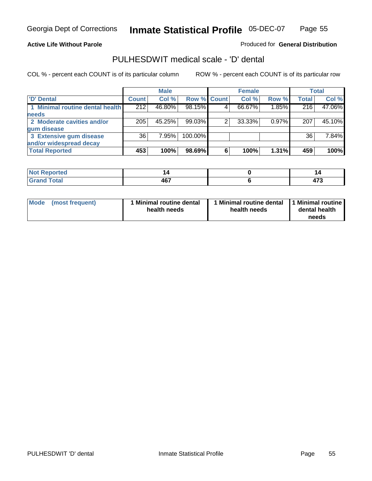#### **Active Life Without Parole**

Produced for **General Distribution**

### PULHESDWIT medical scale - 'D' dental

|                                 |              | <b>Male</b> |             | <b>Female</b> |          |              | <b>Total</b> |
|---------------------------------|--------------|-------------|-------------|---------------|----------|--------------|--------------|
| <b>D' Dental</b>                | <b>Count</b> | Col %       | Row % Count | Col %         | Row %    | <b>Total</b> | Col %        |
| 1 Minimal routine dental health | 212          | 46.80%      | 98.15%      | 66.67%        | 1.85%    | 216          | 47.06%       |
| <b>needs</b>                    |              |             |             |               |          |              |              |
| 2 Moderate cavities and/or      | 205          | 45.25%      | 99.03%      | 33.33%        | $0.97\%$ | 207          | 45.10%       |
| gum disease                     |              |             |             |               |          |              |              |
| 3 Extensive gum disease         | 36           | 7.95%       | 100.00%     |               |          | 36           | 7.84%        |
| and/or widespread decay         |              |             |             |               |          |              |              |
| <b>Total Reported</b>           | 453          | 100%        | 98.69%      | 100%          | 1.31%    | 459          | 100%         |

| <b><i>College Address</i></b><br>тео<br>N |             | ''                    |
|-------------------------------------------|-------------|-----------------------|
|                                           | 167<br>י טד | $\rightarrow$<br>41 J |

| Mode (most frequent) | <b>Minimal routine dental</b><br>health needs | 1 Minimal routine dental<br>health needs | 1 Minimal routine<br>dental health<br>needs |
|----------------------|-----------------------------------------------|------------------------------------------|---------------------------------------------|
|----------------------|-----------------------------------------------|------------------------------------------|---------------------------------------------|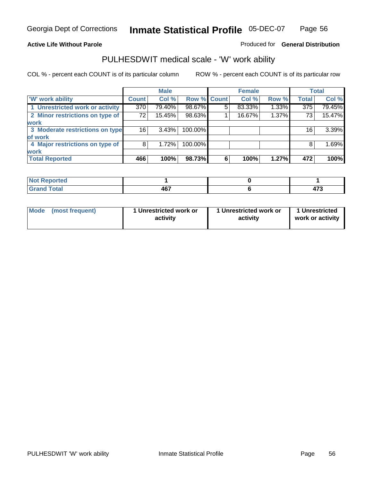#### **Active Life Without Parole**

#### Produced for **General Distribution**

### PULHESDWIT medical scale - 'W' work ability

|                                 |                 | <b>Male</b> |             |   | <b>Female</b> |       |                  | <b>Total</b> |
|---------------------------------|-----------------|-------------|-------------|---|---------------|-------|------------------|--------------|
| <b>W' work ability</b>          | <b>Count</b>    | Col %       | Row % Count |   | Col %         | Row % | <b>Total</b>     | Col %        |
| 1 Unrestricted work or activity | 370             | 79.40%      | 98.67%      | 5 | 83.33%        | 1.33% | $\overline{375}$ | 79.45%       |
| 2 Minor restrictions on type of | 72              | 15.45%      | 98.63%      |   | 16.67%        | 1.37% | 73               | 15.47%       |
| work                            |                 |             |             |   |               |       |                  |              |
| 3 Moderate restrictions on type | 16 <sup>1</sup> | 3.43%       | 100.00%     |   |               |       | 16               | 3.39%        |
| of work                         |                 |             |             |   |               |       |                  |              |
| 4 Major restrictions on type of | 8               | 1.72%       | 100.00%     |   |               |       | 8                | 1.69%        |
| <b>work</b>                     |                 |             |             |   |               |       |                  |              |
| <b>Total Reported</b>           | 466             | 100%        | 98.73%      | 6 | 100%          | 1.27% | 472              | 100%         |

| <b>Andrew Street</b><br><b>NOT</b><br>œoro |     |                |
|--------------------------------------------|-----|----------------|
| <b>Total</b><br>------                     | 467 | .<br><u>тı</u> |

| Mode (most frequent) | 1 Unrestricted work or<br>activity | 1 Unrestricted work or<br>activity | 1 Unrestricted<br>work or activity |
|----------------------|------------------------------------|------------------------------------|------------------------------------|
|                      |                                    |                                    |                                    |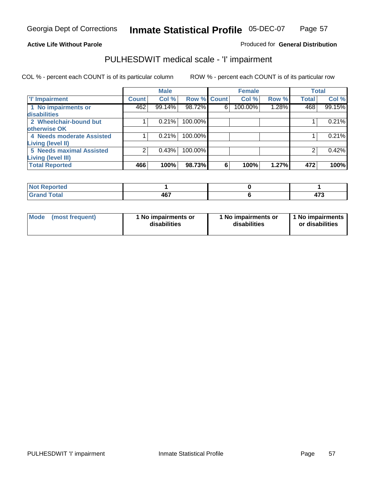### **Active Life Without Parole**

### Produced for **General Distribution**

### PULHESDWIT medical scale - 'I' impairment

|                           |              | <b>Male</b> |             |   | <b>Female</b> |       |              | <b>Total</b> |
|---------------------------|--------------|-------------|-------------|---|---------------|-------|--------------|--------------|
| <b>T' Impairment</b>      | <b>Count</b> | Col %       | Row % Count |   | Col %         | Row % | <b>Total</b> | Col %        |
| 1 No impairments or       | 462          | 99.14%      | 98.72%      | 6 | 100.00%       | 1.28% | 468          | 99.15%       |
| <b>disabilities</b>       |              |             |             |   |               |       |              |              |
| 2 Wheelchair-bound but    |              | 0.21%       | 100.00%     |   |               |       |              | 0.21%        |
| otherwise OK              |              |             |             |   |               |       |              |              |
| 4 Needs moderate Assisted |              | 0.21%       | 100.00%     |   |               |       |              | 0.21%        |
| <b>Living (level II)</b>  |              |             |             |   |               |       |              |              |
| 5 Needs maximal Assisted  |              | 0.43%       | 100.00%     |   |               |       |              | 0.42%        |
| <b>Living (level III)</b> |              |             |             |   |               |       |              |              |
| <b>Total Reported</b>     | 466          | 100%        | 98.73%      | 6 | 100%          | 1.27% | 472          | 100%         |

| Reported<br>NOT F<br>. |     |             |
|------------------------|-----|-------------|
| <b>Total</b><br>. Grar | 467 | 170<br>TI 1 |

| Mode | (most frequent) | 1 No impairments or<br>disabilities | 1 No impairments or<br>disabilities | 1 No impairments<br>or disabilities |
|------|-----------------|-------------------------------------|-------------------------------------|-------------------------------------|
|------|-----------------|-------------------------------------|-------------------------------------|-------------------------------------|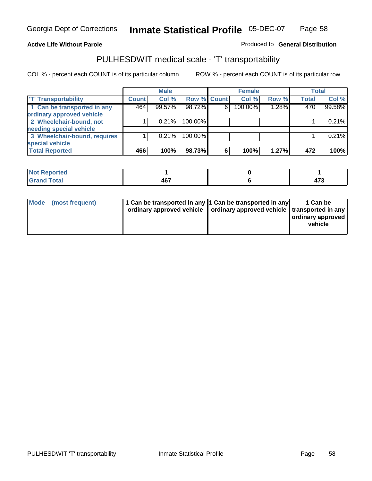#### **Inmate Statistical Profile** 05-DEC-07 Page Page 58

#### **Active Life Without Parole Produced fo Seneral Distribution**

### PULHESDWIT medical scale - 'T' transportability

|                              |              | <b>Male</b> |             |   | <b>Female</b> |       |              | <b>Total</b> |
|------------------------------|--------------|-------------|-------------|---|---------------|-------|--------------|--------------|
| <b>T' Transportability</b>   | <b>Count</b> | Col %       | Row % Count |   | Col %         | Row % | <b>Total</b> | Col %        |
| 1 Can be transported in any  | 464          | 99.57%      | 98.72%      | 6 | 100.00%       | 1.28% | 470          | 99.58%       |
| ordinary approved vehicle    |              |             |             |   |               |       |              |              |
| 2 Wheelchair-bound, not      |              | 0.21%       | 100.00%     |   |               |       |              | 0.21%        |
| needing special vehicle      |              |             |             |   |               |       |              |              |
| 3 Wheelchair-bound, requires |              | 0.21%       | 100.00%     |   |               |       |              | 0.21%        |
| special vehicle              |              |             |             |   |               |       |              |              |
| <b>Total Reported</b>        | 466          | 100%        | 98.73%      | 6 | 100%          | 1.27% | 472          | 100%         |

| Reported<br><b>NOT</b><br> |                                             |       |
|----------------------------|---------------------------------------------|-------|
| <b>c</b> otal              | <b>AG7</b><br>- 10.<br>$\sim$ $\sim$ $\sim$ | .<br> |

| Mode (most frequent) | 1 Can be transported in any 1 Can be transported in any | ordinary approved vehicle   ordinary approved vehicle   transported in any | 1 Can be<br>  ordinary approved  <br>vehicle |
|----------------------|---------------------------------------------------------|----------------------------------------------------------------------------|----------------------------------------------|
|----------------------|---------------------------------------------------------|----------------------------------------------------------------------------|----------------------------------------------|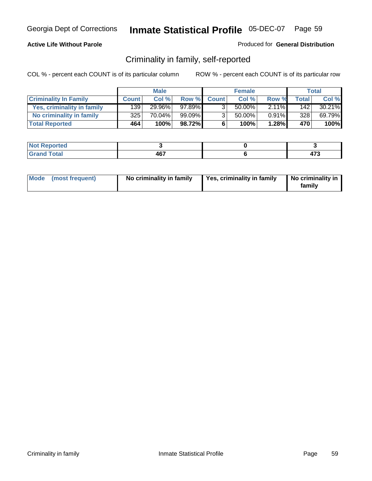### **Active Life Without Parole**

#### Produced for **General Distribution**

### Criminality in family, self-reported

|                              |              | <b>Male</b> |        |                | <b>Female</b> |          |       | Total  |
|------------------------------|--------------|-------------|--------|----------------|---------------|----------|-------|--------|
| <b>Criminality In Family</b> | <b>Count</b> | Col %       | Row %  | <b>Count</b>   | Col %         | Row %    | Total | Col %  |
| Yes, criminality in family   | 1391         | 29.96%      | 97.89% | 3              | 50.00%        | $2.11\%$ | 142   | 30.21% |
| No criminality in family     | 325 l        | 70.04%      | 99.09% | 3 <sub>1</sub> | 50.00%        | $0.91\%$ | 328   | 69.79% |
| <b>Total Reported</b>        | 464          | 100%        | 98.72% | 6              | 100%          | 1.28%    | 470   | 100%   |

| ported<br><b>NOT</b><br><b>IJCI</b> |            |            |
|-------------------------------------|------------|------------|
| $\sim$<br>Gran<br>---               | 467<br>$-$ | יי<br>41 J |

|  | Mode (most frequent) | No criminality in family | Yes, criminality in family | No criminality in<br>family |
|--|----------------------|--------------------------|----------------------------|-----------------------------|
|--|----------------------|--------------------------|----------------------------|-----------------------------|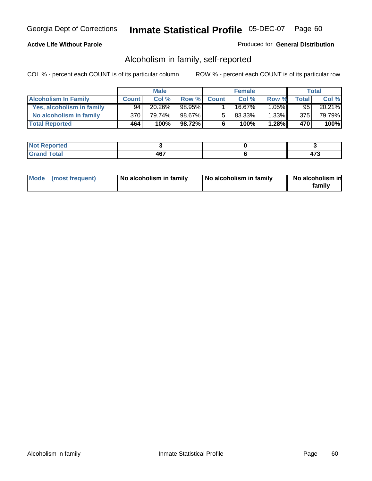#### **Active Life Without Parole**

#### Produced for **General Distribution**

### Alcoholism in family, self-reported

|                             |              | <b>Male</b> |        |              | <b>Female</b> |          |       | Total  |
|-----------------------------|--------------|-------------|--------|--------------|---------------|----------|-------|--------|
| <b>Alcoholism In Family</b> | <b>Count</b> | Col %       | Row %  | <b>Count</b> | Col %         | Row %    | Total | Col %  |
| Yes, alcoholism in family   | 94           | 20.26%      | 98.95% |              | 16.67%        | $1.05\%$ | 95    | 20.21% |
| No alcoholism in family     | 370          | 79.74%      | 98.67% | 5            | 83.33%        | $1.33\%$ | 375   | 79.79% |
| <b>Total Reported</b>       | 464          | 100%        | 98.72% | 6            | 100%          | 1.28%    | 470   | 100%   |

| oorted<br><b>NOT</b><br><b>IJCI</b> |                   |  |
|-------------------------------------|-------------------|--|
| <b>otal</b><br>Gran<br>---          | A67<br>TV.<br>$-$ |  |

|  | Mode (most frequent) | No alcoholism in family | No alcoholism in family | No alcoholism in<br>familv |
|--|----------------------|-------------------------|-------------------------|----------------------------|
|--|----------------------|-------------------------|-------------------------|----------------------------|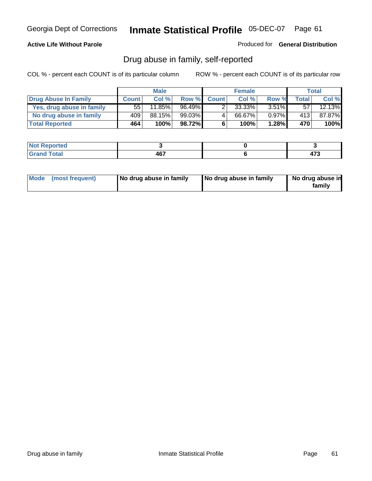### **Active Life Without Parole**

Produced for **General Distribution**

### Drug abuse in family, self-reported

|                           |              | <b>Male</b> |           |              | <b>Female</b> |          |       | <b>Total</b> |
|---------------------------|--------------|-------------|-----------|--------------|---------------|----------|-------|--------------|
| Drug Abuse In Family      | <b>Count</b> | Col %       | Row %     | <b>Count</b> | Col %         | Row %    | Total | Col %        |
| Yes, drug abuse in family | 55           | $11.85\%$   | $96.49\%$ |              | 33.33%        | $3.51\%$ | 57    | 12.13%       |
| No drug abuse in family   | 409          | 88.15%      | $99.03\%$ | 4            | 66.67%        | $0.97\%$ | 413   | 87.87%       |
| <b>Total Reported</b>     | 464          | 100%        | 98.72%    | 6            | 100%          | 1.28%    | 470   | 100%         |

| oorted<br><b>NOT</b><br><b>IJCI</b> |                   |  |
|-------------------------------------|-------------------|--|
| <b>otal</b><br>Gran<br>---          | A67<br>TV.<br>$-$ |  |

|  | Mode (most frequent) | No drug abuse in family | No drug abuse in family | No drug abuse in<br>family |
|--|----------------------|-------------------------|-------------------------|----------------------------|
|--|----------------------|-------------------------|-------------------------|----------------------------|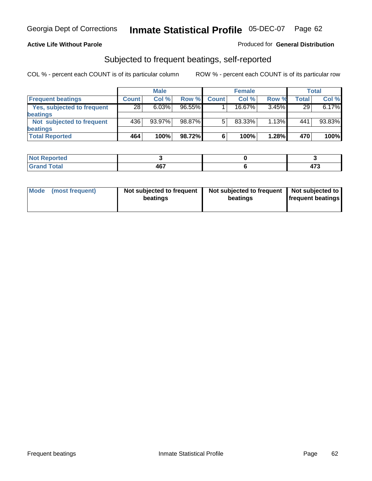#### **Active Life Without Parole**

#### Produced for **General Distribution**

### Subjected to frequent beatings, self-reported

|                            |              | <b>Male</b> |           |              | <b>Female</b> |       |       | Total  |
|----------------------------|--------------|-------------|-----------|--------------|---------------|-------|-------|--------|
| <b>Frequent beatings</b>   | <b>Count</b> | Col%        | Row %     | <b>Count</b> | Col%          | Row % | Total | Col %  |
| Yes, subjected to frequent | 28           | 6.03%       | $96.55\%$ |              | $16.67\%$     | 3.45% | 29    | 6.17%  |
| <b>beatings</b>            |              |             |           |              |               |       |       |        |
| Not subjected to frequent  | 436          | 93.97%      | 98.87%    | 5            | 83.33%        | 1.13% | 441   | 93.83% |
| <b>beatings</b>            |              |             |           |              |               |       |       |        |
| <b>Total Reported</b>      | 464          | 100%        | 98.72%    | 6            | 100%          | 1.28% | 470   | 100%   |

| <b>Reported</b><br>NOT.<br>. |      |      |
|------------------------------|------|------|
| T <sub>ofol</sub>            | 1C7  | ^‴^  |
| Cron                         | י טי | 41 J |

| Mode (most frequent) | Not subjected to frequent<br>beatings | Not subjected to frequent<br>beatings | Not subjected to<br><b>frequent beatings</b> |  |
|----------------------|---------------------------------------|---------------------------------------|----------------------------------------------|--|
|                      |                                       |                                       |                                              |  |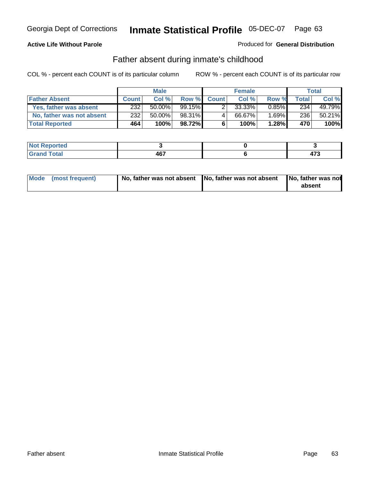#### **Active Life Without Parole**

#### Produced for **General Distribution**

### Father absent during inmate's childhood

|                           | <b>Male</b>  |           |           | <b>Female</b> |        |          | Total |        |
|---------------------------|--------------|-----------|-----------|---------------|--------|----------|-------|--------|
| <b>Father Absent</b>      | <b>Count</b> | Col %     | Row %     | <b>Count</b>  | Col %  | Row %    | Total | Col %  |
| Yes, father was absent    | 232          | $50.00\%$ | $99.15\%$ |               | 33.33% | $0.85\%$ | 234   | 49.79% |
| No, father was not absent | 232          | 50.00%    | 98.31%    | 4             | 66.67% | $1.69\%$ | 236   | 50.21% |
| <b>Total Reported</b>     | 464          | 100%      | 98.72%I   | 6             | 100%   | 1.28%    | 470   | 100%   |

| <b>Not Reported</b> |     |               |
|---------------------|-----|---------------|
| <b>Total</b>        | 467 | $\rightarrow$ |
| Gran                | $-$ | 41 J          |

| Mode (most frequent) |  | 「No, father was not absent ┃No, father was not absent ┃No, father was not | absent |
|----------------------|--|---------------------------------------------------------------------------|--------|
|----------------------|--|---------------------------------------------------------------------------|--------|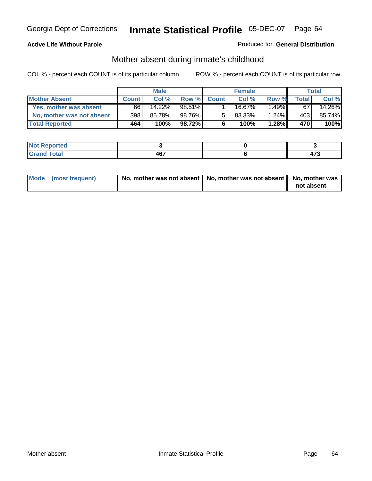#### **Active Life Without Parole**

#### Produced for **General Distribution**

# Mother absent during inmate's childhood

|                           | <b>Male</b>  |        |        | <b>Female</b> |        |          | Total |        |
|---------------------------|--------------|--------|--------|---------------|--------|----------|-------|--------|
| <b>Mother Absent</b>      | <b>Count</b> | Col %  | Row %  | <b>Count</b>  | Col %  | Row %    | Total | Col %  |
| Yes, mother was absent    | 66           | 14.22% | 98.51% |               | 16.67% | $1.49\%$ | 67    | 14.26% |
| No, mother was not absent | 398          | 85.78% | 98.76% | 5             | 83.33% | $1.24\%$ | 403   | 85.74% |
| <b>Total Reported</b>     | 464          | 100%   | 98.72% | 6             | 100%   | 1.28%    | 470   | 100%   |

| <b>Reported</b><br><b>NOT</b> |     |   |
|-------------------------------|-----|---|
| <b>Total</b>                  | 467 | . |

| Mode (most frequent) | No, mother was not absent   No, mother was not absent   No, mother was | not absent |
|----------------------|------------------------------------------------------------------------|------------|
|----------------------|------------------------------------------------------------------------|------------|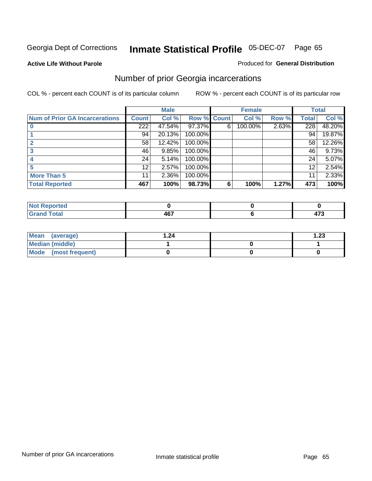**Active Life Without Parole** 

#### Produced for **General Distribution**

# Number of prior Georgia incarcerations

|                                       |                 | <b>Male</b> |                    |   | <b>Female</b> |       |       | <b>Total</b> |
|---------------------------------------|-----------------|-------------|--------------------|---|---------------|-------|-------|--------------|
| <b>Num of Prior GA Incarcerations</b> | <b>Count</b>    | Col %       | <b>Row % Count</b> |   | Col %         | Row % | Total | Col %        |
|                                       | 222             | 47.54%      | 97.37%             | 6 | 100.00%       | 2.63% | 228   | 48.20%       |
|                                       | 94              | 20.13%      | 100.00%            |   |               |       | 94    | 19.87%       |
|                                       | 58              | 12.42%      | 100.00%            |   |               |       | 58    | 12.26%       |
|                                       | 46              | 9.85%       | 100.00%            |   |               |       | 46    | 9.73%        |
|                                       | 24              | 5.14%       | 100.00%            |   |               |       | 24    | 5.07%        |
|                                       | 12              | 2.57%       | 100.00%            |   |               |       | 12    | 2.54%        |
| <b>More Than 5</b>                    | 11 <sub>1</sub> | 2.36%       | 100.00%            |   |               |       | 11    | 2.33%        |
| <b>Total Reported</b>                 | 467             | 100%        | 98.73%             | 6 | 100%          | 1.27% | 473   | 100%         |

| ا د د ک<br>keported<br>N0 |   |                    |
|---------------------------|---|--------------------|
| <b>otal</b><br>$\sim$ .   | . | $\rightarrow$<br>. |

| Mean (average)       | 24. ا | $\overline{.23}$ |
|----------------------|-------|------------------|
| Median (middle)      |       |                  |
| Mode (most frequent) |       |                  |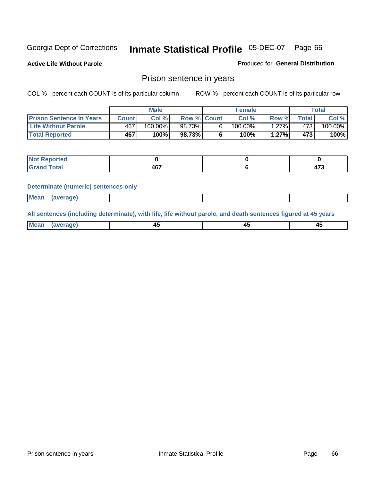**Active Life Without Parole** 

Produced for **General Distribution**

### Prison sentence in years

COL % - percent each COUNT is of its particular column ROW % - percent each COUNT is of its particular row

|                                 | Male    |            |                    | <b>Female</b> |            |       | $\tau$ otal |         |
|---------------------------------|---------|------------|--------------------|---------------|------------|-------|-------------|---------|
| <b>Prison Sentence In Years</b> | Count l | Col %      | <b>Row % Count</b> |               | Col %      | Row % | $\tau$ otal | Col %   |
| <b>Life Without Parole</b>      | 467     | $100.00\%$ | 98.73%             |               | $100.00\%$ | .27%  | 473.        | 100.00% |
| <b>Total Reported</b>           | 467     | 100%       | 98.73%             |               | 100%       | 1.27% | 473         | 100%    |

| . <eported< th=""><th></th><th></th></eported<> |           |                     |
|-------------------------------------------------|-----------|---------------------|
| <b>cotal</b><br>Gra<br>$\mathbf{v}$ and         | 107<br>10 | $\rightarrow$<br>т. |

#### **Determinate (numeric) sentences only**

| <b>Mean</b> | (average) |  |  |
|-------------|-----------|--|--|

**All sentences (including determinate), with life, life without parole, and death sentences figured at 45 years**

| Me<br>mе<br>.<br><del>.</del> | ᠇֊<br>$\sim$ | $\sim$ | __ |
|-------------------------------|--------------|--------|----|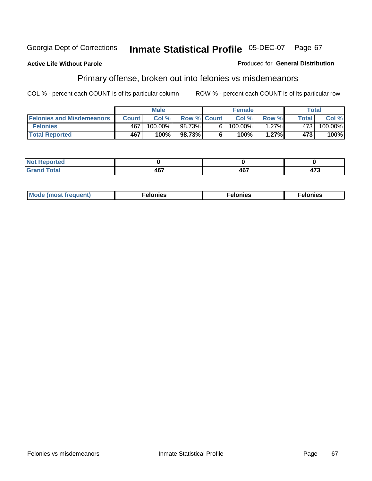#### **Active Life Without Parole**

#### Produced for **General Distribution**

# Primary offense, broken out into felonies vs misdemeanors

|                                  |              | <b>Male</b> |                    |    | <b>Female</b> |       |              | Total                 |
|----------------------------------|--------------|-------------|--------------------|----|---------------|-------|--------------|-----------------------|
| <b>Felonies and Misdemeanors</b> | <b>Count</b> | Col%        | <b>Row % Count</b> |    | Col%          | Row % | <b>Total</b> | Col %                 |
| <b>Felonies</b>                  | 467          | 100.00%     | 98.73%             | 61 | $100.00\%$    | 1.27% | 473          | $100.\overline{00\%}$ |
| <b>Total Reported</b>            | 467          | 100%        | 98.73%             |    | 100%          | 1.27% | 473          | 100%                  |

| <b>Not</b><br><u>orted</u><br>.       |               |             |             |
|---------------------------------------|---------------|-------------|-------------|
| التقريب والمستراخ<br>Grat<br>$\sim$ . | $-1 -$<br>וטד | A67<br>י טי | ィフヘ<br>11 J |

| M<br>$\cdots$<br>пю.<br>. | nies<br>. | . |
|---------------------------|-----------|---|
|---------------------------|-----------|---|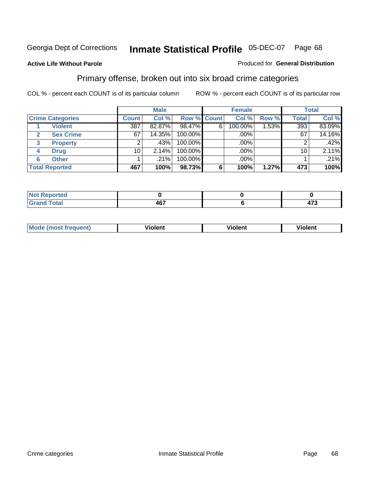#### **Active Life Without Parole**

#### Produced for **General Distribution**

### Primary offense, broken out into six broad crime categories

|                         | <b>Male</b>  |        |                    | <b>Female</b> |         |          | <b>Total</b> |        |
|-------------------------|--------------|--------|--------------------|---------------|---------|----------|--------------|--------|
| <b>Crime Categories</b> | <b>Count</b> | Col %  | <b>Row % Count</b> |               | Col %   | Row %    | <b>Total</b> | Col %  |
| <b>Violent</b>          | 387          | 82.87% | 98.47%             | 6             | 100.00% | $1.53\%$ | 393          | 83.09% |
| <b>Sex Crime</b>        | 67           | 14.35% | 100.00%            |               | .00%    |          | 67           | 14.16% |
| 3<br><b>Property</b>    | 2            | .43%   | 100.00%            |               | .00%    |          |              | .42%   |
| <b>Drug</b><br>4        | 10           | 2.14%  | 100.00%            |               | .00%    |          | 10           | 2.11%  |
| <b>Other</b><br>6       |              | .21%   | 100.00%            |               | .00%    |          |              | .21%   |
| <b>Total Reported</b>   | 467          | 100%   | 98.73%             | 6             | 100%    | 1.27%    | 473          | 100%   |

| <b>Reported</b><br>NOT<br>$\sim$ |     |    |
|----------------------------------|-----|----|
| <b>Total</b>                     | A67 | יי |
| Grand                            | וטד |    |

| Mo | n n | winlor" | ılen' |
|----|-----|---------|-------|
|    |     |         |       |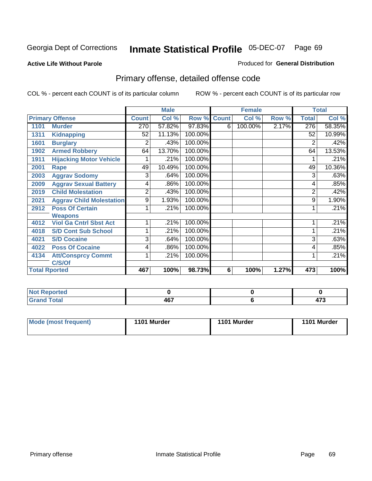#### **Active Life Without Parole**

#### Produced for **General Distribution**

# Primary offense, detailed offense code

|      |                                 |              | <b>Male</b> |         |              | <b>Female</b> |       |                | <b>Total</b> |
|------|---------------------------------|--------------|-------------|---------|--------------|---------------|-------|----------------|--------------|
|      | <b>Primary Offense</b>          | <b>Count</b> | Col %       | Row %   | <b>Count</b> | Col %         | Row % | <b>Total</b>   | Col %        |
| 1101 | <b>Murder</b>                   | 270          | 57.82%      | 97.83%  | 6            | 100.00%       | 2.17% | 276            | 58.35%       |
| 1311 | <b>Kidnapping</b>               | 52           | 11.13%      | 100.00% |              |               |       | 52             | 10.99%       |
| 1601 | <b>Burglary</b>                 | 2            | .43%        | 100.00% |              |               |       | 2              | .42%         |
| 1902 | <b>Armed Robbery</b>            | 64           | 13.70%      | 100.00% |              |               |       | 64             | 13.53%       |
| 1911 | <b>Hijacking Motor Vehicle</b>  |              | .21%        | 100.00% |              |               |       |                | .21%         |
| 2001 | Rape                            | 49           | 10.49%      | 100.00% |              |               |       | 49             | 10.36%       |
| 2003 | <b>Aggrav Sodomy</b>            | 3            | .64%        | 100.00% |              |               |       | 3              | .63%         |
| 2009 | <b>Aggrav Sexual Battery</b>    | 4            | .86%        | 100.00% |              |               |       | 4              | .85%         |
| 2019 | <b>Child Molestation</b>        | 2            | .43%        | 100.00% |              |               |       | $\overline{2}$ | .42%         |
| 2021 | <b>Aggrav Child Molestation</b> | 9            | 1.93%       | 100.00% |              |               |       | 9              | 1.90%        |
| 2912 | <b>Poss Of Certain</b>          |              | .21%        | 100.00% |              |               |       |                | .21%         |
|      | <b>Weapons</b>                  |              |             |         |              |               |       |                |              |
| 4012 | <b>Viol Ga Cntrl Sbst Act</b>   |              | .21%        | 100.00% |              |               |       |                | .21%         |
| 4018 | <b>S/D Cont Sub School</b>      |              | .21%        | 100.00% |              |               |       |                | .21%         |
| 4021 | <b>S/D Cocaine</b>              | 3            | .64%        | 100.00% |              |               |       | 3              | .63%         |
| 4022 | <b>Poss Of Cocaine</b>          | 4            | .86%        | 100.00% |              |               |       | 4              | .85%         |
| 4134 | <b>Att/Consprcy Commt</b>       | 1            | .21%        | 100.00% |              |               |       |                | .21%         |
|      | C/S/Of                          |              |             |         |              |               |       |                |              |
|      | <b>Total Rported</b>            | 467          | 100%        | 98.73%  | 6            | 100%          | 1.27% | 473            | 100%         |

| <b>Not Reported</b> |     |    |
|---------------------|-----|----|
| <b>Total</b>        | 467 | __ |

| Mode (most frequent) | 1101 Murder | 1101 Murder | 1101 Murder |
|----------------------|-------------|-------------|-------------|
|----------------------|-------------|-------------|-------------|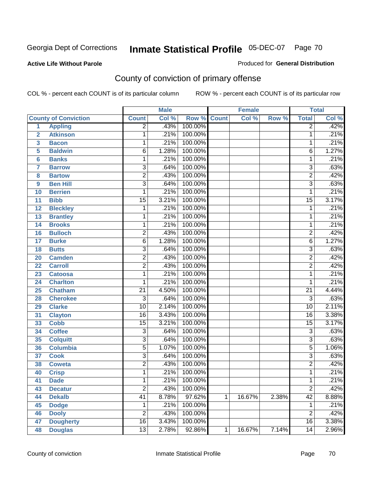**Active Life Without Parole** 

Produced for **General Distribution**

# County of conviction of primary offense

|                 |                             |                 | <b>Male</b> |                    |   | <b>Female</b> |       |                 | <b>Total</b> |
|-----------------|-----------------------------|-----------------|-------------|--------------------|---|---------------|-------|-----------------|--------------|
|                 | <b>County of Conviction</b> | <b>Count</b>    | Col %       | <b>Row % Count</b> |   | Col %         | Row % | <b>Total</b>    | Col %        |
| 1               | <b>Appling</b>              | $\overline{2}$  | .43%        | 100.00%            |   |               |       | $\overline{2}$  | .42%         |
| $\overline{2}$  | <b>Atkinson</b>             | 1               | .21%        | 100.00%            |   |               |       | 1               | .21%         |
| 3               | <b>Bacon</b>                | 1               | .21%        | 100.00%            |   |               |       | 1               | .21%         |
| 5               | <b>Baldwin</b>              | $\overline{6}$  | 1.28%       | 100.00%            |   |               |       | 6               | 1.27%        |
| $6\phantom{a}$  | <b>Banks</b>                | 1               | .21%        | 100.00%            |   |               |       | 1               | .21%         |
| $\overline{7}$  | <b>Barrow</b>               | 3               | .64%        | 100.00%            |   |               |       | $\overline{3}$  | .63%         |
| 8               | <b>Bartow</b>               | $\overline{2}$  | .43%        | 100.00%            |   |               |       | $\overline{2}$  | .42%         |
| 9               | <b>Ben Hill</b>             | $\overline{3}$  | .64%        | 100.00%            |   |               |       | $\overline{3}$  | .63%         |
| 10              | <b>Berrien</b>              | 1               | .21%        | 100.00%            |   |               |       | 1               | .21%         |
| 11              | <b>Bibb</b>                 | $\overline{15}$ | 3.21%       | 100.00%            |   |               |       | $\overline{15}$ | 3.17%        |
| 12              | <b>Bleckley</b>             | 1               | .21%        | 100.00%            |   |               |       | 1               | .21%         |
| 13              | <b>Brantley</b>             | 1               | .21%        | 100.00%            |   |               |       | 1               | .21%         |
| $\overline{14}$ | <b>Brooks</b>               | 1               | .21%        | 100.00%            |   |               |       | 1               | .21%         |
| 16              | <b>Bulloch</b>              | $\overline{2}$  | .43%        | 100.00%            |   |               |       | $\overline{2}$  | .42%         |
| 17              | <b>Burke</b>                | $\overline{6}$  | 1.28%       | 100.00%            |   |               |       | $\overline{6}$  | 1.27%        |
| 18              | <b>Butts</b>                | 3               | .64%        | 100.00%            |   |               |       | $\overline{3}$  | .63%         |
| 20              | <b>Camden</b>               | $\overline{2}$  | .43%        | 100.00%            |   |               |       | $\overline{2}$  | .42%         |
| 22              | <b>Carroll</b>              | $\overline{2}$  | .43%        | 100.00%            |   |               |       | $\overline{2}$  | .42%         |
| 23              | <b>Catoosa</b>              | 1               | .21%        | 100.00%            |   |               |       | 1               | .21%         |
| 24              | <b>Charlton</b>             | 1               | .21%        | 100.00%            |   |               |       | 1               | .21%         |
| 25              | <b>Chatham</b>              | $\overline{21}$ | 4.50%       | 100.00%            |   |               |       | $\overline{21}$ | 4.44%        |
| 28              | <b>Cherokee</b>             | $\overline{3}$  | .64%        | 100.00%            |   |               |       | $\overline{3}$  | .63%         |
| 29              | <b>Clarke</b>               | $\overline{10}$ | 2.14%       | 100.00%            |   |               |       | $\overline{10}$ | 2.11%        |
| 31              | <b>Clayton</b>              | 16              | 3.43%       | 100.00%            |   |               |       | 16              | 3.38%        |
| 33              | <b>Cobb</b>                 | $\overline{15}$ | 3.21%       | 100.00%            |   |               |       | $\overline{15}$ | 3.17%        |
| 34              | <b>Coffee</b>               | 3               | .64%        | 100.00%            |   |               |       | 3               | .63%         |
| 35              | <b>Colquitt</b>             | $\overline{3}$  | .64%        | 100.00%            |   |               |       | $\overline{3}$  | .63%         |
| 36              | <b>Columbia</b>             | $\overline{5}$  | 1.07%       | 100.00%            |   |               |       | $\overline{5}$  | 1.06%        |
| 37              | <b>Cook</b>                 | $\overline{3}$  | .64%        | 100.00%            |   |               |       | $\overline{3}$  | .63%         |
| 38              | <b>Coweta</b>               | $\overline{2}$  | .43%        | 100.00%            |   |               |       | $\overline{2}$  | .42%         |
| 40              | <b>Crisp</b>                | 1               | .21%        | 100.00%            |   |               |       | 1               | .21%         |
| 41              | <b>Dade</b>                 | 1               | .21%        | 100.00%            |   |               |       | 1               | .21%         |
| 43              | <b>Decatur</b>              | $\overline{2}$  | .43%        | 100.00%            |   |               |       | $\overline{2}$  | .42%         |
| 44              | <b>Dekalb</b>               | $\overline{41}$ | 8.78%       | 97.62%             | 1 | 16.67%        | 2.38% | $\overline{42}$ | 8.88%        |
| 45              | <b>Dodge</b>                | 1               | .21%        | 100.00%            |   |               |       | 1               | .21%         |
| 46              | <b>Dooly</b>                | $\overline{2}$  | .43%        | 100.00%            |   |               |       | $\overline{2}$  | .42%         |
| 47              | <b>Dougherty</b>            | $\overline{16}$ | 3.43%       | 100.00%            |   |               |       | 16              | 3.38%        |
| 48              | <b>Douglas</b>              | 13              | 2.78%       | 92.86%             | 1 | 16.67%        | 7.14% | 14              | 2.96%        |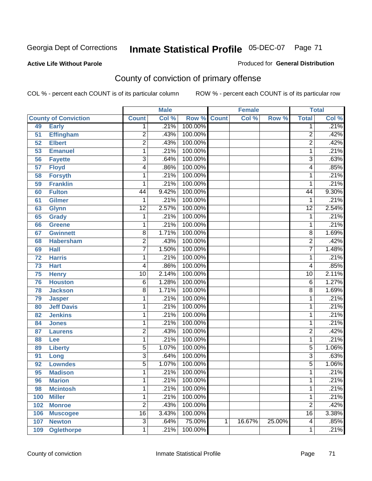#### **Active Life Without Parole**

#### Produced for **General Distribution**

# County of conviction of primary offense

|                 |                             |                 | <b>Male</b> |                    |   | <b>Female</b> |        |                 | <b>Total</b> |
|-----------------|-----------------------------|-----------------|-------------|--------------------|---|---------------|--------|-----------------|--------------|
|                 | <b>County of Conviction</b> | <b>Count</b>    | Col %       | <b>Row % Count</b> |   | Col %         | Row %  | <b>Total</b>    | Col %        |
| 49              | <b>Early</b>                | 1               | .21%        | 100.00%            |   |               |        | 1               | .21%         |
| 51              | <b>Effingham</b>            | $\overline{2}$  | .43%        | 100.00%            |   |               |        | $\overline{2}$  | .42%         |
| 52              | <b>Elbert</b>               | $\overline{2}$  | .43%        | 100.00%            |   |               |        | $\overline{2}$  | .42%         |
| 53              | <b>Emanuel</b>              | $\mathbf{1}$    | .21%        | 100.00%            |   |               |        | 1               | .21%         |
| 56              | <b>Fayette</b>              | 3               | .64%        | 100.00%            |   |               |        | $\overline{3}$  | .63%         |
| $\overline{57}$ | <b>Floyd</b>                | 4               | .86%        | 100.00%            |   |               |        | 4               | .85%         |
| 58              | <b>Forsyth</b>              | 1               | .21%        | 100.00%            |   |               |        | 1               | .21%         |
| 59              | <b>Franklin</b>             | 1               | .21%        | 100.00%            |   |               |        | 1               | .21%         |
| 60              | <b>Fulton</b>               | 44              | 9.42%       | 100.00%            |   |               |        | 44              | 9.30%        |
| 61              | Gilmer                      | 1               | .21%        | 100.00%            |   |               |        | 1               | .21%         |
| 63              | <b>Glynn</b>                | $\overline{12}$ | 2.57%       | 100.00%            |   |               |        | $\overline{12}$ | 2.54%        |
| 65              | <b>Grady</b>                | 1               | .21%        | 100.00%            |   |               |        | 1               | .21%         |
| 66              | <b>Greene</b>               | 1               | .21%        | 100.00%            |   |               |        | 1               | .21%         |
| 67              | <b>Gwinnett</b>             | 8               | 1.71%       | 100.00%            |   |               |        | $\overline{8}$  | 1.69%        |
| 68              | <b>Habersham</b>            | $\overline{2}$  | .43%        | 100.00%            |   |               |        | $\overline{2}$  | .42%         |
| 69              | <b>Hall</b>                 | $\overline{7}$  | 1.50%       | 100.00%            |   |               |        | 7               | 1.48%        |
| 72              | <b>Harris</b>               | 1               | .21%        | 100.00%            |   |               |        | 1               | .21%         |
| $\overline{73}$ | <b>Hart</b>                 | 4               | .86%        | 100.00%            |   |               |        | 4               | .85%         |
| 75              | <b>Henry</b>                | $\overline{10}$ | 2.14%       | 100.00%            |   |               |        | $\overline{10}$ | 2.11%        |
| 76              | <b>Houston</b>              | $\overline{6}$  | 1.28%       | 100.00%            |   |               |        | $\overline{6}$  | 1.27%        |
| 78              | <b>Jackson</b>              | 8               | 1.71%       | 100.00%            |   |               |        | $\overline{8}$  | 1.69%        |
| 79              | <b>Jasper</b>               | 1               | .21%        | 100.00%            |   |               |        | 1               | .21%         |
| 80              | <b>Jeff Davis</b>           | 1               | .21%        | 100.00%            |   |               |        | 1               | .21%         |
| 82              | <b>Jenkins</b>              | 1               | .21%        | 100.00%            |   |               |        | 1               | .21%         |
| 84              | <b>Jones</b>                | 1               | .21%        | 100.00%            |   |               |        | 1               | .21%         |
| 87              | <b>Laurens</b>              | $\overline{2}$  | .43%        | 100.00%            |   |               |        | $\overline{2}$  | .42%         |
| 88              | Lee                         | 1               | .21%        | 100.00%            |   |               |        | 1               | .21%         |
| 89              | <b>Liberty</b>              | 5               | 1.07%       | 100.00%            |   |               |        | $\overline{5}$  | 1.06%        |
| 91              | Long                        | 3               | .64%        | 100.00%            |   |               |        | 3               | .63%         |
| 92              | <b>Lowndes</b>              | $\overline{5}$  | 1.07%       | 100.00%            |   |               |        | $\overline{5}$  | 1.06%        |
| 95              | <b>Madison</b>              | 1               | .21%        | 100.00%            |   |               |        | 1               | .21%         |
| 96              | <b>Marion</b>               | 1               | .21%        | 100.00%            |   |               |        | 1               | .21%         |
| 98              | <b>Mcintosh</b>             | 1               | .21%        | 100.00%            |   |               |        | 1               | .21%         |
| 100             | <b>Miller</b>               | 1               | .21%        | 100.00%            |   |               |        | 1               | .21%         |
| 102             | <b>Monroe</b>               | $\overline{2}$  | .43%        | 100.00%            |   |               |        | $\overline{2}$  | .42%         |
| 106             | <b>Muscogee</b>             | $\overline{16}$ | 3.43%       | 100.00%            |   |               |        | $\overline{16}$ | 3.38%        |
| 107             | <b>Newton</b>               | $\overline{3}$  | .64%        | 75.00%             | 1 | 16.67%        | 25.00% | 4               | .85%         |
| 109             | <b>Oglethorpe</b>           | 1               | .21%        | 100.00%            |   |               |        | 1               | .21%         |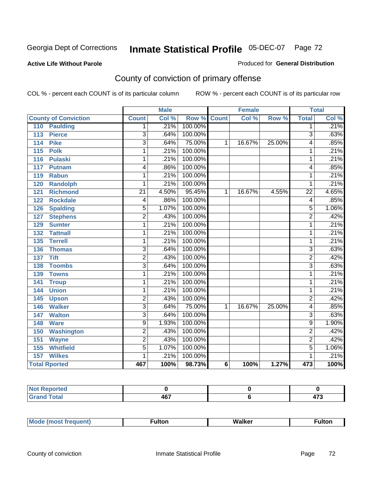#### **Active Life Without Parole**

#### Produced for **General Distribution**

# County of conviction of primary offense

|                                 |                           | <b>Male</b> |                    |                | <b>Female</b> |        |                | <b>Total</b>               |
|---------------------------------|---------------------------|-------------|--------------------|----------------|---------------|--------|----------------|----------------------------|
| <b>County of Conviction</b>     | <b>Count</b>              | Col %       | <b>Row % Count</b> |                | Col %         | Row %  | <b>Total</b>   | $\overline{\text{Col }^9}$ |
| <b>Paulding</b><br>110          | 1.                        | .21%        | 100.00%            |                |               |        | 1              | .21%                       |
| <b>Pierce</b><br>113            | 3                         | .64%        | 100.00%            |                |               |        | 3              | .63%                       |
| <b>Pike</b><br>114              | $\overline{\overline{3}}$ | .64%        | 75.00%             | 1              | 16.67%        | 25.00% | 4              | .85%                       |
| $\overline{115}$<br><b>Polk</b> | 1                         | .21%        | 100.00%            |                |               |        | 1              | .21%                       |
| 116<br><b>Pulaski</b>           | 1                         | .21%        | 100.00%            |                |               |        | 1              | .21%                       |
| 117<br>Putnam                   | 4                         | .86%        | 100.00%            |                |               |        | 4              | .85%                       |
| 119<br><b>Rabun</b>             | 1                         | .21%        | 100.00%            |                |               |        | 1              | .21%                       |
| 120<br><b>Randolph</b>          | 1                         | .21%        | 100.00%            |                |               |        | 1              | .21%                       |
| <b>Richmond</b><br>121          | $\overline{21}$           | 4.50%       | 95.45%             | 1              | 16.67%        | 4.55%  | 22             | 4.65%                      |
| <b>Rockdale</b><br>122          | 4                         | .86%        | 100.00%            |                |               |        | 4              | .85%                       |
| <b>Spalding</b><br>126          | $\overline{5}$            | 1.07%       | 100.00%            |                |               |        | $\overline{5}$ | 1.06%                      |
| <b>Stephens</b><br>127          | $\overline{2}$            | .43%        | 100.00%            |                |               |        | $\overline{2}$ | .42%                       |
| 129<br><b>Sumter</b>            | 1                         | .21%        | 100.00%            |                |               |        | 1              | .21%                       |
| <b>Tattnall</b><br>132          | 1                         | .21%        | 100.00%            |                |               |        | 1              | .21%                       |
| <b>Terrell</b><br>135           | 1                         | .21%        | 100.00%            |                |               |        | 1              | .21%                       |
| 136<br><b>Thomas</b>            | $\overline{\mathbf{3}}$   | .64%        | 100.00%            |                |               |        | $\overline{3}$ | .63%                       |
| <b>Tift</b><br>137              | $\overline{2}$            | .43%        | 100.00%            |                |               |        | $\overline{2}$ | .42%                       |
| <b>Toombs</b><br>138            | $\overline{3}$            | .64%        | 100.00%            |                |               |        | $\overline{3}$ | .63%                       |
| 139<br><b>Towns</b>             | $\overline{1}$            | .21%        | 100.00%            |                |               |        | 1              | .21%                       |
| 141<br><b>Troup</b>             | 1                         | .21%        | 100.00%            |                |               |        | 1              | .21%                       |
| <b>Union</b><br>144             | 1                         | .21%        | 100.00%            |                |               |        | 1              | .21%                       |
| 145<br><b>Upson</b>             | $\overline{2}$            | .43%        | 100.00%            |                |               |        | $\overline{2}$ | .42%                       |
| <b>Walker</b><br>146            | $\overline{3}$            | .64%        | 75.00%             | 1              | 16.67%        | 25.00% | 4              | .85%                       |
| <b>Walton</b><br>147            | $\overline{3}$            | .64%        | 100.00%            |                |               |        | $\overline{3}$ | .63%                       |
| 148<br><b>Ware</b>              | $\overline{9}$            | 1.93%       | 100.00%            |                |               |        | 9              | 1.90%                      |
| <b>Washington</b><br>150        | $\overline{2}$            | .43%        | 100.00%            |                |               |        | $\overline{2}$ | .42%                       |
| 151<br><b>Wayne</b>             | $\overline{2}$            | .43%        | 100.00%            |                |               |        | $\overline{2}$ | .42%                       |
| 155<br><b>Whitfield</b>         | $\overline{5}$            | 1.07%       | 100.00%            |                |               |        | $\overline{5}$ | 1.06%                      |
| <b>Wilkes</b><br>157            | 1                         | .21%        | 100.00%            |                |               |        | 1              | .21%                       |
| <b>Total Rported</b>            | 467                       | 100%        | 98.73%             | $6\phantom{1}$ | 100%          | 1.27%  | 473            | 100%                       |

| œu<br>--- |                  |   |
|-----------|------------------|---|
| _____     | $\sim$<br>$\sim$ | . |

|  | M |  | Malkar | ultoı |
|--|---|--|--------|-------|
|--|---|--|--------|-------|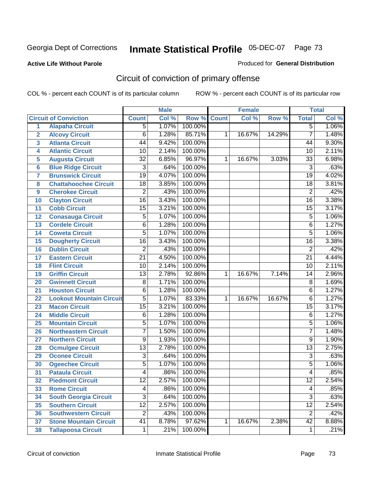#### **Active Life Without Parole**

#### Produced for **General Distribution**

# Circuit of conviction of primary offense

|                         |                                 |                 | <b>Male</b> |         |              | <b>Female</b> |        |                 | <b>Total</b> |
|-------------------------|---------------------------------|-----------------|-------------|---------|--------------|---------------|--------|-----------------|--------------|
|                         | <b>Circuit of Conviction</b>    | <b>Count</b>    | Col %       | Row %   | <b>Count</b> | Col %         | Row %  | <b>Total</b>    | Col %        |
| 1                       | <b>Alapaha Circuit</b>          | $\overline{5}$  | 1.07%       | 100.00% |              |               |        | 5               | 1.06%        |
| $\overline{2}$          | <b>Alcovy Circuit</b>           | $\overline{6}$  | 1.28%       | 85.71%  | 1            | 16.67%        | 14.29% | $\overline{7}$  | 1.48%        |
| $\overline{\mathbf{3}}$ | <b>Atlanta Circuit</b>          | 44              | 9.42%       | 100.00% |              |               |        | 44              | 9.30%        |
| 4                       | <b>Atlantic Circuit</b>         | 10              | 2.14%       | 100.00% |              |               |        | 10              | 2.11%        |
| 5                       | <b>Augusta Circuit</b>          | $\overline{32}$ | 6.85%       | 96.97%  | 1            | 16.67%        | 3.03%  | $\overline{33}$ | 6.98%        |
| $6\phantom{a}$          | <b>Blue Ridge Circuit</b>       | $\overline{3}$  | .64%        | 100.00% |              |               |        | $\overline{3}$  | .63%         |
| $\overline{7}$          | <b>Brunswick Circuit</b>        | $\overline{19}$ | 4.07%       | 100.00% |              |               |        | $\overline{19}$ | 4.02%        |
| 8                       | <b>Chattahoochee Circuit</b>    | $\overline{18}$ | 3.85%       | 100.00% |              |               |        | 18              | 3.81%        |
| 9                       | <b>Cherokee Circuit</b>         | $\overline{2}$  | .43%        | 100.00% |              |               |        | $\overline{2}$  | .42%         |
| 10                      | <b>Clayton Circuit</b>          | $\overline{16}$ | 3.43%       | 100.00% |              |               |        | $\overline{16}$ | 3.38%        |
| 11                      | <b>Cobb Circuit</b>             | $\overline{15}$ | 3.21%       | 100.00% |              |               |        | 15              | 3.17%        |
| 12                      | <b>Conasauga Circuit</b>        | $\overline{5}$  | 1.07%       | 100.00% |              |               |        | 5               | 1.06%        |
| 13                      | <b>Cordele Circuit</b>          | 6               | 1.28%       | 100.00% |              |               |        | 6               | 1.27%        |
| 14                      | <b>Coweta Circuit</b>           | $\overline{5}$  | 1.07%       | 100.00% |              |               |        | $\overline{5}$  | 1.06%        |
| 15                      | <b>Dougherty Circuit</b>        | $\overline{16}$ | 3.43%       | 100.00% |              |               |        | $\overline{16}$ | 3.38%        |
| 16                      | <b>Dublin Circuit</b>           | $\overline{2}$  | .43%        | 100.00% |              |               |        | $\overline{2}$  | .42%         |
| 17                      | <b>Eastern Circuit</b>          | $\overline{21}$ | 4.50%       | 100.00% |              |               |        | 21              | 4.44%        |
| 18                      | <b>Flint Circuit</b>            | $\overline{10}$ | 2.14%       | 100.00% |              |               |        | 10              | 2.11%        |
| 19                      | <b>Griffin Circuit</b>          | $\overline{13}$ | 2.78%       | 92.86%  | $\mathbf{1}$ | 16.67%        | 7.14%  | 14              | 2.96%        |
| 20                      | <b>Gwinnett Circuit</b>         | $\overline{8}$  | 1.71%       | 100.00% |              |               |        | 8               | 1.69%        |
| 21                      | <b>Houston Circuit</b>          | 6               | 1.28%       | 100.00% |              |               |        | $\overline{6}$  | 1.27%        |
| 22                      | <b>Lookout Mountain Circuit</b> | $\overline{5}$  | 1.07%       | 83.33%  | 1            | 16.67%        | 16.67% | 6               | 1.27%        |
| 23                      | <b>Macon Circuit</b>            | $\overline{15}$ | 3.21%       | 100.00% |              |               |        | $\overline{15}$ | 3.17%        |
| 24                      | <b>Middle Circuit</b>           | $\overline{6}$  | 1.28%       | 100.00% |              |               |        | 6               | 1.27%        |
| 25                      | <b>Mountain Circuit</b>         | $\overline{5}$  | 1.07%       | 100.00% |              |               |        | $\overline{5}$  | 1.06%        |
| 26                      | <b>Northeastern Circuit</b>     | $\overline{7}$  | 1.50%       | 100.00% |              |               |        | $\overline{7}$  | 1.48%        |
| 27                      | <b>Northern Circuit</b>         | $\overline{9}$  | 1.93%       | 100.00% |              |               |        | 9               | 1.90%        |
| 28                      | <b>Ocmulgee Circuit</b>         | $\overline{13}$ | 2.78%       | 100.00% |              |               |        | $\overline{13}$ | 2.75%        |
| 29                      | <b>Oconee Circuit</b>           | $\overline{3}$  | .64%        | 100.00% |              |               |        | $\overline{3}$  | .63%         |
| 30                      | <b>Ogeechee Circuit</b>         | $\overline{5}$  | 1.07%       | 100.00% |              |               |        | 5               | 1.06%        |
| $\overline{31}$         | <b>Pataula Circuit</b>          | 4               | .86%        | 100.00% |              |               |        | 4               | .85%         |
| 32                      | <b>Piedmont Circuit</b>         | 12              | 2.57%       | 100.00% |              |               |        | 12              | 2.54%        |
| 33                      | <b>Rome Circuit</b>             | $\overline{4}$  | .86%        | 100.00% |              |               |        | 4               | .85%         |
| 34                      | <b>South Georgia Circuit</b>    | $\overline{3}$  | .64%        | 100.00% |              |               |        | $\overline{3}$  | .63%         |
| 35                      | <b>Southern Circuit</b>         | $\overline{12}$ | 2.57%       | 100.00% |              |               |        | $\overline{12}$ | 2.54%        |
| 36                      | <b>Southwestern Circuit</b>     | $\overline{2}$  | .43%        | 100.00% |              |               |        | $\overline{2}$  | .42%         |
| 37                      | <b>Stone Mountain Circuit</b>   | 41              | 8.78%       | 97.62%  | 1            | 16.67%        | 2.38%  | $\overline{42}$ | 8.88%        |
| 38                      | <b>Tallapoosa Circuit</b>       | $\mathbf{1}$    | .21%        | 100.00% |              |               |        | 1               | .21%         |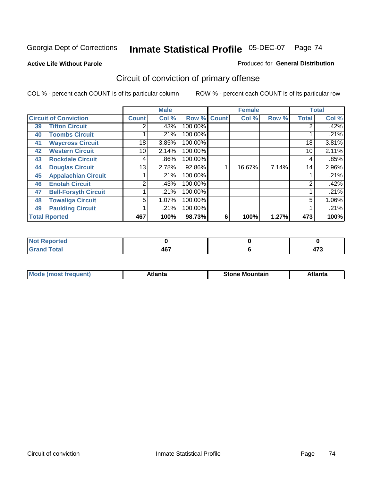**Active Life Without Parole** 

#### Produced for **General Distribution**

# Circuit of conviction of primary offense

|    |                              |              | <b>Male</b> |             |   | <b>Female</b> |       |              | <b>Total</b> |
|----|------------------------------|--------------|-------------|-------------|---|---------------|-------|--------------|--------------|
|    | <b>Circuit of Conviction</b> | <b>Count</b> | Col %       | Row % Count |   | Col %         | Row % | <b>Total</b> | Col %        |
| 39 | <b>Tifton Circuit</b>        | 2            | .43%        | 100.00%     |   |               |       |              | .42%         |
| 40 | <b>Toombs Circuit</b>        |              | .21%        | 100.00%     |   |               |       |              | .21%         |
| 41 | <b>Waycross Circuit</b>      | 18           | 3.85%       | 100.00%     |   |               |       | 18           | 3.81%        |
| 42 | <b>Western Circuit</b>       | 10           | 2.14%       | 100.00%     |   |               |       | 10           | 2.11%        |
| 43 | <b>Rockdale Circuit</b>      | 4            | .86%        | 100.00%     |   |               |       | 4            | .85%         |
| 44 | <b>Douglas Circuit</b>       | 13           | 2.78%       | 92.86%      |   | 16.67%        | 7.14% | 14           | 2.96%        |
| 45 | <b>Appalachian Circuit</b>   |              | .21%        | 100.00%     |   |               |       |              | .21%         |
| 46 | <b>Enotah Circuit</b>        | 2            | .43%        | 100.00%     |   |               |       | 2            | .42%         |
| 47 | <b>Bell-Forsyth Circuit</b>  |              | .21%        | 100.00%     |   |               |       |              | .21%         |
| 48 | <b>Towaliga Circuit</b>      | 5            | 1.07%       | 100.00%     |   |               |       | 5            | 1.06%        |
| 49 | <b>Paulding Circuit</b>      |              | .21%        | 100.00%     |   |               |       |              | .21%         |
|    | <b>Total Rported</b>         | 467          | 100%        | 98.73%      | 6 | 100%          | 1.27% | 473          | 100%         |

| rted<br>N                    |            |                      |
|------------------------------|------------|----------------------|
| $\sim$<br>υιαι<br><b>VIU</b> | A67<br>TV. | $\rightarrow$<br>ט ז |

| īМ<br>----<br>taın<br>----<br>514<br>MOL<br>нс |
|------------------------------------------------|
|------------------------------------------------|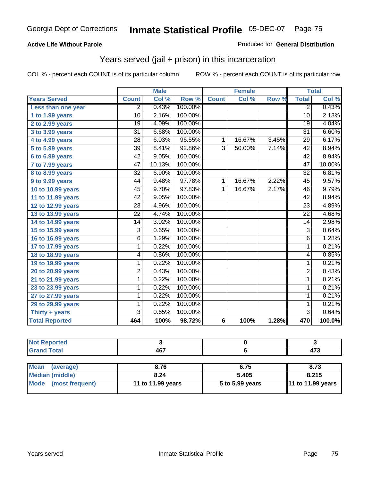### **Active Life Without Parole**

#### Produced for **General Distribution**

## Years served (jail + prison) in this incarceration

|                       |                 | <b>Male</b> |         |                | <b>Female</b>       |       |                 | <b>Total</b> |
|-----------------------|-----------------|-------------|---------|----------------|---------------------|-------|-----------------|--------------|
| <b>Years Served</b>   | <b>Count</b>    | Col %       | Row %   | <b>Count</b>   | $\overline{C}$ ol % | Row % | <b>Total</b>    | Col %        |
| Less than one year    | 2               | 0.43%       | 100.00% |                |                     |       | $\overline{2}$  | 0.43%        |
| 1 to 1.99 years       | 10              | 2.16%       | 100.00% |                |                     |       | 10              | 2.13%        |
| 2 to 2.99 years       | $\overline{19}$ | 4.09%       | 100.00% |                |                     |       | $\overline{19}$ | 4.04%        |
| 3 to 3.99 years       | 31              | 6.68%       | 100.00% |                |                     |       | 31              | 6.60%        |
| 4 to 4.99 years       | $\overline{28}$ | 6.03%       | 96.55%  | $\mathbf{1}$   | 16.67%              | 3.45% | $\overline{29}$ | 6.17%        |
| 5 to 5.99 years       | $\overline{39}$ | 8.41%       | 92.86%  | $\overline{3}$ | 50.00%              | 7.14% | 42              | 8.94%        |
| 6 to 6.99 years       | $\overline{42}$ | 9.05%       | 100.00% |                |                     |       | $\overline{42}$ | 8.94%        |
| 7 to 7.99 years       | 47              | 10.13%      | 100.00% |                |                     |       | 47              | 10.00%       |
| 8 to 8.99 years       | $\overline{32}$ | 6.90%       | 100.00% |                |                     |       | $\overline{32}$ | 6.81%        |
| 9 to 9.99 years       | 44              | 9.48%       | 97.78%  | 1              | 16.67%              | 2.22% | 45              | 9.57%        |
| 10 to 10.99 years     | $\overline{45}$ | 9.70%       | 97.83%  | $\overline{1}$ | 16.67%              | 2.17% | $\overline{46}$ | 9.79%        |
| 11 to 11.99 years     | 42              | 9.05%       | 100.00% |                |                     |       | 42              | 8.94%        |
| 12 to 12.99 years     | 23              | 4.96%       | 100.00% |                |                     |       | 23              | 4.89%        |
| 13 to 13.99 years     | $\overline{22}$ | 4.74%       | 100.00% |                |                     |       | $\overline{22}$ | 4.68%        |
| 14 to 14.99 years     | 14              | 3.02%       | 100.00% |                |                     |       | 14              | 2.98%        |
| 15 to 15.99 years     | $\overline{3}$  | 0.65%       | 100.00% |                |                     |       | $\overline{3}$  | 0.64%        |
| 16 to 16.99 years     | 6               | 1.29%       | 100.00% |                |                     |       | $\overline{6}$  | 1.28%        |
| 17 to 17.99 years     | $\overline{1}$  | 0.22%       | 100.00% |                |                     |       | $\overline{1}$  | 0.21%        |
| 18 to 18.99 years     | 4               | 0.86%       | 100.00% |                |                     |       | $\overline{4}$  | 0.85%        |
| 19 to 19.99 years     | $\overline{1}$  | 0.22%       | 100.00% |                |                     |       | $\overline{1}$  | 0.21%        |
| 20 to 20.99 years     | 2               | 0.43%       | 100.00% |                |                     |       | $\overline{2}$  | 0.43%        |
| 21 to 21.99 years     | $\mathbf{1}$    | 0.22%       | 100.00% |                |                     |       | $\mathbf{1}$    | 0.21%        |
| 23 to 23.99 years     | 1               | 0.22%       | 100.00% |                |                     |       | 1               | 0.21%        |
| 27 to 27.99 years     | $\mathbf{1}$    | 0.22%       | 100.00% |                |                     |       | $\overline{1}$  | 0.21%        |
| 29 to 29.99 years     | 1               | 0.22%       | 100.00% |                |                     |       | 1               | 0.21%        |
| Thirty + years        | $\overline{3}$  | 0.65%       | 100.00% |                |                     |       | $\overline{3}$  | 0.64%        |
| <b>Total Reported</b> | 464             | 100%        | 98.72%  | 6              | 100%                | 1.28% | 470             | 100.0%       |

| <b>Not Reported</b>            |                   |                 |                   |
|--------------------------------|-------------------|-----------------|-------------------|
| <b>Grand Total</b>             | 467               |                 | 473               |
|                                |                   |                 |                   |
| <b>Mean</b><br>(average)       | 8.76              | 6.75            | 8.73              |
| Median (middle)                | 8.24              | 5.405           | 8.215             |
| <b>Mode</b><br>(most frequent) | 11 to 11.99 years | 5 to 5.99 years | 11 to 11.99 years |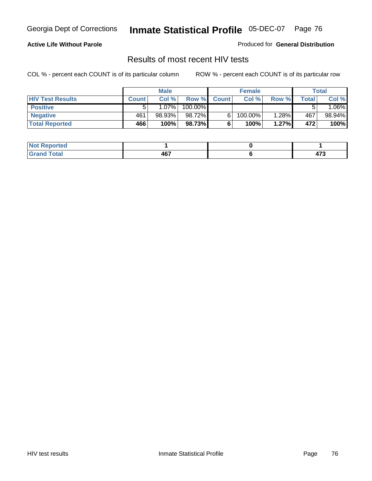#### **Active Life Without Parole**

Produced for **General Distribution**

## Results of most recent HIV tests

|                         |              | <b>Male</b> |         |              | <b>Female</b> |       |       | Total                  |
|-------------------------|--------------|-------------|---------|--------------|---------------|-------|-------|------------------------|
| <b>HIV Test Results</b> | <b>Count</b> | Col %       | Row %   | <b>Count</b> | Col %         | Row % | Total | Col %                  |
| <b>Positive</b>         | 5            | $1.07\%$    | 100.00% |              |               |       |       | $.06\%$ $\blacksquare$ |
| <b>Negative</b>         | 461          | 98.93%      | 98.72%  |              | 100.00%       | 1.28% | 467   | 98.94%                 |
| <b>Total Reported</b>   | 466          | 100%        | 98.73%  |              | 100%          | 1.27% | 472   | 100%                   |

| <b>Not Reported</b> |     |               |
|---------------------|-----|---------------|
| <b>Grand Total</b>  | 467 | $\rightarrow$ |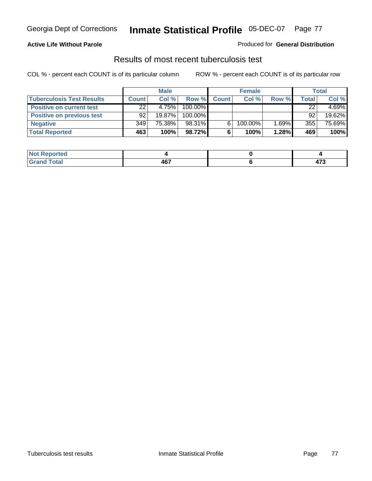### **Active Life Without Parole**

#### Produced for **General Distribution**

## Results of most recent tuberculosis test

|                                  |              | <b>Male</b> |         |              | <b>Female</b> |          |       | <b>Total</b> |
|----------------------------------|--------------|-------------|---------|--------------|---------------|----------|-------|--------------|
| <b>Tuberculosis Test Results</b> | <b>Count</b> | Col%        | Row %   | <b>Count</b> | Col %         | Row %    | Total | Col %        |
| <b>Positive on current test</b>  | 22           | 4.75%       | 100.00% |              |               |          | 22    | 4.69%        |
| <b>Positive on previous test</b> | 92           | $19.87\%$   | 100.00% |              |               |          | 92    | 19.62%       |
| <b>Negative</b>                  | 349          | 75.38%      | 98.31%  | 6.           | 100.00%       | $1.69\%$ | 355   | 75.69%       |
| <b>Total Reported</b>            | 463          | 100%        | 98.72%  | 6            | 100%          | 1.28%    | 469   | 100%         |

| <b>Reported</b><br><b>NOT</b> |               |                       |
|-------------------------------|---------------|-----------------------|
| <b>Total</b>                  | $AC^-$<br>771 | $\rightarrow$<br>91 J |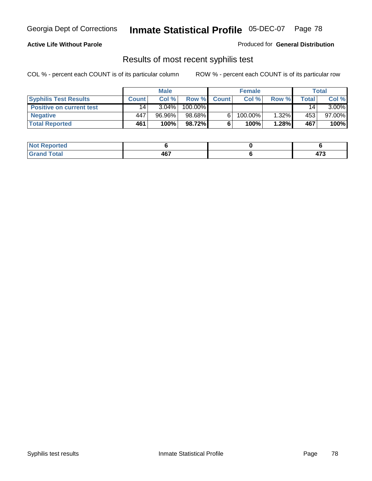#### **Active Life Without Parole**

Produced for **General Distribution**

## Results of most recent syphilis test

|                                 |                 | <b>Male</b> |         |              | <b>Female</b> |       |       | Total     |
|---------------------------------|-----------------|-------------|---------|--------------|---------------|-------|-------|-----------|
| <b>Syphilis Test Results</b>    | <b>Count</b>    | Col%        | Row %   | <b>Count</b> | Col%          | Row % | Total | Col %     |
| <b>Positive on current test</b> | 14 <sub>1</sub> | $3.04\%$    | 100.00% |              |               |       | 14    | $3.00\%$  |
| <b>Negative</b>                 | 447             | 96.96%      | 98.68%  |              | 100.00%       | 1.32% | 453   | $97.00\%$ |
| <b>Total Reported</b>           | 461             | 100%        | 98.72%I |              | 100%          | 1.28% | 467   | 100%      |

| <b>Not Reported</b> |     |                        |
|---------------------|-----|------------------------|
| <b>Total</b>        | 467 | .<br>$\cdot$ . $\cdot$ |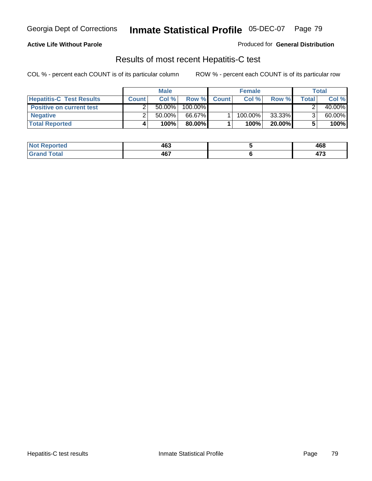### **Active Life Without Parole**

Produced for **General Distribution**

## Results of most recent Hepatitis-C test

|                                 | <b>Male</b>  |           | <b>Female</b> |              |         | Total  |        |        |
|---------------------------------|--------------|-----------|---------------|--------------|---------|--------|--------|--------|
| <b>Hepatitis-C Test Results</b> | <b>Count</b> | Col %     | Row %         | <b>Count</b> | Col %   | Row %  | Total⊤ | Col %  |
| <b>Positive on current test</b> |              | $50.00\%$ | 100.00%       |              |         |        |        | 40.00% |
| <b>Negative</b>                 |              | $50.00\%$ | 66.67%        |              | 100.00% | 33.33% |        | 60.00% |
| <b>Total Reported</b>           |              | 100%      | 80.00%I       |              | 100%    | 20.00% |        | 100%   |

| Not I<br>Reported | 463 | 468           |
|-------------------|-----|---------------|
| <b>cotal</b>      | A67 | $\rightarrow$ |
| $-$ Grs           | ישד | 71 J          |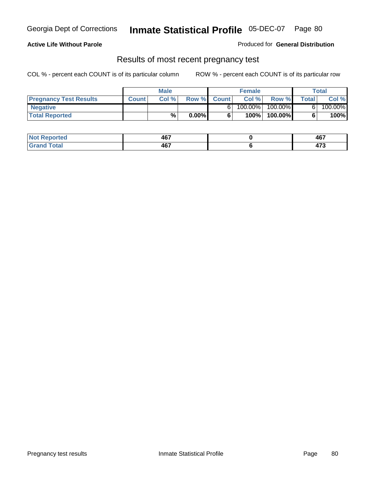#### **Active Life Without Parole**

Produced for **General Distribution**

### Results of most recent pregnancy test

|                               | <b>Male</b>  |      |          | <b>Female</b> |         |         | <b>Total</b> |         |
|-------------------------------|--------------|------|----------|---------------|---------|---------|--------------|---------|
| <b>Pregnancy Test Results</b> | <b>Count</b> | Col% | Row %    | <b>Count</b>  | Col %   | Row %   | <b>Total</b> | Col %   |
| <b>Negative</b>               |              |      |          |               | 100.00% | 100.00% |              | 100.00% |
| <b>Total Reported</b>         |              | %    | $0.00\%$ |               | 100%    | 100.00% |              | 100%    |

| orted        | 467                | A67<br>TV.<br>$\sim$  |
|--------------|--------------------|-----------------------|
| <b>Total</b> | <b>AG7</b><br>40 L | $\rightarrow$<br>71 J |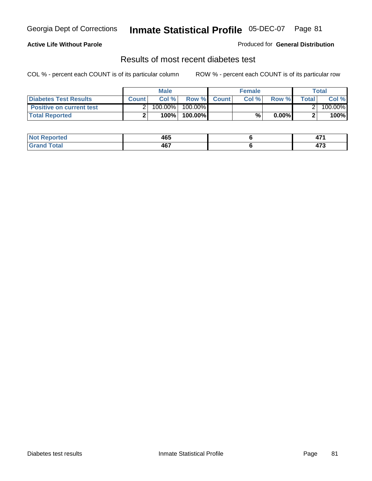### **Active Life Without Parole**

#### Produced for **General Distribution**

## Results of most recent diabetes test

|                                 |              | <b>Male</b> |            |             | <b>Female</b> |          |              | Total   |
|---------------------------------|--------------|-------------|------------|-------------|---------------|----------|--------------|---------|
| <b>Diabetes Test Results</b>    | <b>Count</b> | Col %       |            | Row % Count | Col%          | Row %    | <b>Total</b> | Col %   |
| <b>Positive on current test</b> |              | 100.00%     | $100.00\%$ |             |               |          |              | 100.00% |
| <b>Total Reported</b>           |              | 100%        | 100.00%    |             | %,            | $0.00\%$ |              | 100%    |

| <b>eported</b>       | 465 | $\rightarrow$<br><u>т.</u> |
|----------------------|-----|----------------------------|
| <b>otal</b><br>_____ | 467 | $\rightarrow$<br>41 J      |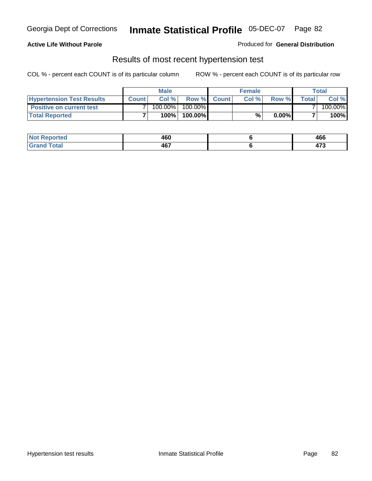### **Active Life Without Parole**

#### Produced for **General Distribution**

### Results of most recent hypertension test

|                                  | <b>Male</b>  |         |            | <b>Female</b> |      |          | <b>Total</b> |         |
|----------------------------------|--------------|---------|------------|---------------|------|----------|--------------|---------|
| <b>Hypertension Test Results</b> | <b>Count</b> | Col %   |            | Row % Count   | Col% | Row %    | Totall       | Col %   |
| <b>Positive on current test</b>  |              | 100.00% | $100.00\%$ |               |      |          |              | 100.00% |
| <b>Total Reported</b>            |              | 100%    | 100.00%    |               | %    | $0.00\%$ |              | 100%    |

| eported?     | 460               | 466                   |
|--------------|-------------------|-----------------------|
| <b>Total</b> | <b>AG7</b><br>HU. | $\rightarrow$<br>71 J |